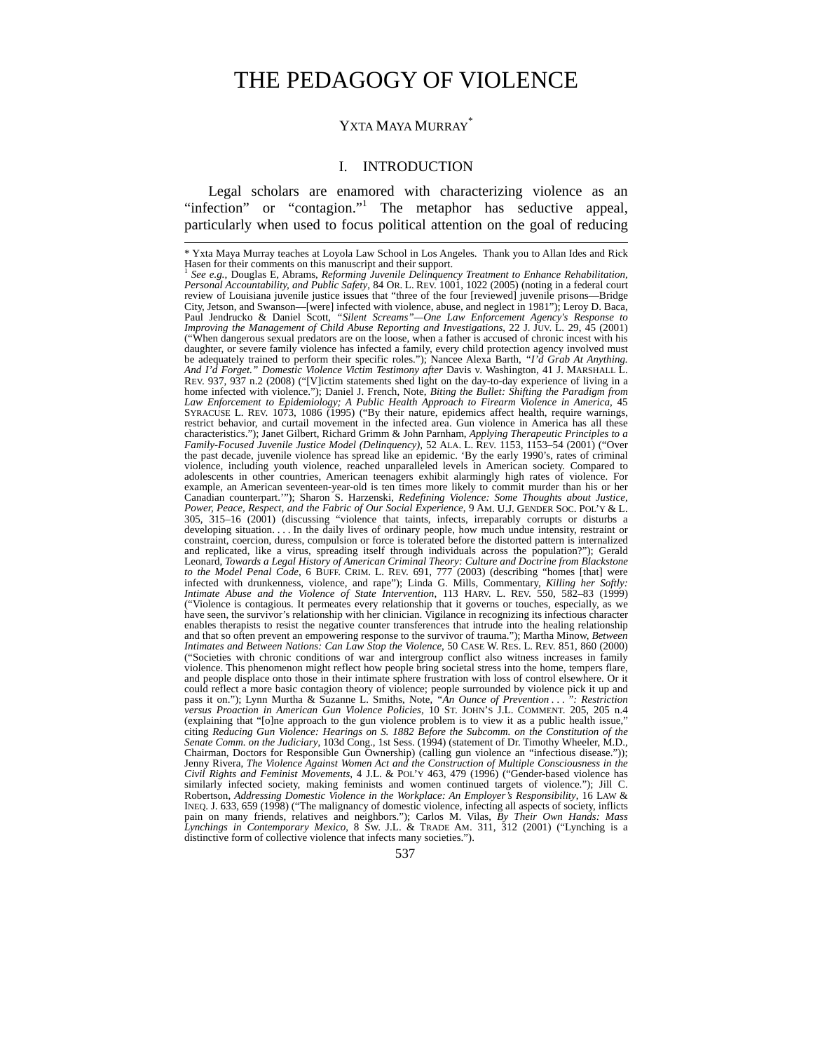## YXTA MAYA MURRAY<sup>\*</sup>

#### I. INTRODUCTION

Legal scholars are enamored with characterizing violence as an "infection" or "contagion."<sup>1</sup> The metaphor has seductive appeal, particularly when used to focus political attention on the goal of reducing

 <sup>\*</sup> Yxta Maya Murray teaches at Loyola Law School in Los Angeles. Thank you to Allan Ides and Rick Hasen for their comments on this manuscript and their support.

<sup>1</sup> *See e.g.*, Douglas E, Abrams, *Reforming Juvenile Delinquency Treatment to Enhance Rehabilitation, Personal Accountability, and Public Safety*, 84 OR. L. REV. 1001, 1022 (2005) (noting in a federal court review of Louisiana juvenile justice issues that "three of the four [reviewed] juvenile prisons—Bridge City, Jetson, and Swanson—[were] infected with violence, abuse, and neglect in 1981"); Leroy D. Baca, Paul Jendrucko & Daniel Scott, *"Silent Screams"—One Law Enforcement Agency's Response to Improving the Management of Child Abuse Reporting and Investigations*, 22 J. JUV. L. 29, 45 (2001) ("When dangerous sexual predators are on the loose, when a father is accused of chronic incest with his daughter, or severe family violence has infected a family, every child protection agency involved must be adequately trained to perform their specific roles."); Nancee Alexa Barth, *"I'd Grab At Anything. And I'd Forget." Domestic Violence Victim Testimony after* Davis v. Washington, 41 J. MARSHALL L. REV. 937, 937 n.2 (2008) ("[V]ictim statements shed light on the day-to-day experience of living in a home infected with violence."); Daniel J. French, Note, *Biting the Bullet: Shifting the Paradigm from Law Enforcement to Epidemiology; A Public Health Approach to Firearm Violence in America*, 45 SYRACUSE L. REV. 1073, 1086 (1995) ("By their nature, epidemics affect health, require warnings, restrict behavior, and curtail movement in the infected area. Gun violence in America has all these characteristics."); Janet Gilbert, Richard Grimm & John Parnham, *Applying Therapeutic Principles to a Family-Focused Juvenile Justice Model (Delinquency)*, 52 ALA. L. REV. 1153, 1153–54 (2001) ("Over the past decade, juvenile violence has spread like an epidemic. 'By the early 1990's, rates of criminal violence, including youth violence, reached unparalleled levels in American society. Compared to adolescents in other countries, American teenagers exhibit alarmingly high rates of violence. For example, an American seventeen-year-old is ten times more likely to commit murder than his or her Canadian counterpart.'"); Sharon S. Harzenski, *Redefining Violence: Some Thoughts about Justice, Power, Peace, Respect, and the Fabric of Our Social Experience*, 9 AM. U.J. GENDER SOC. POL'Y & L. 305, 315–16 (2001) (discussing "violence that taints, infects, irreparably corrupts or disturbs a developing situation. . . . In the daily lives of ordinary people, how much undue intensity, restraint or constraint, coercion, duress, compulsion or force is tolerated before the distorted pattern is internalized and replicated, like a virus, spreading itself through individuals across the population?"); Gerald Leonard, *Towards a Legal History of American Criminal Theory: Culture and Doctrine from Blackstone to the Model Penal Code*, 6 BUFF. CRIM. L. REV. 691, 777 (2003) (describing "homes [that] were infected with drunkenness, violence, and rape"); Linda G. Mills, Commentary, *Killing her Softly: Intimate Abuse and the Violence of State Intervention*, 113 HARV. L. REV. 550, 582–83 (1999) ("Violence is contagious. It permeates every relationship that it governs or touches, especially, as we have seen, the survivor's relationship with her clinician. Vigilance in recognizing its infectious character enables therapists to resist the negative counter transferences that intrude into the healing relationship and that so often prevent an empowering response to the survivor of trauma."); Martha Minow, *Between Intimates and Between Nations: Can Law Stop the Violence*, 50 CASE W. RES. L. REV. 851, 860 (2000) ("Societies with chronic conditions of war and intergroup conflict also witness increases in family violence. This phenomenon might reflect how people bring societal stress into the home, tempers flare, and people displace onto those in their intimate sphere frustration with loss of control elsewhere. Or it could reflect a more basic contagion theory of violence; people surrounded by violence pick it up and pass it on."); Lynn Murtha & Suzanne L. Smiths, Note, *"An Ounce of Prevention . . . ": Restriction versus Proaction in American Gun Violence Policies*, 10 ST. JOHN'S J.L. COMMENT. 205, 205 n.4 (explaining that "[o]ne approach to the gun violence problem is to view it as a public health issue," citing *Reducing Gun Violence: Hearings on S. 1882 Before the Subcomm. on the Constitution of the*  Senate Comm. on the Judiciary, 103d Cong., 1st Sess. (1994) (statement of Dr. Timothy Wheeler, M.D., Chairman, Doctors for Responsible Gun Ownership) (calling gun violence an "infectious disease.")); Jenny Rivera, *The Violence Against Women Act and the Construction of Multiple Consciousness in the Civil Rights and Feminist Movements*, 4 J.L. & POL'Y 463, 479 (1996) ("Gender-based violence has similarly infected society, making feminists and women continued targets of violence."); Jill C. Robertson, *Addressing Domestic Violence in the Workplace: An Employer's Responsibility*, 16 LAW & INEQ. J. 633, 659 (1998) ("The malignancy of domestic violence, infecting all aspects of society, inflicts pain on many friends, relatives and neighbors."); Carlos M. Vilas, *By Their Own Hands: Mass Lynchings in Contemporary Mexico*, 8 SW. J.L. & TRADE AM. 311, 312 (2001) ("Lynching is a distinctive form of collective violence that infects many societies.").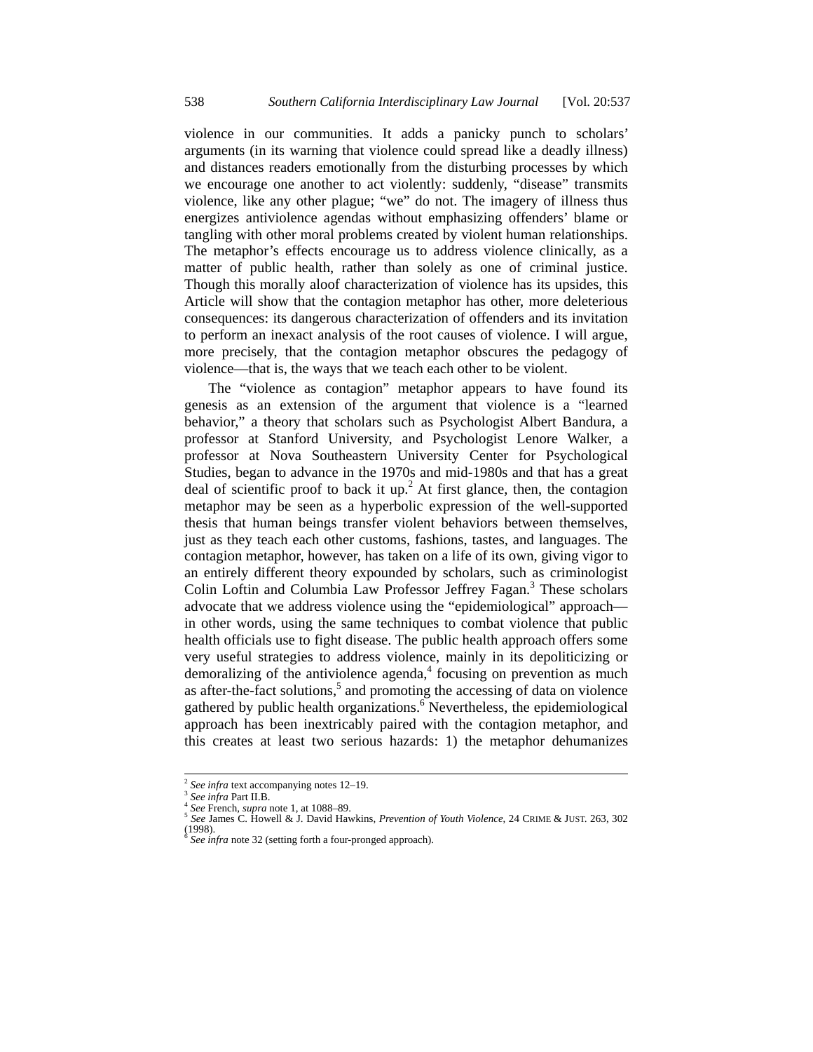violence in our communities. It adds a panicky punch to scholars' arguments (in its warning that violence could spread like a deadly illness) and distances readers emotionally from the disturbing processes by which we encourage one another to act violently: suddenly, "disease" transmits violence, like any other plague; "we" do not. The imagery of illness thus energizes antiviolence agendas without emphasizing offenders' blame or tangling with other moral problems created by violent human relationships. The metaphor's effects encourage us to address violence clinically, as a matter of public health, rather than solely as one of criminal justice. Though this morally aloof characterization of violence has its upsides, this Article will show that the contagion metaphor has other, more deleterious consequences: its dangerous characterization of offenders and its invitation to perform an inexact analysis of the root causes of violence. I will argue, more precisely, that the contagion metaphor obscures the pedagogy of violence—that is, the ways that we teach each other to be violent.

The "violence as contagion" metaphor appears to have found its genesis as an extension of the argument that violence is a "learned behavior," a theory that scholars such as Psychologist Albert Bandura, a professor at Stanford University, and Psychologist Lenore Walker, a professor at Nova Southeastern University Center for Psychological Studies, began to advance in the 1970s and mid-1980s and that has a great deal of scientific proof to back it up.<sup>2</sup> At first glance, then, the contagion metaphor may be seen as a hyperbolic expression of the well-supported thesis that human beings transfer violent behaviors between themselves, just as they teach each other customs, fashions, tastes, and languages. The contagion metaphor, however, has taken on a life of its own, giving vigor to an entirely different theory expounded by scholars, such as criminologist Colin Loftin and Columbia Law Professor Jeffrey Fagan.<sup>3</sup> These scholars advocate that we address violence using the "epidemiological" approach in other words, using the same techniques to combat violence that public health officials use to fight disease. The public health approach offers some very useful strategies to address violence, mainly in its depoliticizing or demoralizing of the antiviolence agenda,<sup>4</sup> focusing on prevention as much as after-the-fact solutions,<sup>5</sup> and promoting the accessing of data on violence gathered by public health organizations. $\delta$  Nevertheless, the epidemiological approach has been inextricably paired with the contagion metaphor, and this creates at least two serious hazards: 1) the metaphor dehumanizes

<sup>&</sup>lt;sup>2</sup> See infra text accompanying notes 12–19.<br><sup>3</sup> See infra Part II.B.<br><sup>4</sup> See French, *supra* note 1, at 1088–89.<br><sup>5</sup> See James C. Howell & J. David Hawkins, *Prevention of Youth Violence*, 24 CRIME & JUST. 263, 302  $(1998)$ .

<sup>6</sup> *See infra* note 32 (setting forth a four-pronged approach).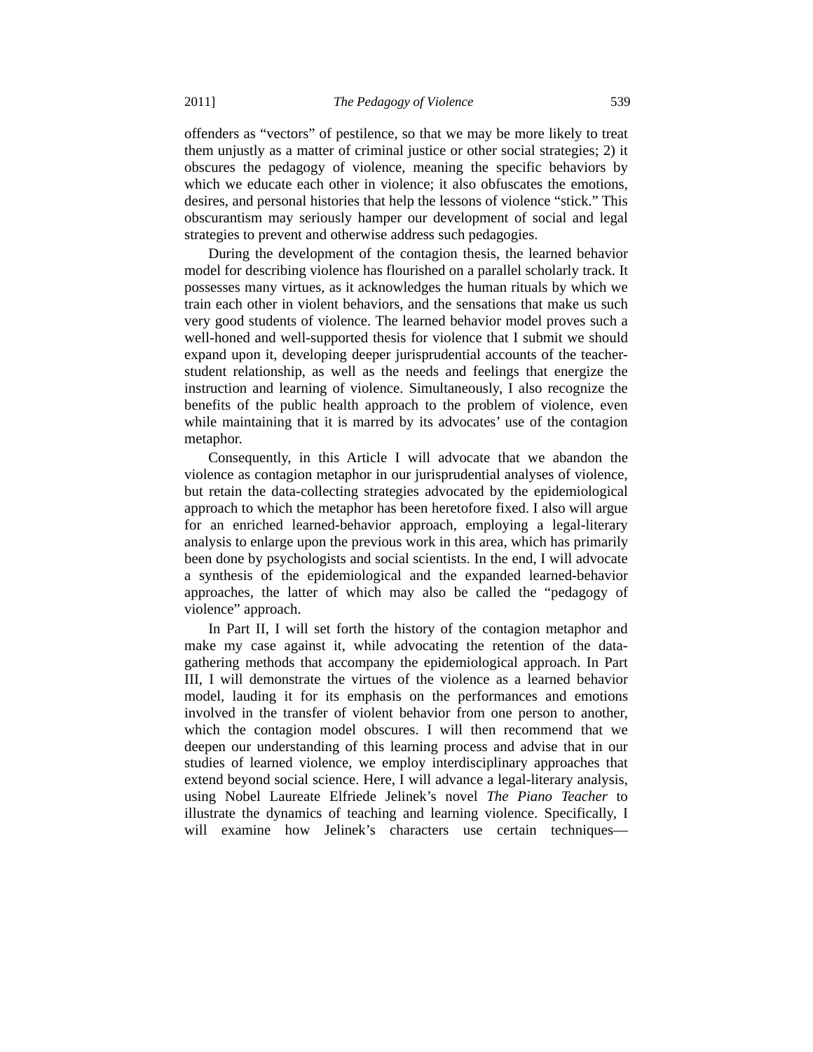offenders as "vectors" of pestilence, so that we may be more likely to treat them unjustly as a matter of criminal justice or other social strategies; 2) it obscures the pedagogy of violence, meaning the specific behaviors by which we educate each other in violence; it also obfuscates the emotions, desires, and personal histories that help the lessons of violence "stick." This obscurantism may seriously hamper our development of social and legal strategies to prevent and otherwise address such pedagogies.

During the development of the contagion thesis, the learned behavior model for describing violence has flourished on a parallel scholarly track. It possesses many virtues, as it acknowledges the human rituals by which we train each other in violent behaviors, and the sensations that make us such very good students of violence. The learned behavior model proves such a well-honed and well-supported thesis for violence that I submit we should expand upon it, developing deeper jurisprudential accounts of the teacherstudent relationship, as well as the needs and feelings that energize the instruction and learning of violence. Simultaneously, I also recognize the benefits of the public health approach to the problem of violence, even while maintaining that it is marred by its advocates' use of the contagion metaphor.

Consequently, in this Article I will advocate that we abandon the violence as contagion metaphor in our jurisprudential analyses of violence, but retain the data-collecting strategies advocated by the epidemiological approach to which the metaphor has been heretofore fixed. I also will argue for an enriched learned-behavior approach, employing a legal-literary analysis to enlarge upon the previous work in this area, which has primarily been done by psychologists and social scientists. In the end, I will advocate a synthesis of the epidemiological and the expanded learned-behavior approaches, the latter of which may also be called the "pedagogy of violence" approach.

In Part II, I will set forth the history of the contagion metaphor and make my case against it, while advocating the retention of the datagathering methods that accompany the epidemiological approach. In Part III, I will demonstrate the virtues of the violence as a learned behavior model, lauding it for its emphasis on the performances and emotions involved in the transfer of violent behavior from one person to another, which the contagion model obscures. I will then recommend that we deepen our understanding of this learning process and advise that in our studies of learned violence, we employ interdisciplinary approaches that extend beyond social science. Here, I will advance a legal-literary analysis, using Nobel Laureate Elfriede Jelinek's novel *The Piano Teacher* to illustrate the dynamics of teaching and learning violence. Specifically, I will examine how Jelinek's characters use certain techniques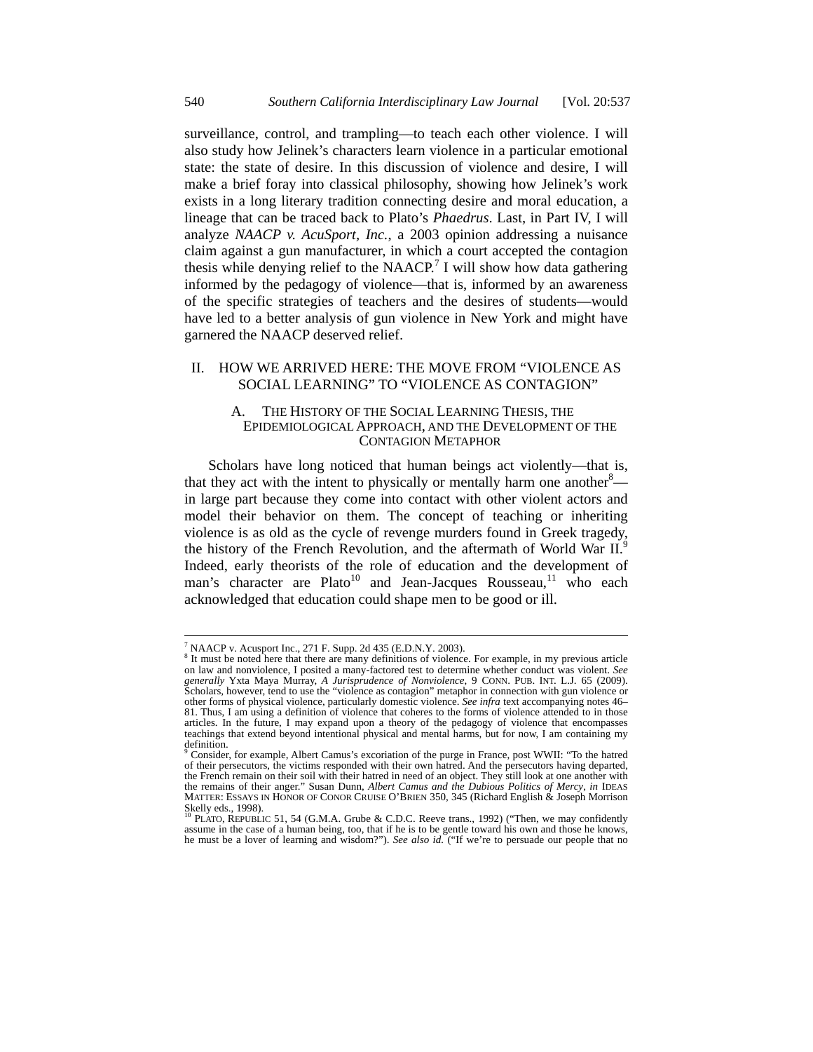surveillance, control, and trampling—to teach each other violence. I will also study how Jelinek's characters learn violence in a particular emotional state: the state of desire. In this discussion of violence and desire, I will make a brief foray into classical philosophy, showing how Jelinek's work exists in a long literary tradition connecting desire and moral education, a lineage that can be traced back to Plato's *Phaedrus*. Last, in Part IV, I will analyze *NAACP v. AcuSport, Inc.*, a 2003 opinion addressing a nuisance claim against a gun manufacturer, in which a court accepted the contagion thesis while denying relief to the NAACP.<sup>7</sup> I will show how data gathering informed by the pedagogy of violence—that is, informed by an awareness of the specific strategies of teachers and the desires of students—would have led to a better analysis of gun violence in New York and might have garnered the NAACP deserved relief.

## II. HOW WE ARRIVED HERE: THE MOVE FROM "VIOLENCE AS SOCIAL LEARNING" TO "VIOLENCE AS CONTAGION"

#### A. THE HISTORY OF THE SOCIAL LEARNING THESIS, THE EPIDEMIOLOGICAL APPROACH, AND THE DEVELOPMENT OF THE CONTAGION METAPHOR

Scholars have long noticed that human beings act violently—that is, that they act with the intent to physically or mentally harm one another $8$  in large part because they come into contact with other violent actors and model their behavior on them. The concept of teaching or inheriting violence is as old as the cycle of revenge murders found in Greek tragedy, the history of the French Revolution, and the aftermath of World War  $II$ <sup>9</sup> Indeed, early theorists of the role of education and the development of man's character are Plato<sup>10</sup> and Jean-Jacques Rousseau,<sup>11</sup> who each acknowledged that education could shape men to be good or ill.

<sup>-&</sup>lt;br>7 <sup>7</sup> NAACP v. Acusport Inc., 271 F. Supp. 2d 435 (E.D.N.Y. 2003).

<sup>&</sup>lt;sup>8</sup> It must be noted here that there are many definitions of violence. For example, in my previous article on law and nonviolence, I posited a many-factored test to determine whether conduct was violent. *See generally* Yxta Maya Murray, *A Jurisprudence of Nonviolence*, 9 CONN. PUB. INT. L.J. 65 (2009). Scholars, however, tend to use the "violence as contagion" metaphor in connection with gun violence or other forms of physical violence, particularly domestic violence. *See infra* text accompanying notes 46– 81. Thus, I am using a definition of violence that coheres to the forms of violence attended to in those articles. In the future, I may expand upon a theory of the pedagogy of violence that encompasses teachings that extend beyond intentional physical and mental harms, but for now, I am containing my definition. 9

Consider, for example, Albert Camus's excoriation of the purge in France, post WWII: "To the hatred of their persecutors, the victims responded with their own hatred. And the persecutors having departed, the French remain on their soil with their hatred in need of an object. They still look at one another with the remains of their anger." Susan Dunn, *Albert Camus and the Dubious Politics of Mercy*, *in* IDEAS MATTER: ESSAYS IN HONOR OF CONOR CRUISE O'BRIEN 350, 345 (Richard English & Joseph Morrison Skelly eds., 1998).

<sup>10</sup> PLATO, REPUBLIC 51, 54 (G.M.A. Grube & C.D.C. Reeve trans., 1992) ("Then, we may confidently assume in the case of a human being, too, that if he is to be gentle toward his own and those he knows, he must be a lover of learning and wisdom?"). *See also id.* ("If we're to persuade our people that no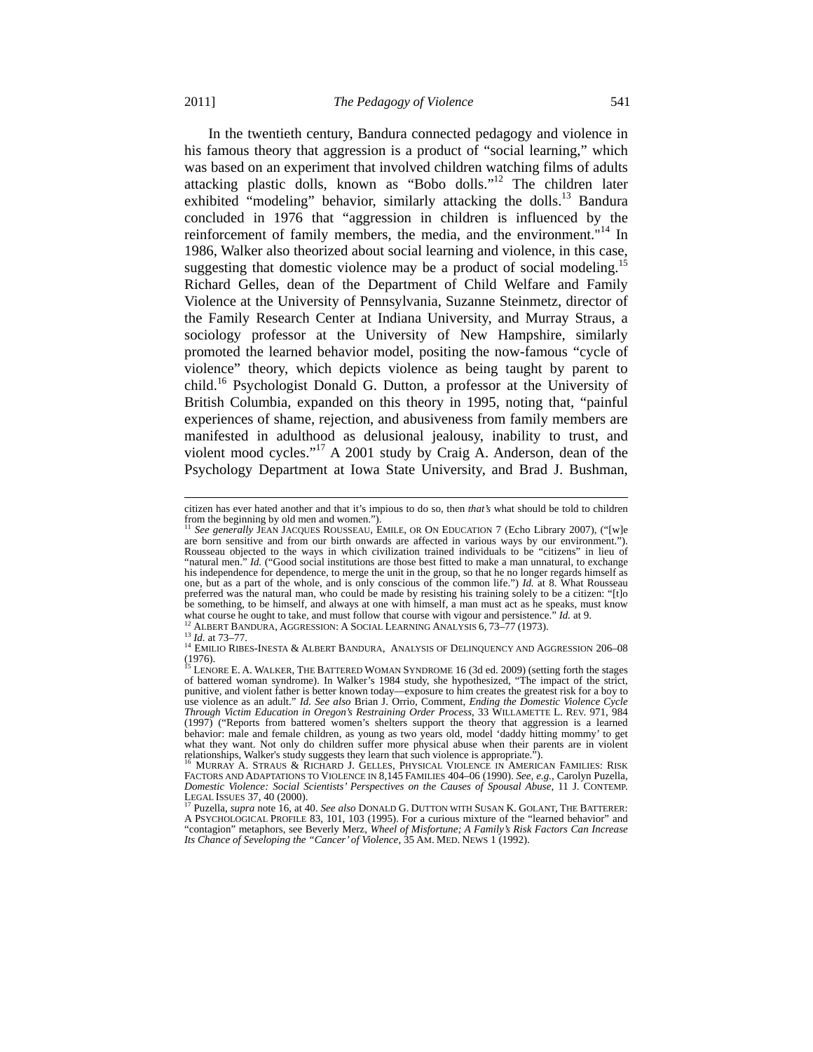In the twentieth century, Bandura connected pedagogy and violence in his famous theory that aggression is a product of "social learning," which was based on an experiment that involved children watching films of adults attacking plastic dolls, known as "Bobo dolls."12 The children later exhibited "modeling" behavior, similarly attacking the dolls.<sup>13</sup> Bandura concluded in 1976 that "aggression in children is influenced by the reinforcement of family members, the media, and the environment.<sup>"14</sup> In 1986, Walker also theorized about social learning and violence, in this case, suggesting that domestic violence may be a product of social modeling.<sup>15</sup> Richard Gelles, dean of the Department of Child Welfare and Family Violence at the University of Pennsylvania, Suzanne Steinmetz, director of the Family Research Center at Indiana University, and Murray Straus, a sociology professor at the University of New Hampshire, similarly promoted the learned behavior model, positing the now-famous "cycle of violence" theory, which depicts violence as being taught by parent to child.<sup>16</sup> Psychologist Donald G. Dutton, a professor at the University of British Columbia, expanded on this theory in 1995, noting that, "painful experiences of shame, rejection, and abusiveness from family members are manifested in adulthood as delusional jealousy, inability to trust, and violent mood cycles."<sup>17</sup> A 2001 study by Craig A. Anderson, dean of the Psychology Department at Iowa State University, and Brad J. Bushman,

citizen has ever hated another and that it's impious to do so, then *that's* what should be told to children from the beginning by old men and women.").

<sup>11</sup> *See generally* JEAN JACQUES ROUSSEAU, EMILE, OR ON EDUCATION 7 (Echo Library 2007), ("[w]e are born sensitive and from our birth onwards are affected in various ways by our environment."). Rousseau objected to the ways in which civilization trained individuals to be "citizens" in lieu of "natural men." *Id.* ("Good social institutions are those best fitted to make a man unnatural, to exchange his independence for dependence, to merge the unit in the group, so that he no longer regards himself as one, but as a part of the whole, and is only conscious of the common life.") *Id.* at 8. What Rousseau preferred was the natural man, who could be made by resisting his training solely to be a citizen: "[t]o be something, to be himself, and always at one with himself, a man must act as he speaks, must know what course he ought to take, and must follow that course with vigour and persistence." *Id.* at 9.<br><sup>12</sup> ALBERT BANDURA, AGGRESSION: A SOCIAL LEARNING ANALYSIS 6, 73–77 (1973).<br><sup>13</sup> *Id.* at 73–77.<br><sup>14</sup> EMILIO RIBES-INEST

<sup>(1976).&</sup>lt;br><sup>15</sup> Lenore E. A. Walker, The Battered Woman Syndrome 16 (3d ed. 2009) (setting forth the stages of battered woman syndrome). In Walker's 1984 study, she hypothesized, "The impact of the strict, punitive, and violent father is better known today—exposure to him creates the greatest risk for a boy to use violence as an adult." *Id. See also* Brian J. Orrio, Comment, *Ending the Domestic Violence Cycle Through Victim Education in Oregon's Restraining Order Process*, 33 WILLAMETTE L. REV. 971, 984 (1997) ("Reports from battered women's shelters support the theory that aggression is a learned behavior: male and female children, as young as two years old, model 'daddy hitting mommy' to get what they want. Not only do children suffer more physical abuse when their parents are in violent relationships, Walker's study suggests they learn that such violence is appropriate."). 16 MURRAY A. STRAUS & RICHARD J. GELLES, PHYSICAL VIOLENCE IN AMERICAN FAMILIES: RISK 16 MURRAY A. STRAUS & RICHARD J. GELLES, PHYSICA

FACTORS AND ADAPTATIONS TO VIOLENCE IN 8,145 FAMILIES 404–06 (1990). *See, e.g.*, Carolyn Puzella, *Domestic Violence: Social Scientists' Perspectives on the Causes of Spousal Abuse*, 11 J. CONTEMP.

LEGAL ISSUES 37, 40 (2000).<br><sup>17</sup> Puzella, *supra* note 16, at 40. See also DONALD G. DUTTON WITH SUSAN K. GOLANT, THE BATTERER:<br><sup>17</sup> Puzella, *supra* note 16, at 40. See also DONALD G. DUTTON WITH SUSAN K. GOLANT, THE BATT "contagion" metaphors, see Beverly Merz, *Wheel of Misfortune; A Family's Risk Factors Can Increase Its Chance of Seveloping the "Cancer' of Violence*, 35 AM. MED. NEWS 1 (1992).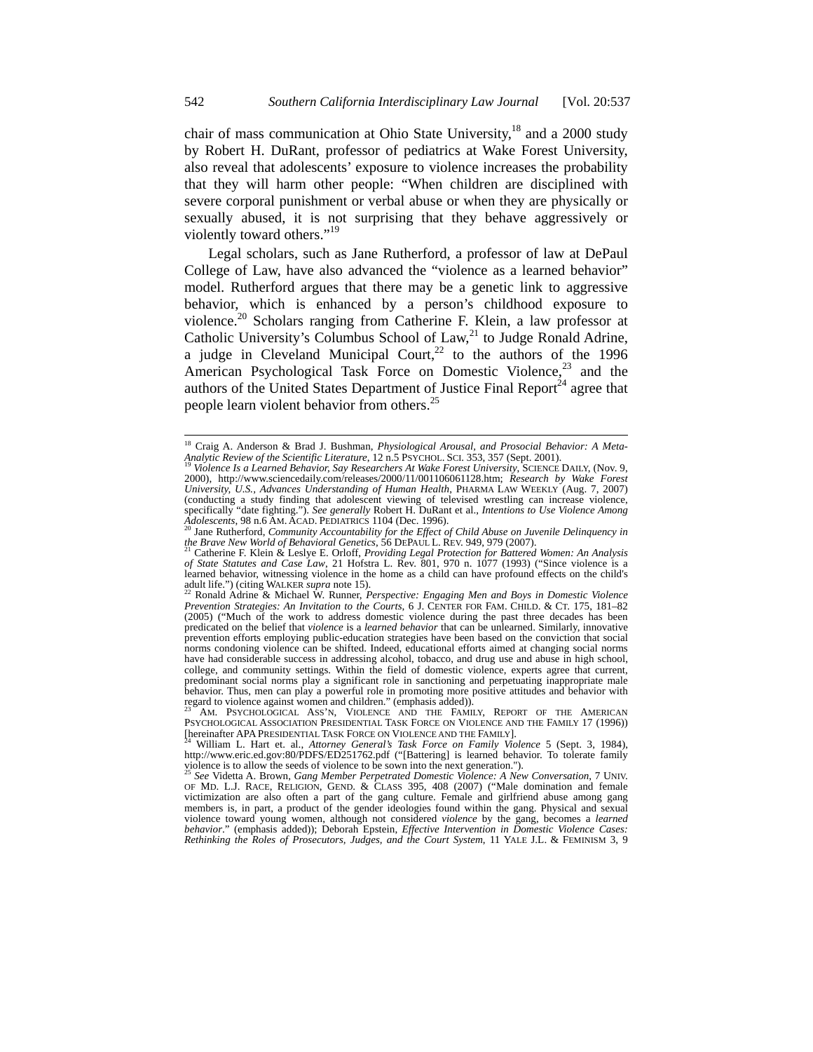chair of mass communication at Ohio State University,<sup>18</sup> and a 2000 study by Robert H. DuRant, professor of pediatrics at Wake Forest University, also reveal that adolescents' exposure to violence increases the probability that they will harm other people: "When children are disciplined with severe corporal punishment or verbal abuse or when they are physically or sexually abused, it is not surprising that they behave aggressively or violently toward others."<sup>19</sup>

Legal scholars, such as Jane Rutherford, a professor of law at DePaul College of Law, have also advanced the "violence as a learned behavior" model. Rutherford argues that there may be a genetic link to aggressive behavior, which is enhanced by a person's childhood exposure to violence.<sup>20</sup> Scholars ranging from Catherine F. Klein, a law professor at Catholic University's Columbus School of Law,<sup>21</sup> to Judge Ronald Adrine, a judge in Cleveland Municipal Court, $2^2$  to the authors of the 1996 American Psychological Task Force on Domestic Violence,<sup>23</sup> and the authors of the United States Department of Justice Final Report $^{24}$  agree that people learn violent behavior from others.<sup>25</sup>

<sup>&</sup>lt;sup>18</sup> Craig A. Anderson & Brad J. Bushman, *Physiological Arousal*, and Prosocial Behavior: A Meta-*Analytic Review of the Scientific Literature*, 12 n.5 PSYCHOL. SCI. 353, 357 (Sept. 2001). 19 *Violence Is a Learned Behavior, Say Researchers At Wake Forest University*, SCIENCE DAILY, (Nov. 9,

<sup>2000),</sup> http://www.sciencedaily.com/releases/2000/11/001106061128.htm; *Research by Wake Forest University, U.S., Advances Understanding of Human Health*, PHARMA LAW WEEKLY (Aug. 7, 2007) (conducting a study finding that adolescent viewing of televised wrestling can increase violence, specifically "date fighting."). *See generally* Robert H. DuRant et al., *Intentions to Use Violence Among* 

*Adolescents*, 98 n.6 AM. ACAD. PEDIATRICS 1104 (Dec. 1996).<br><sup>20</sup> Jane Rutherford, *Community Accountability for the Effect of Child Abuse on Juvenile Delinquency in the Brave New World of Behavioral Genetics, 56 DEPAUL L.* 

Catherine F. Klein & Leslye E. Orloff, *Providing Legal Protection for Battered Women: An Analysis of State Statutes and Case Law*, 21 Hofstra L. Rev. 801, 970 n. 1077 (1993) ("Since violence is a learned behavior, witnessing violence in the home as a child can have profound effects on the child's adult life.") (citing WALKER *supra* note 15).<br><sup>22</sup> Ronald Adrine & Michael W. Runner, *Perspective: Engaging Men and Boys in Domestic Violence* 

*Prevention Strategies: An Invitation to the Courts*, 6 J. CENTER FOR FAM. CHILD. & CT. 175, 181–82 (2005) ("Much of the work to address domestic violence during the past three decades has been predicated on the belief that *violence* is a *learned behavior* that can be unlearned. Similarly, innovative prevention efforts employing public-education strategies have been based on the conviction that social norms condoning violence can be shifted. Indeed, educational efforts aimed at changing social norms have had considerable success in addressing alcohol, tobacco, and drug use and abuse in high school, college, and community settings. Within the field of domestic violence, experts agree that current, predominant social norms play a significant role in sanctioning and perpetuating inappropriate male behavior. Thus, men can play a powerful role in promoting more positive attitudes and behavior with regard to violence against women and children." (emphasis added)).

AM. PSYCHOLOGICAL ASS'N, VIOLENCE AND THE FAMILY, REPORT OF THE AMERICAN PSYCHOLOGICAL ASSOCIATION PRESIDENTIAL TASK FORCE ON VIOLENCE AND THE FAMILY 17 (1996)) [hereinafter APA PRESIDENTIAL TASK FORCE ON VIOLENCE AND THE FAMILY].

<sup>[</sup>hereinafter APA PRESIDENTIAL TASK FORCE ON VIOLENCE AND THE FAMILY].<br><sup>24</sup> William L. Hart et. al., *Attorney General's Task Force on Family Violence* 5 (Sept. 3, 1984),<br>http://www.eric.ed.gov:80/PDFS/ED251762.pdf ("[Batte

violence is to allow the seeds of violence to be sown into the next generation.").<br><sup>25</sup> See Videtta A. Brown, *Gang Member Perpetrated Domestic Violence: A New Conversation*, 7 UNIV.<br>OF MD. L.J. RACE, RELIGION, GEND. & CLA victimization are also often a part of the gang culture. Female and girlfriend abuse among gang members is, in part, a product of the gender ideologies found within the gang. Physical and sexual violence toward young women, although not considered *violence* by the gang, becomes a *learned behavior*." (emphasis added)); Deborah Epstein, *Effective Intervention in Domestic Violence Cases: Rethinking the Roles of Prosecutors, Judges, and the Court System*, 11 YALE J.L. & FEMINISM 3, 9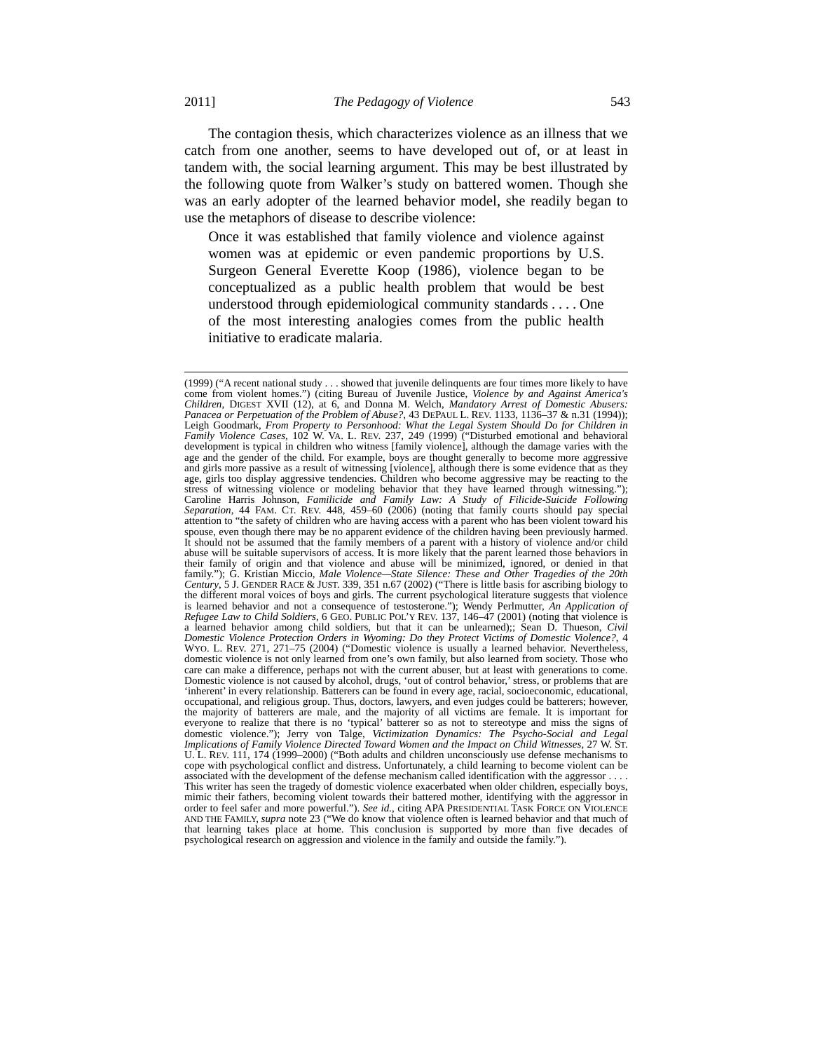The contagion thesis, which characterizes violence as an illness that we catch from one another, seems to have developed out of, or at least in tandem with, the social learning argument. This may be best illustrated by the following quote from Walker's study on battered women. Though she was an early adopter of the learned behavior model, she readily began to use the metaphors of disease to describe violence:

Once it was established that family violence and violence against women was at epidemic or even pandemic proportions by U.S. Surgeon General Everette Koop (1986), violence began to be conceptualized as a public health problem that would be best understood through epidemiological community standards . . . . One of the most interesting analogies comes from the public health initiative to eradicate malaria.

 <sup>(1999) (&</sup>quot;A recent national study . . . showed that juvenile delinquents are four times more likely to have come from violent homes.") (citing Bureau of Juvenile Justice, *Violence by and Against America's Children*, DIGEST XVII (12), at 6, and Donna M. Welch, *Mandatory Arrest of Domestic Abusers:*  Panacea or Perpetuation of the Problem of Abuse?, 43 DEPAUL L. REV. 1133, 1136–37 & n.31 (1994));<br>Leigh Goodmark, From Property to Personhood: What the Legal System Should Do for Children in<br>Family Violence Cases, 102 W. V development is typical in children who witness [family violence], although the damage varies with the age and the gender of the child. For example, boys are thought generally to become more aggressive and girls more passive as a result of witnessing [violence], although there is some evidence that as they age, girls too display aggressive tendencies. Children who become aggressive may be reacting to the stress of witnessing violence or modeling behavior that they have learned through witnessing."); Caroline Harris Johnson, *Familicide and Family Law: A Study of Filicide-Suicide Following Separation*, 44 FAM. CT. REV. 448, 459–60 (2006) (noting that family courts should pay special attention to "the safety of children who are having access with a parent who has been violent toward his spouse, even though there may be no apparent evidence of the children having been previously harmed. It should not be assumed that the family members of a parent with a history of violence and/or child abuse will be suitable supervisors of access. It is more likely that the parent learned those behaviors in their family of origin and that violence and abuse will be minimized, ignored, or denied in that family."); G. Kristian Miccio, *Male Violence—State Silence: These and Other Tragedies of the 20th Century*, 5 J. GENDER RACE & JUST. 339, 351 n.67 (2002) ("There is little basis for ascribing biology to the different moral voices of boys and girls. The current psychological literature suggests that violence is learned behavior and not a consequence of testosterone."); Wendy Perlmutter, *An Application of Refugee Law to Child Soldiers*, 6 GEO. PUBLIC POL'Y REV. 137, 146–47 (2001) (noting that violence is a learned behavior among child soldiers, but that it can be unlearned);; Sean D. Thueson, *Civil Domestic Violence Protection Orders in Wyoming: Do they Protect Victims of Domestic Violence?*, 4 WYO. L. REV. 271, 271–75 (2004) ("Domestic violence is usually a learned behavior. Nevertheless, domestic violence is not only learned from one's own family, but also learned from society. Those who care can make a difference, perhaps not with the current abuser, but at least with generations to come. Domestic violence is not caused by alcohol, drugs, 'out of control behavior,' stress, or problems that are 'inherent' in every relationship. Batterers can be found in every age, racial, socioeconomic, educational, occupational, and religious group. Thus, doctors, lawyers, and even judges could be batterers; however, the majority of batterers are male, and the majority of all victims are female. It is important for everyone to realize that there is no 'typical' batterer so as not to stereotype and miss the signs of domestic violence."); Jerry von Talge, *Victimization Dynamics: The Psycho-Social and Legal Implications of Family Violence Directed Toward Women and the Impact on Child Witnesses, 27 W. ST.<br>U. L. REV. 111, 174 (1999–2000)* cope with psychological conflict and distress. Unfortunately, a child learning to become violent can be associated with the development of the defense mechanism called identification with the aggressor . . . . This writer has seen the tragedy of domestic violence exacerbated when older children, especially boys, mimic their fathers, becoming violent towards their battered mother, identifying with the aggressor in order to feel safer and more powerful."). *See id.*, citing APA PRESIDENTIAL TASK FORCE ON VIOLENCE AND THE FAMILY, *supra* note 23 ("We do know that violence often is learned behavior and that much of that learning takes place at home. This conclusion is supported by more than five decades of psychological research on aggression and violence in the family and outside the family.").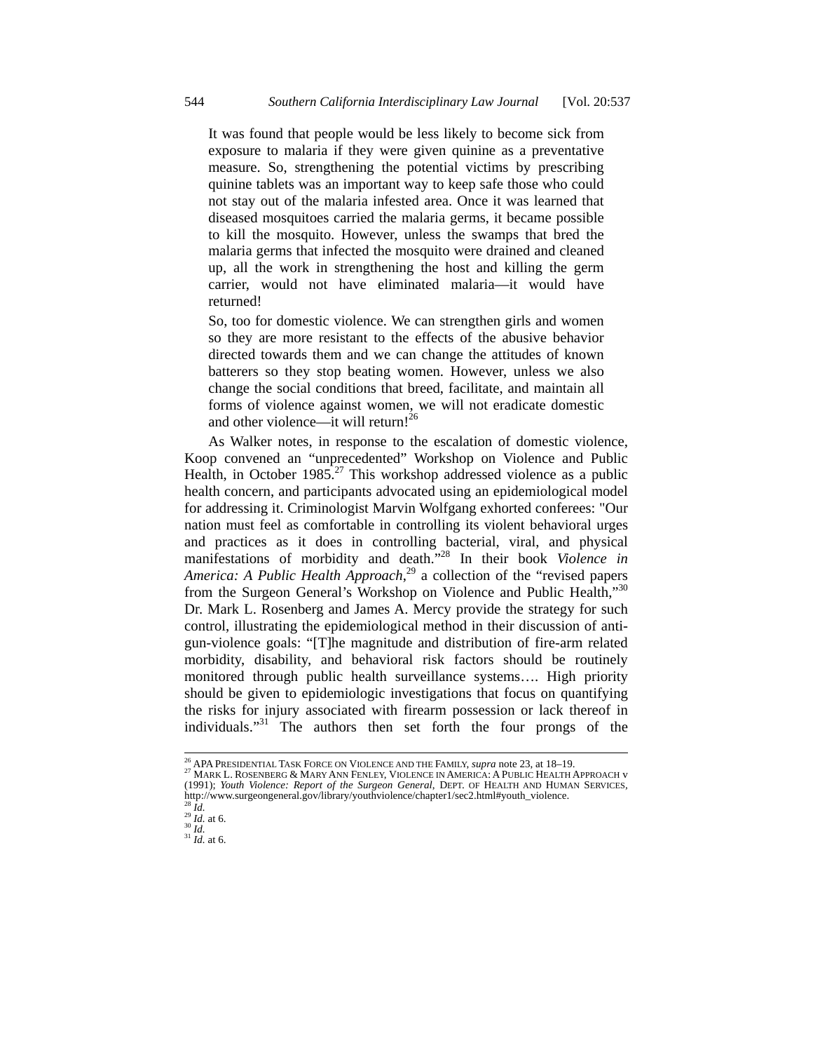It was found that people would be less likely to become sick from exposure to malaria if they were given quinine as a preventative measure. So, strengthening the potential victims by prescribing quinine tablets was an important way to keep safe those who could not stay out of the malaria infested area. Once it was learned that diseased mosquitoes carried the malaria germs, it became possible to kill the mosquito. However, unless the swamps that bred the malaria germs that infected the mosquito were drained and cleaned up, all the work in strengthening the host and killing the germ carrier, would not have eliminated malaria—it would have returned!

So, too for domestic violence. We can strengthen girls and women so they are more resistant to the effects of the abusive behavior directed towards them and we can change the attitudes of known batterers so they stop beating women. However, unless we also change the social conditions that breed, facilitate, and maintain all forms of violence against women, we will not eradicate domestic and other violence—it will return!<sup>26</sup>

As Walker notes, in response to the escalation of domestic violence, Koop convened an "unprecedented" Workshop on Violence and Public Health, in October 1985.<sup>27</sup> This workshop addressed violence as a public health concern, and participants advocated using an epidemiological model for addressing it. Criminologist Marvin Wolfgang exhorted conferees: "Our nation must feel as comfortable in controlling its violent behavioral urges and practices as it does in controlling bacterial, viral, and physical manifestations of morbidity and death."28 In their book *Violence in America: A Public Health Approach*, 29 a collection of the "revised papers from the Surgeon General's Workshop on Violence and Public Health,"<sup>30</sup> Dr. Mark L. Rosenberg and James A. Mercy provide the strategy for such control, illustrating the epidemiological method in their discussion of antigun-violence goals: "[T]he magnitude and distribution of fire-arm related morbidity, disability, and behavioral risk factors should be routinely monitored through public health surveillance systems…. High priority should be given to epidemiologic investigations that focus on quantifying the risks for injury associated with firearm possession or lack thereof in individuals."<sup>31</sup> The authors then set forth the four prongs of the

<sup>&</sup>lt;sup>26</sup> APA PRESIDENTIAL TASK FORCE ON VIOLENCE AND THE FAMILY, *supra* note 23, at 18–19.<br><sup>27</sup> MARK L. ROSENBERG & MARY ANN FENLEY, VIOLENCE IN AMERICA: A PUBLIC HEALTH APPROACH v<br>(1991); *Youth Violence: Report of the Surge* http://www.surgeongeneral.gov/library/youthviolence/chapter1/sec2.html#youth\_violence.<br><sup>28</sup> *Id.* 29 *Id.* at 6. 30 *Id.* 31 *Id.* at 6.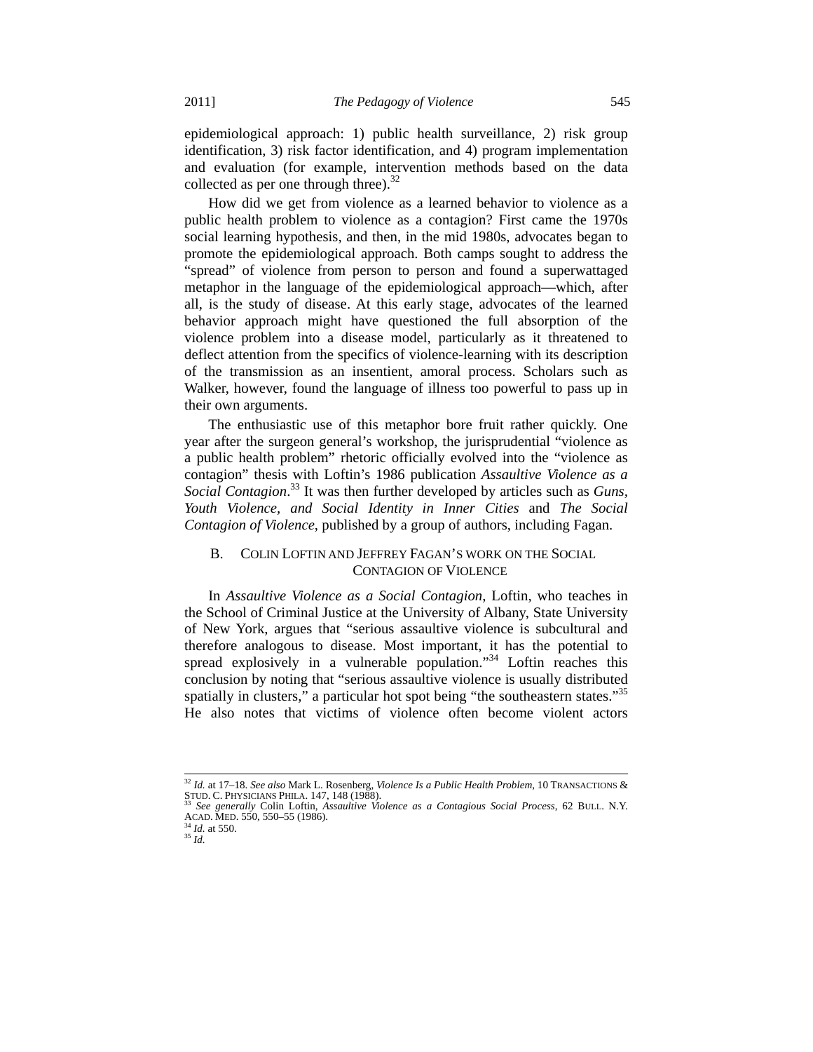epidemiological approach: 1) public health surveillance, 2) risk group identification, 3) risk factor identification, and 4) program implementation and evaluation (for example, intervention methods based on the data collected as per one through three). $32$ 

How did we get from violence as a learned behavior to violence as a public health problem to violence as a contagion? First came the 1970s social learning hypothesis, and then, in the mid 1980s, advocates began to promote the epidemiological approach. Both camps sought to address the "spread" of violence from person to person and found a superwattaged metaphor in the language of the epidemiological approach—which, after all, is the study of disease. At this early stage, advocates of the learned behavior approach might have questioned the full absorption of the violence problem into a disease model, particularly as it threatened to deflect attention from the specifics of violence-learning with its description of the transmission as an insentient, amoral process. Scholars such as Walker, however, found the language of illness too powerful to pass up in their own arguments.

The enthusiastic use of this metaphor bore fruit rather quickly. One year after the surgeon general's workshop, the jurisprudential "violence as a public health problem" rhetoric officially evolved into the "violence as contagion" thesis with Loftin's 1986 publication *Assaultive Violence as a Social Contagion*. 33 It was then further developed by articles such as *Guns, Youth Violence, and Social Identity in Inner Cities* and *The Social Contagion of Violence*, published by a group of authors, including Fagan.

## B. COLIN LOFTIN AND JEFFREY FAGAN'S WORK ON THE SOCIAL CONTAGION OF VIOLENCE

In *Assaultive Violence as a Social Contagion*, Loftin, who teaches in the School of Criminal Justice at the University of Albany, State University of New York, argues that "serious assaultive violence is subcultural and therefore analogous to disease. Most important, it has the potential to spread explosively in a vulnerable population."<sup>34</sup> Loftin reaches this conclusion by noting that "serious assaultive violence is usually distributed spatially in clusters," a particular hot spot being "the southeastern states."<sup>35</sup> He also notes that victims of violence often become violent actors

 <sup>32</sup> *Id.* at 17–18. *See also* Mark L. Rosenberg, *Violence Is a Public Health Problem*, 10 TRANSACTIONS &

See generally Colin Loftin, *Assaultive Violence as a Contagious Social Process*, 62 BULL. N.Y. ACAD. MED. 550, 550–55 (1986). 34 *Id.* at 550. 35 *Id.*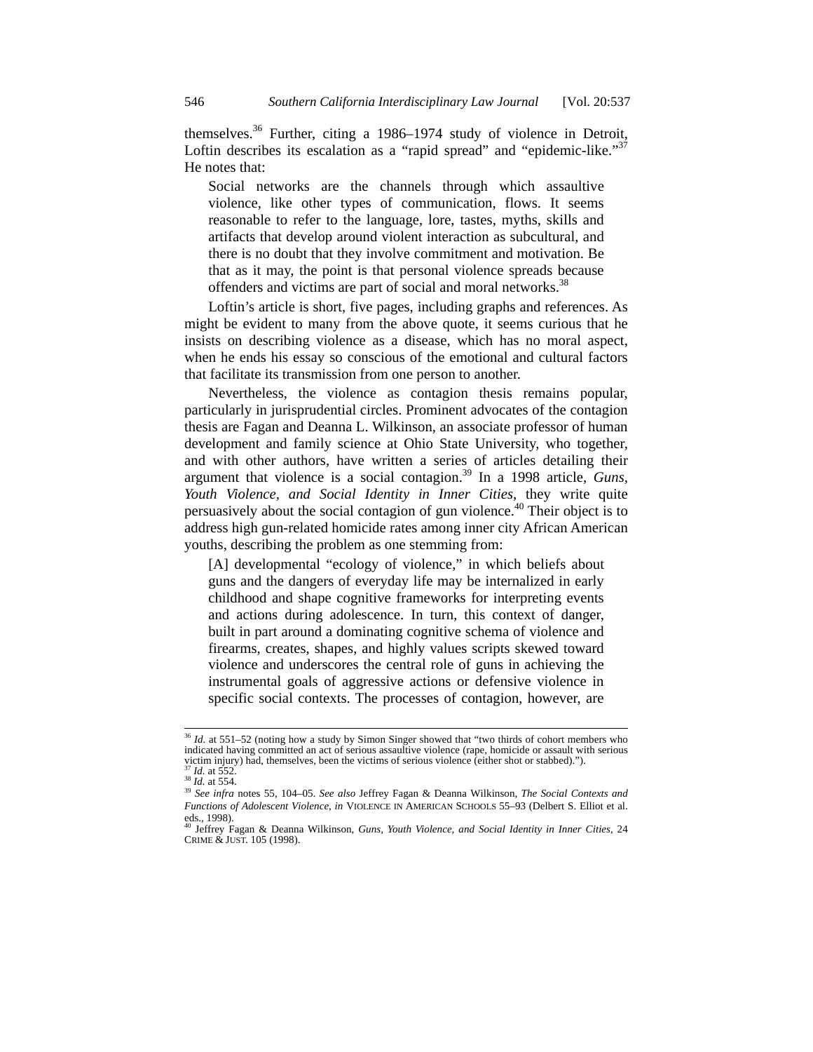themselves.36 Further, citing a 1986–1974 study of violence in Detroit, Loftin describes its escalation as a "rapid spread" and "epidemic-like."<sup>37</sup> He notes that:

Social networks are the channels through which assaultive violence, like other types of communication, flows. It seems reasonable to refer to the language, lore, tastes, myths, skills and artifacts that develop around violent interaction as subcultural, and there is no doubt that they involve commitment and motivation. Be that as it may, the point is that personal violence spreads because offenders and victims are part of social and moral networks.<sup>38</sup>

Loftin's article is short, five pages, including graphs and references. As might be evident to many from the above quote, it seems curious that he insists on describing violence as a disease, which has no moral aspect, when he ends his essay so conscious of the emotional and cultural factors that facilitate its transmission from one person to another.

Nevertheless, the violence as contagion thesis remains popular, particularly in jurisprudential circles. Prominent advocates of the contagion thesis are Fagan and Deanna L. Wilkinson, an associate professor of human development and family science at Ohio State University, who together, and with other authors, have written a series of articles detailing their argument that violence is a social contagion.39 In a 1998 article, *Guns, Youth Violence, and Social Identity in Inner Cities*, they write quite persuasively about the social contagion of gun violence.40 Their object is to address high gun-related homicide rates among inner city African American youths, describing the problem as one stemming from:

[A] developmental "ecology of violence," in which beliefs about guns and the dangers of everyday life may be internalized in early childhood and shape cognitive frameworks for interpreting events and actions during adolescence. In turn, this context of danger, built in part around a dominating cognitive schema of violence and firearms, creates, shapes, and highly values scripts skewed toward violence and underscores the central role of guns in achieving the instrumental goals of aggressive actions or defensive violence in specific social contexts. The processes of contagion, however, are

<sup>&</sup>lt;sup>36</sup> *Id.* at 551–52 (noting how a study by Simon Singer showed that "two thirds of cohort members who indicated having committed an act of serious assaultive violence (rape, homicide or assault with serious victim injury) had, themselves, been the victims of serious violence (either shot or stabbed).").

<sup>&</sup>lt;sup>37</sup> *Id.* at 552.<br><sup>38</sup> *Id.* at 554.<br><sup>39</sup> *See infra* notes 55, 104–05. *See also* Jeffrey Fagan & Deanna Wilkinson, *The Social Contexts and Functions of Adolescent Violence*, *in* VIOLENCE IN AMERICAN SCHOOLS 55–93 (Delbert S. Elliot et al. eds., 1998).

<sup>40</sup> Jeffrey Fagan & Deanna Wilkinson, *Guns, Youth Violence, and Social Identity in Inner Cities*, 24 CRIME & JUST. 105 (1998).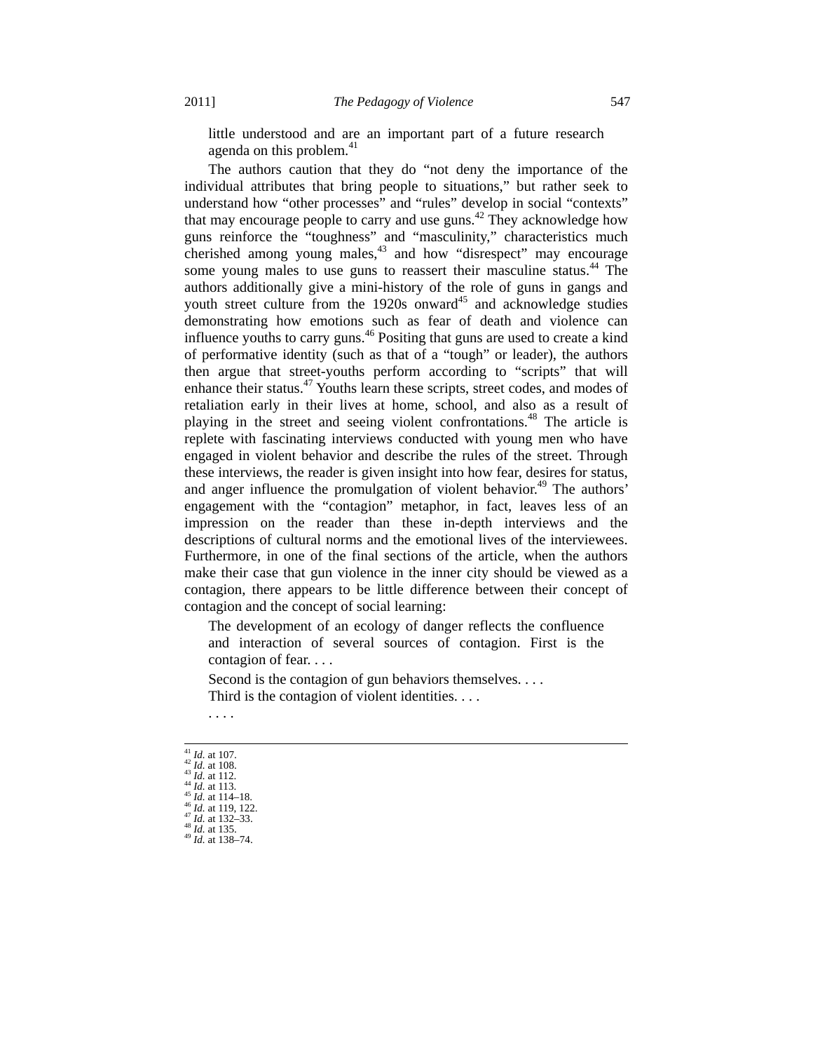little understood and are an important part of a future research agenda on this problem. $41$ 

The authors caution that they do "not deny the importance of the individual attributes that bring people to situations," but rather seek to understand how "other processes" and "rules" develop in social "contexts" that may encourage people to carry and use guns.<sup>42</sup> They acknowledge how guns reinforce the "toughness" and "masculinity," characteristics much cherished among young males,<sup>43</sup> and how "disrespect" may encourage some young males to use guns to reassert their masculine status.<sup>44</sup> The authors additionally give a mini-history of the role of guns in gangs and youth street culture from the  $1920s$  onward<sup>45</sup> and acknowledge studies demonstrating how emotions such as fear of death and violence can influence youths to carry guns.46 Positing that guns are used to create a kind of performative identity (such as that of a "tough" or leader), the authors then argue that street-youths perform according to "scripts" that will enhance their status.<sup>47</sup> Youths learn these scripts, street codes, and modes of retaliation early in their lives at home, school, and also as a result of playing in the street and seeing violent confrontations.<sup>48</sup> The article is replete with fascinating interviews conducted with young men who have engaged in violent behavior and describe the rules of the street. Through these interviews, the reader is given insight into how fear, desires for status, and anger influence the promulgation of violent behavior.<sup>49</sup> The authors' engagement with the "contagion" metaphor, in fact, leaves less of an impression on the reader than these in-depth interviews and the descriptions of cultural norms and the emotional lives of the interviewees. Furthermore, in one of the final sections of the article, when the authors make their case that gun violence in the inner city should be viewed as a contagion, there appears to be little difference between their concept of contagion and the concept of social learning:

The development of an ecology of danger reflects the confluence and interaction of several sources of contagion. First is the contagion of fear. . . .

Second is the contagion of gun behaviors themselves.... Third is the contagion of violent identities. . . .

. . . .

41 *Id.* at 107.<br><sup>42</sup> *Id.* at 108.<br><sup>43</sup> *Id.* at 112.<br><sup>44</sup> *Id.* at 114–18.<br><sup>46</sup> *Id.* at 119, 122.<br><sup>43</sup> *Id.* at 132–33.<br><sup>48</sup> *Id.* at 135.<br><sup>49</sup> *Id.* at 138–74.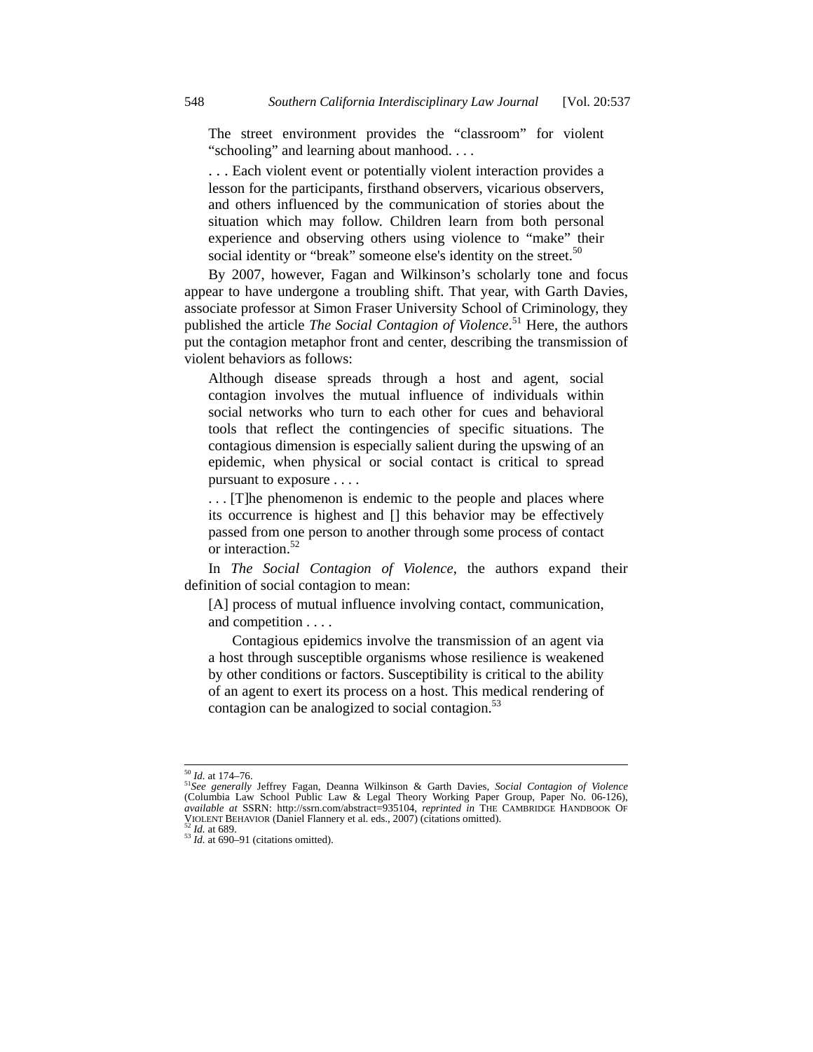The street environment provides the "classroom" for violent "schooling" and learning about manhood. . . .

. . . Each violent event or potentially violent interaction provides a lesson for the participants, firsthand observers, vicarious observers, and others influenced by the communication of stories about the situation which may follow. Children learn from both personal experience and observing others using violence to "make" their social identity or "break" someone else's identity on the street.<sup>50</sup>

By 2007, however, Fagan and Wilkinson's scholarly tone and focus appear to have undergone a troubling shift. That year, with Garth Davies, associate professor at Simon Fraser University School of Criminology, they published the article *The Social Contagion of Violence*. 51 Here, the authors put the contagion metaphor front and center, describing the transmission of violent behaviors as follows:

Although disease spreads through a host and agent, social contagion involves the mutual influence of individuals within social networks who turn to each other for cues and behavioral tools that reflect the contingencies of specific situations. The contagious dimension is especially salient during the upswing of an epidemic, when physical or social contact is critical to spread pursuant to exposure . . . .

. . . [T]he phenomenon is endemic to the people and places where its occurrence is highest and [] this behavior may be effectively passed from one person to another through some process of contact or interaction.<sup>52</sup>

In *The Social Contagion of Violence*, the authors expand their definition of social contagion to mean:

[A] process of mutual influence involving contact, communication, and competition . . . .

 Contagious epidemics involve the transmission of an agent via a host through susceptible organisms whose resilience is weakened by other conditions or factors. Susceptibility is critical to the ability of an agent to exert its process on a host. This medical rendering of contagion can be analogized to social contagion. $53$ 

<sup>50</sup> *Id.* at 174–76. 51*See generally* Jeffrey Fagan, Deanna Wilkinson & Garth Davies, *Social Contagion of Violence*  (Columbia Law School Public Law & Legal Theory Working Paper Group, Paper No. 06-126), available at SSRN: http://ssrn.com/abstract=935104, *reprinted in* THE CAMBRIDGE HANDBOOK OF VIOLENT BEHAVIOR (Daniel Flannery et al. eds., 2007) (citations omitted).<br><sup>52</sup> Id. at 689.<br><sup>52</sup> Id. at 689.<br><sup>53</sup> Id. at 690–91 (c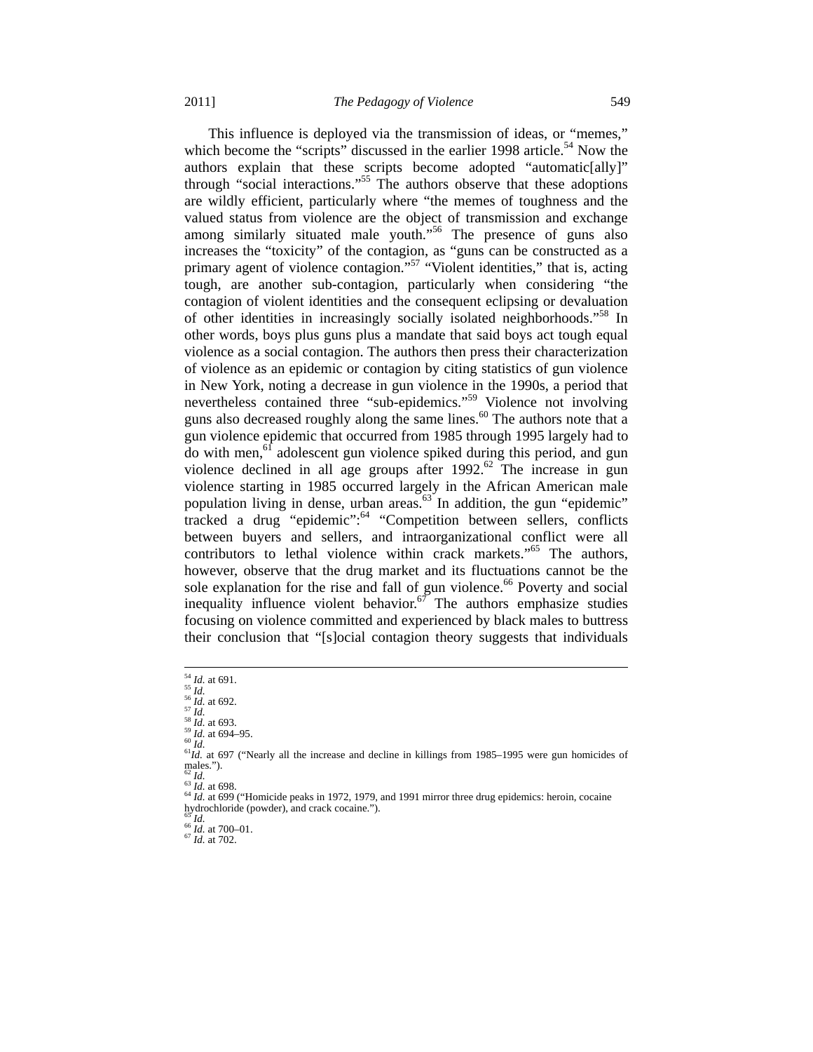This influence is deployed via the transmission of ideas, or "memes," which become the "scripts" discussed in the earlier 1998 article.<sup>54</sup> Now the authors explain that these scripts become adopted "automatic[ally]" through "social interactions."55 The authors observe that these adoptions are wildly efficient, particularly where "the memes of toughness and the valued status from violence are the object of transmission and exchange among similarly situated male youth.<sup>"56</sup> The presence of guns also increases the "toxicity" of the contagion, as "guns can be constructed as a primary agent of violence contagion."<sup>57</sup> "Violent identities," that is, acting tough, are another sub-contagion, particularly when considering "the contagion of violent identities and the consequent eclipsing or devaluation of other identities in increasingly socially isolated neighborhoods."58 In other words, boys plus guns plus a mandate that said boys act tough equal violence as a social contagion. The authors then press their characterization of violence as an epidemic or contagion by citing statistics of gun violence in New York, noting a decrease in gun violence in the 1990s, a period that nevertheless contained three "sub-epidemics."59 Violence not involving guns also decreased roughly along the same lines.<sup>60</sup> The authors note that a gun violence epidemic that occurred from 1985 through 1995 largely had to do with men,<sup>61</sup> adolescent gun violence spiked during this period, and gun violence declined in all age groups after  $1992$ .<sup>62</sup> The increase in gun violence starting in 1985 occurred largely in the African American male population living in dense, urban areas.<sup>63</sup> In addition, the gun "epidemic" tracked a drug "epidemic":64 "Competition between sellers, conflicts between buyers and sellers, and intraorganizational conflict were all contributors to lethal violence within crack markets."<sup>65</sup> The authors, however, observe that the drug market and its fluctuations cannot be the sole explanation for the rise and fall of gun violence.<sup>66</sup> Poverty and social inequality influence violent behavior.<sup>67</sup> The authors emphasize studies focusing on violence committed and experienced by black males to buttress their conclusion that "[s]ocial contagion theory suggests that individuals

<sup>65</sup> *Id.* <sup>66</sup> *Id.* at 700–01. 67 *Id.* at 702.

<sup>&</sup>lt;sup>54</sup> *Id.* at 691.<br>
<sup>55</sup> *Id.*<br>
<sup>55</sup> *Id.* at 692.<br>
<sup>57</sup> *Id.*<br>
<sup>59</sup> *Id.* at 693.<br>
<sup>59</sup> *Id.* at 694–95.<br>
<sup>60</sup> *Id.* at 697 ("Nearly all the increase and decline in killings from 1985–1995 were gun homicides of <sup>61</sup>*Id.* males.").

<sup>&</sup>lt;sup>62</sup> *Id.* at 698.<br><sup>63</sup> *Id.* at 698.<br><sup>64</sup> *Id.* at 699 ("Homicide peaks in 1972, 1979, and 1991 mirror three drug epidemics: heroin, cocaine hydrochloride (powder), and crack cocaine.").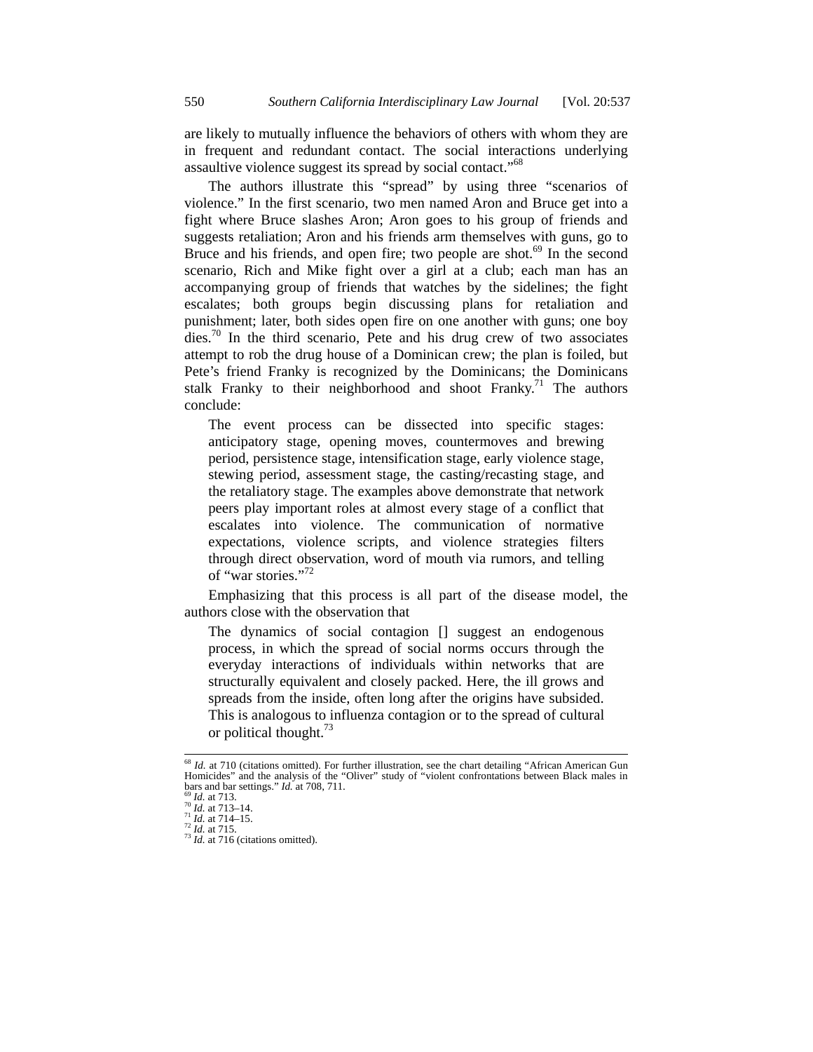are likely to mutually influence the behaviors of others with whom they are in frequent and redundant contact. The social interactions underlying assaultive violence suggest its spread by social contact."<sup>68</sup>

The authors illustrate this "spread" by using three "scenarios of violence." In the first scenario, two men named Aron and Bruce get into a fight where Bruce slashes Aron; Aron goes to his group of friends and suggests retaliation; Aron and his friends arm themselves with guns, go to Bruce and his friends, and open fire; two people are shot.<sup>69</sup> In the second scenario, Rich and Mike fight over a girl at a club; each man has an accompanying group of friends that watches by the sidelines; the fight escalates; both groups begin discussing plans for retaliation and punishment; later, both sides open fire on one another with guns; one boy dies.<sup>70</sup> In the third scenario, Pete and his drug crew of two associates attempt to rob the drug house of a Dominican crew; the plan is foiled, but Pete's friend Franky is recognized by the Dominicans; the Dominicans stalk Franky to their neighborhood and shoot Franky.<sup>71</sup> The authors conclude:

The event process can be dissected into specific stages: anticipatory stage, opening moves, countermoves and brewing period, persistence stage, intensification stage, early violence stage, stewing period, assessment stage, the casting/recasting stage, and the retaliatory stage. The examples above demonstrate that network peers play important roles at almost every stage of a conflict that escalates into violence. The communication of normative expectations, violence scripts, and violence strategies filters through direct observation, word of mouth via rumors, and telling of "war stories."<sup>72</sup>

Emphasizing that this process is all part of the disease model, the authors close with the observation that

The dynamics of social contagion [] suggest an endogenous process, in which the spread of social norms occurs through the everyday interactions of individuals within networks that are structurally equivalent and closely packed. Here, the ill grows and spreads from the inside, often long after the origins have subsided. This is analogous to influenza contagion or to the spread of cultural or political thought.<sup>73</sup>

<sup>&</sup>lt;sup>68</sup> *Id.* at 710 (citations omitted). For further illustration, see the chart detailing "African American Gun Homicides" and the analysis of the "Oliver" study of "violent confrontations between Black males in<br>bars and bar settings." *Id.* at 708, 711.<br><sup>69</sup> *Id.* at 713.<br>7<sup>1</sup> *Id.* at 713-14.<br><sup>71</sup> *Id.* at 714-15.<br><sup>72</sup> *Id.* at 7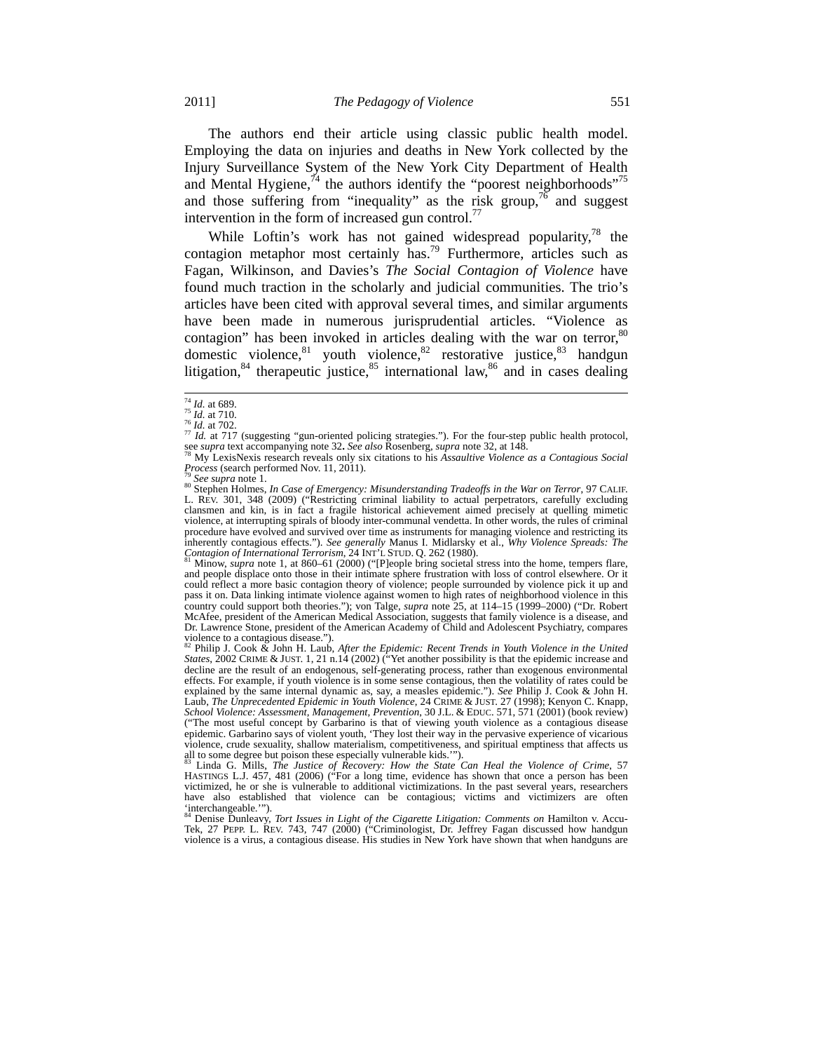The authors end their article using classic public health model. Employing the data on injuries and deaths in New York collected by the Injury Surveillance System of the New York City Department of Health and Mental Hygiene,<sup> $\frac{7}{4}$ </sup> the authors identify the "poorest neighborhoods"<sup>75</sup> and those suffering from "inequality" as the risk group,  $^{76}$  and suggest intervention in the form of increased gun control.<sup>77</sup>

While Loftin's work has not gained widespread popularity, $78$  the contagion metaphor most certainly has.<sup>79</sup> Furthermore, articles such as Fagan, Wilkinson, and Davies's *The Social Contagion of Violence* have found much traction in the scholarly and judicial communities. The trio's articles have been cited with approval several times, and similar arguments have been made in numerous jurisprudential articles. "Violence as contagion" has been invoked in articles dealing with the war on terror, $80$ domestic violence,  $81$  youth violence,  $82$  restorative justice,  $83$  handgun litigation,  $84$  therapeutic justice,  $85$  international law,  $86$  and in cases dealing

and people displace onto those in their intimate sphere frustration with loss of control elsewhere. Or it could reflect a more basic contagion theory of violence; people surrounded by violence pick it up and pass it on. Data linking intimate violence against women to high rates of neighborhood violence in this country could support both theories."); von Talge, *supra* note 25, at 114–15 (1999–2000) ("Dr. Robert McAfee, president of the American Medical Association, suggests that family violence is a disease, and Dr. Lawrence Stone, president of the American Academy of Child and Adolescent Psychiatry, compares

violence to a contagious disease.").<br><sup>82</sup> Philip J. Cook & John H. Laub, *After the Epidemic: Recent Trends in Youth Violence in the United States*, 2002 CRIME & JUST. 1, 21 n.14 (2002) ("Yet another possibility is that th decline are the result of an endogenous, self-generating process, rather than exogenous environmental effects. For example, if youth violence is in some sense contagious, then the volatility of rates could be explained by the same internal dynamic as, say, a measles epidemic."). *See* Philip J. Cook & John H. Laub, *The Unprecedented Epidemic in Youth Violence*, 24 CRIME & JUST. 27 (1998); Kenyon C. Knapp, *School Violence: Assessment, Management, Prevention*, 30 J.L. & EDUC. 571, 571 (2001) (book review) ("The most useful concept by Garbarino is that of viewing youth violence as a contagious disease epidemic. Garbarino says of violent youth, 'They lost their way in the pervasive experience of vicarious violence, crude sexuality, shallow materialism, competitiveness, and spiritual emptiness that affects us all to some degree but poison these especially vulnerable kids."").<br><sup>83</sup> Linda G. Mills, *The Justice of Recovery: Ho* 

As Linda G. Mills, The Justice of Recovery: How the State Can Heal the Violence of Crime, 57<br>HASTINGS L.J. 457, 481 (2006) ("For a long time, evidence has shown that once a person has been victimized, he or she is vulnerable to additional victimizations. In the past several years, researchers have also established that violence can be contagious; victims and victimizers are often 'interchangeable.'"). 84 Denise Dunleavy, *Tort Issues in Light of the Cigarette Litigation: Comments on* Hamilton v. Accu-

Tek, 27 PEPP. L. REV. 743, 747 (2000) ("Criminologist, Dr. Jeffrey Fagan discussed how handgun violence is a virus, a contagious disease. His studies in New York have shown that when handguns are

<sup>&</sup>lt;sup>74</sup> *Id.* at 689.<br><sup>75</sup> *Id.* at 710.<br><sup>76</sup> *Id.* at 702.<br><sup>77</sup> *Id.* at 717 (suggesting "gun-oriented policing strategies."). For the four-step public health protocol,

see *supra* text accompanying note 32. *See also* Rosenberg, *supra* note 32, at 148. *Process* (search reveals only six citations to his *Assaultive Violence as a Contagious Social Process* (search performed Nov. 11, 2011

<sup>&</sup>lt;sup>79</sup> See supra note 1.<br><sup>80</sup> Stephen Holmes, *In Case of Emergency: Misunderstanding Tradeoffs in the War on Terror*, 97 CALIF.<br>L. REV. 301, 348 (2009) ("Restricting criminal liability to actual perpetrators, carefully excl clansmen and kin, is in fact a fragile historical achievement aimed precisely at quelling mimetic violence, at interrupting spirals of bloody inter-communal vendetta. In other words, the rules of criminal procedure have evolved and survived over time as instruments for managing violence and restricting its inherently contagious effects."). *See generally* Manus I. Midlarsky et al., *Why Violence Spreads: The Contagion of International Terrorism*, 24 INT'L STUD. Q. 262 (1980). **81 Minow**, *supra* note 1, at 860–61 (2000) ("[P]eople bring societal stress into the home, tempers flare,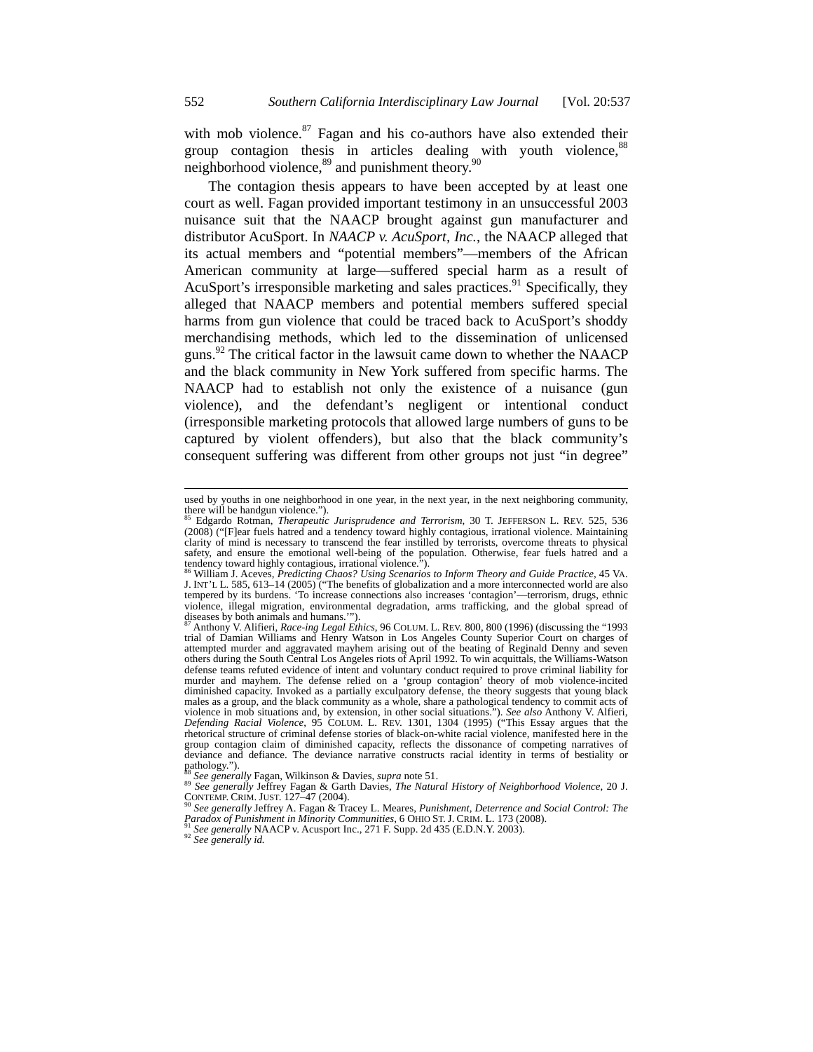with mob violence.<sup>87</sup> Fagan and his co-authors have also extended their group contagion thesis in articles dealing with youth violence,<sup>88</sup> neighborhood violence, $89$  and punishment theory. $90$ 

The contagion thesis appears to have been accepted by at least one court as well. Fagan provided important testimony in an unsuccessful 2003 nuisance suit that the NAACP brought against gun manufacturer and distributor AcuSport. In *NAACP v. AcuSport, Inc.*, the NAACP alleged that its actual members and "potential members"—members of the African American community at large—suffered special harm as a result of AcuSport's irresponsible marketing and sales practices.<sup>91</sup> Specifically, they alleged that NAACP members and potential members suffered special harms from gun violence that could be traced back to AcuSport's shoddy merchandising methods, which led to the dissemination of unlicensed guns.<sup>92</sup> The critical factor in the lawsuit came down to whether the NAACP and the black community in New York suffered from specific harms. The NAACP had to establish not only the existence of a nuisance (gun violence), and the defendant's negligent or intentional conduct (irresponsible marketing protocols that allowed large numbers of guns to be captured by violent offenders), but also that the black community's consequent suffering was different from other groups not just "in degree"

used by youths in one neighborhood in one year, in the next year, in the next neighboring community, there will be handgun violence.").

Edgardo Rotman, *Therapeutic Jurisprudence and Terrorism*, 30 T. JEFFERSON L. REV. 525, 536 (2008) ("[F]ear fuels hatred and a tendency toward highly contagious, irrational violence. Maintaining clarity of mind is necessary to transcend the fear instilled by terrorists, overcome threats to physical safety, and ensure the emotional well-being of the population. Otherwise, fear fuels hatred and a tendency toward highly contagious, irrational violence.").

William J. Aceves, Predicting Chaos? Using Scenarios to Inform Theory and Guide Practice, 45 VA. J. INT'L L. 585, 613–14 (2005) ("The benefits of globalization and a more interconnected world are also tempered by its burdens. 'To increase connections also increases 'contagion'—terrorism, drugs, ethnic violence, illegal migration, environmental degradation, arms trafficking, and the global spread of diseases by both animals and humans.'"). 87 Anthony V. Alifieri, *Race-ing Legal Ethics*, 96 COLUM. L. REV. 800, 800 (1996) (discussing the "1993

trial of Damian Williams and Henry Watson in Los Angeles County Superior Court on charges of attempted murder and aggravated mayhem arising out of the beating of Reginald Denny and seven others during the South Central Los Angeles riots of April 1992. To win acquittals, the Williams-Watson defense teams refuted evidence of intent and voluntary conduct required to prove criminal liability for murder and mayhem. The defense relied on a 'group contagion' theory of mob violence-incited diminished capacity. Invoked as a partially exculpatory defense, the theory suggests that young black males as a group, and the black community as a whole, share a pathological tendency to commit acts of violence in mob situations and, by extension, in other social situations."). *See also* Anthony V. Alfieri, *Defending Racial Violence*, 95 COLUM. L. REV. 1301, 1304 (1995) ("This Essay argues that the rhetorical structure of criminal defense stories of black-on-white racial violence, manifested here in the group contagion claim of diminished capacity, reflects the dissonance of competing narratives of deviance and defiance. The deviance narrative constructs racial identity in terms of bestiality or pathology.").

<sup>88</sup> See generally Fagan, Wilkinson & Davies, *supra* note 51.<br><sup>89</sup> *See generally* Jeffrey Fagan & Garth Davies, *The Natural History of Neighborhood Violence*, 20 J.<br>CONTEMP. CRIM. JUST. 127–47 (2004).

<sup>&</sup>lt;sup>90</sup> See generally Jeffrey A. Fagan & Tracey L. Meares, *Punishment, Deterrence and Social Control: The Paradox of Punishment in Minority Communities, 6 OHIO ST. J. CRIM. L. 173 (2008).* 

<sup>&</sup>lt;sup>91</sup> *See generally* NAACP v. Acusport Inc., 271 F. Supp. 2d 435 (E.D.N.Y. 2003). <sup>92</sup> *See generally id.*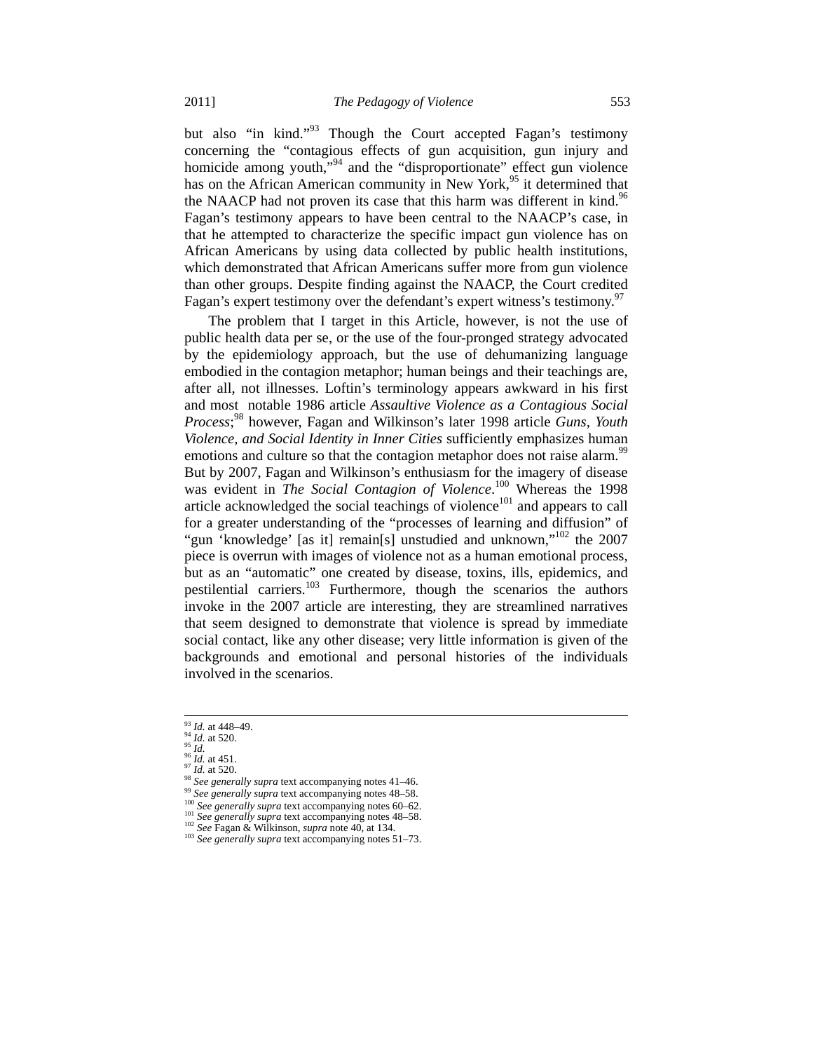but also "in kind."<sup>93</sup> Though the Court accepted Fagan's testimony concerning the "contagious effects of gun acquisition, gun injury and homicide among youth,"<sup>94</sup> and the "disproportionate" effect gun violence has on the African American community in New York,<sup>95</sup> it determined that the NAACP had not proven its case that this harm was different in kind.<sup>96</sup> Fagan's testimony appears to have been central to the NAACP's case, in that he attempted to characterize the specific impact gun violence has on African Americans by using data collected by public health institutions, which demonstrated that African Americans suffer more from gun violence than other groups. Despite finding against the NAACP, the Court credited Fagan's expert testimony over the defendant's expert witness's testimony.<sup>97</sup>

The problem that I target in this Article, however, is not the use of public health data per se, or the use of the four-pronged strategy advocated by the epidemiology approach, but the use of dehumanizing language embodied in the contagion metaphor; human beings and their teachings are, after all, not illnesses. Loftin's terminology appears awkward in his first and most notable 1986 article *Assaultive Violence as a Contagious Social Process*; 98 however, Fagan and Wilkinson's later 1998 article *Guns, Youth Violence, and Social Identity in Inner Cities* sufficiently emphasizes human emotions and culture so that the contagion metaphor does not raise alarm.<sup>99</sup> But by 2007, Fagan and Wilkinson's enthusiasm for the imagery of disease was evident in *The Social Contagion of Violence*. <sup>100</sup> Whereas the 1998 article acknowledged the social teachings of violence<sup>101</sup> and appears to call for a greater understanding of the "processes of learning and diffusion" of "gun 'knowledge' [as it] remain[s] unstudied and unknown,"102 the 2007 piece is overrun with images of violence not as a human emotional process, but as an "automatic" one created by disease, toxins, ills, epidemics, and pestilential carriers.103 Furthermore, though the scenarios the authors invoke in the 2007 article are interesting, they are streamlined narratives that seem designed to demonstrate that violence is spread by immediate social contact, like any other disease; very little information is given of the backgrounds and emotional and personal histories of the individuals involved in the scenarios.

<sup>&</sup>lt;sup>93</sup> *Id.* at 448–49.<br>
<sup>94</sup> *Id.* at 520.<br>
<sup>97</sup> *Id.* at 451.<br>
<sup>97</sup> *Id.* at 451.<br>
<sup>97</sup> *Id.* at 520.<br>
<sup>98</sup> See generally supra text accompanying notes 41–46.<br>
<sup>99</sup> See generally supra text accompanying notes 48–58.<br>
<sup>100</sup>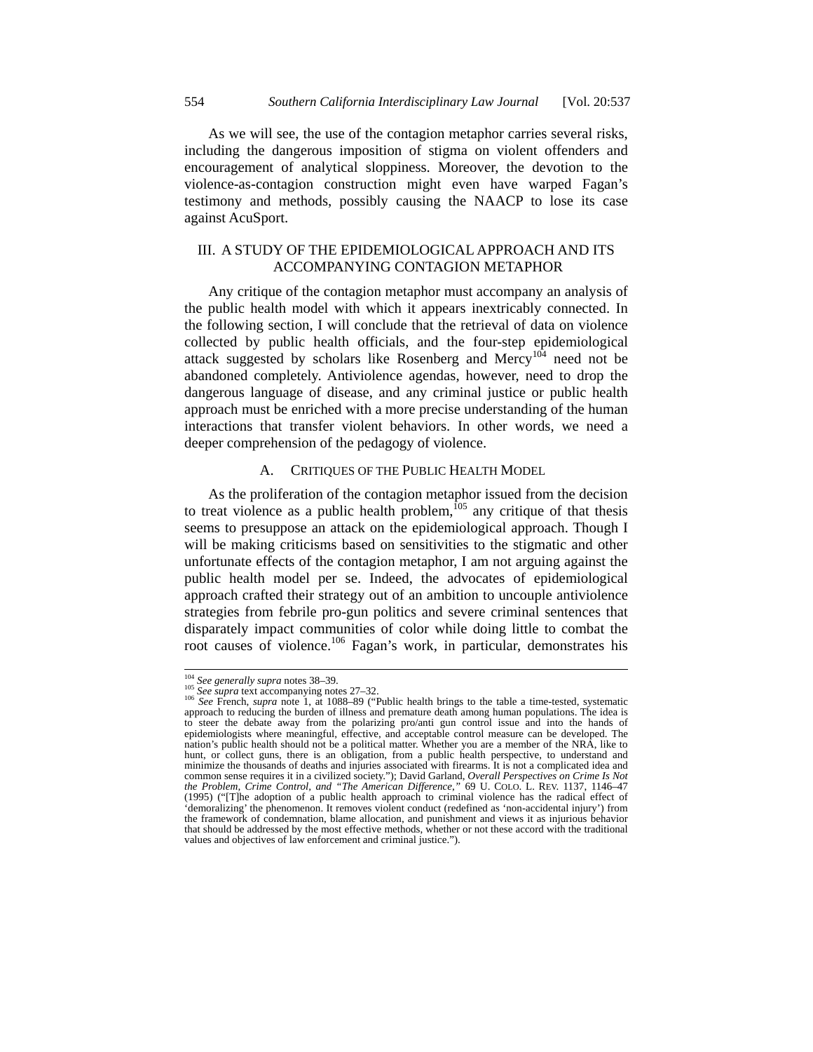As we will see, the use of the contagion metaphor carries several risks, including the dangerous imposition of stigma on violent offenders and encouragement of analytical sloppiness. Moreover, the devotion to the violence-as-contagion construction might even have warped Fagan's testimony and methods, possibly causing the NAACP to lose its case against AcuSport.

# III. A STUDY OF THE EPIDEMIOLOGICAL APPROACH AND ITS ACCOMPANYING CONTAGION METAPHOR

Any critique of the contagion metaphor must accompany an analysis of the public health model with which it appears inextricably connected. In the following section, I will conclude that the retrieval of data on violence collected by public health officials, and the four-step epidemiological attack suggested by scholars like Rosenberg and Mercy<sup>104</sup> need not be abandoned completely. Antiviolence agendas, however, need to drop the dangerous language of disease, and any criminal justice or public health approach must be enriched with a more precise understanding of the human interactions that transfer violent behaviors. In other words, we need a deeper comprehension of the pedagogy of violence.

### A. CRITIQUES OF THE PUBLIC HEALTH MODEL

As the proliferation of the contagion metaphor issued from the decision to treat violence as a public health problem,<sup>105</sup> any critique of that thesis seems to presuppose an attack on the epidemiological approach. Though I will be making criticisms based on sensitivities to the stigmatic and other unfortunate effects of the contagion metaphor, I am not arguing against the public health model per se. Indeed, the advocates of epidemiological approach crafted their strategy out of an ambition to uncouple antiviolence strategies from febrile pro-gun politics and severe criminal sentences that disparately impact communities of color while doing little to combat the root causes of violence.<sup>106</sup> Fagan's work, in particular, demonstrates his

<sup>&</sup>lt;sup>104</sup> *See generally supra* notes 38–39.<br><sup>105</sup> *See supra* text accompanying notes 27–32.<br><sup>106</sup> *See* French, *supra* note 1, at 1088–89 ("Public health brings to the table a time-tested, systematic <sup>106</sup> *See* French, *su* approach to reducing the burden of illness and premature death among human populations. The idea is to steer the debate away from the polarizing pro/anti gun control issue and into the hands of epidemiologists where meaningful, effective, and acceptable control measure can be developed. The nation's public health should not be a political matter. Whether you are a member of the NRA, like to hunt, or collect guns, there is an obligation, from a public health perspective, to understand and minimize the thousands of deaths and injuries associated with firearms. It is not a complicated idea and common sense requires it in a civilized society."); David Garland, *Overall Perspectives on Crime Is Not the Problem, Crime Control, and "The American Difference*,*"* 69 U. COLO. L. REV. 1137, 1146–47 (1995) ("[T]he adoption of a public health approach to criminal violence has the radical effect of 'demoralizing' the phenomenon. It removes violent conduct (redefined as 'non-accidental injury') from the framework of condemnation, blame allocation, and punishment and views it as injurious behavior that should be addressed by the most effective methods, whether or not these accord with the traditional values and objectives of law enforcement and criminal justice.").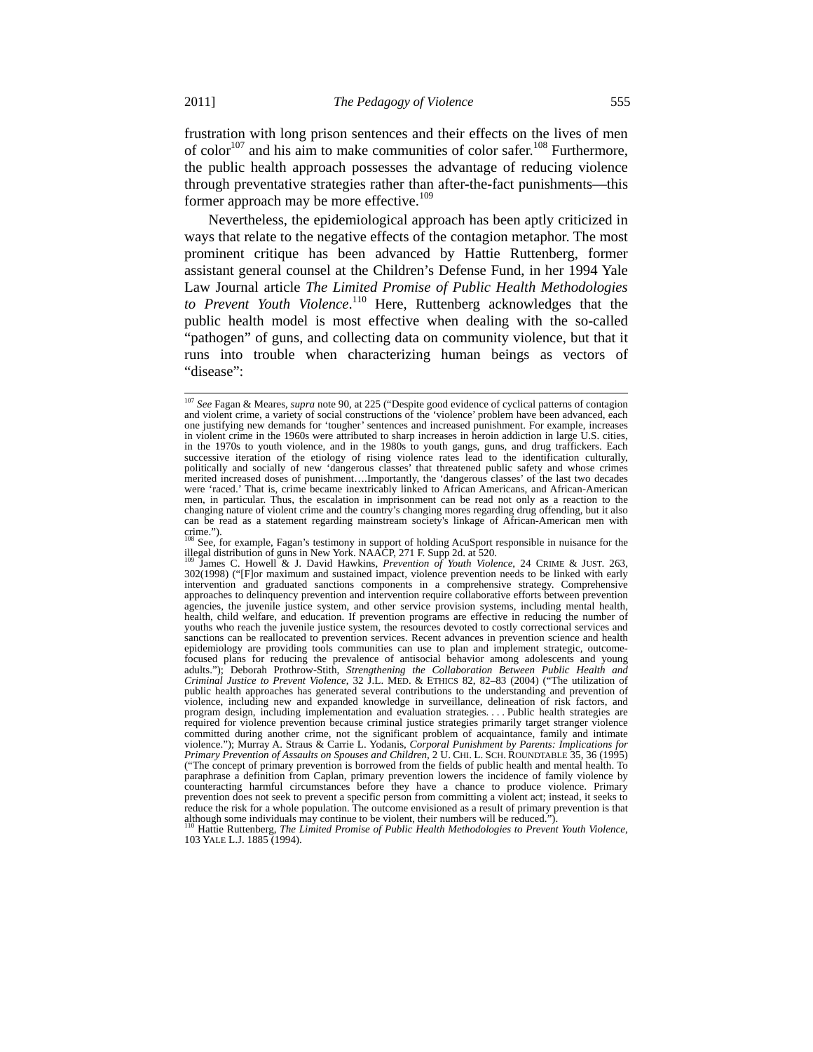frustration with long prison sentences and their effects on the lives of men of color<sup>107</sup> and his aim to make communities of color safer.<sup>108</sup> Furthermore, the public health approach possesses the advantage of reducing violence through preventative strategies rather than after-the-fact punishments—this former approach may be more effective.<sup>109</sup>

Nevertheless, the epidemiological approach has been aptly criticized in ways that relate to the negative effects of the contagion metaphor. The most prominent critique has been advanced by Hattie Ruttenberg, former assistant general counsel at the Children's Defense Fund, in her 1994 Yale Law Journal article *The Limited Promise of Public Health Methodologies to Prevent Youth Violence*. 110 Here, Ruttenberg acknowledges that the public health model is most effective when dealing with the so-called "pathogen" of guns, and collecting data on community violence, but that it runs into trouble when characterizing human beings as vectors of "disease":

 <sup>107</sup> *See* Fagan & Meares, *supra* note 90, at 225 ("Despite good evidence of cyclical patterns of contagion and violent crime, a variety of social constructions of the 'violence' problem have been advanced, each one justifying new demands for 'tougher' sentences and increased punishment. For example, increases in violent crime in the 1960s were attributed to sharp increases in heroin addiction in large U.S. cities, in the 1970s to youth violence, and in the 1980s to youth gangs, guns, and drug traffickers. Each successive iteration of the etiology of rising violence rates lead to the identification culturally, politically and socially of new 'dangerous classes' that threatened public safety and whose crimes merited increased doses of punishment….Importantly, the 'dangerous classes' of the last two decades were 'raced.' That is, crime became inextricably linked to African Americans, and African-American men, in particular. Thus, the escalation in imprisonment can be read not only as a reaction to the changing nature of violent crime and the country's changing mores regarding drug offending, but it also can be read as a statement regarding mainstream society's linkage of African-American men with crime.").

<sup>&</sup>lt;sup>108</sup> See, for example, Fagan's testimony in support of holding AcuSport responsible in nuisance for the illegal distribution of guns in New York. NAACP, 271 F. Supp 2d. at 520.<br><sup>109</sup> James C. Howell & J. David Hawkins, *P* 

<sup>302(1998) (&</sup>quot;[F]or maximum and sustained impact, violence prevention needs to be linked with early intervention and graduated sanctions components in a comprehensive strategy. Comprehensive approaches to delinquency prevention and intervention require collaborative efforts between prevention agencies, the juvenile justice system, and other service provision systems, including mental health, health, child welfare, and education. If prevention programs are effective in reducing the number of youths who reach the juvenile justice system, the resources devoted to costly correctional services and sanctions can be reallocated to prevention services. Recent advances in prevention science and health epidemiology are providing tools communities can use to plan and implement strategic, outcome-focused plans for reducing the prevalence of antisocial behavior among adolescents and young adults."); Deborah Prothrow-Stith, *Strengthening the Collaboration Between Public Health and Criminal Justice to Prevent Violence*, 32 J.L. MED. & ETHICS 82, 82–83 (2004) ("The utilization of public health approaches has generated several contributions to the understanding and prevention of violence, including new and expanded knowledge in surveillance, delineation of risk factors, and program design, including implementation and evaluation strategies. . . . Public health strategies are required for violence prevention because criminal justice strategies primarily target stranger violence committed during another crime, not the significant problem of acquaintance, family and intimate violence."); Murray A. Straus & Carrie L. Yodanis, *Corporal Punishment by Parents: Implications for Primary Prevention of Assaults on Spouses and Children*, 2 U. CHI. L. SCH. ROUNDTABLE 35, 36 (1995) ("The concept of primary prevention is borrowed from the fields of public health and mental health. To paraphrase a definition from Caplan, primary prevention lowers the incidence of family violence by counteracting harmful circumstances before they have a chance to produce violence. Primary prevention does not seek to prevent a specific person from committing a violent act; instead, it seeks to reduce the risk for a whole population. The outcome envisioned as a result of primary prevention is that although some individuals may continue to be violent, their numbers will be reduced."). 110 Hattie Ruttenberg, *The Limited Promise of Public Health Methodologies to Prevent Youth Violence*,

<sup>103</sup> YALE L.J. 1885 (1994).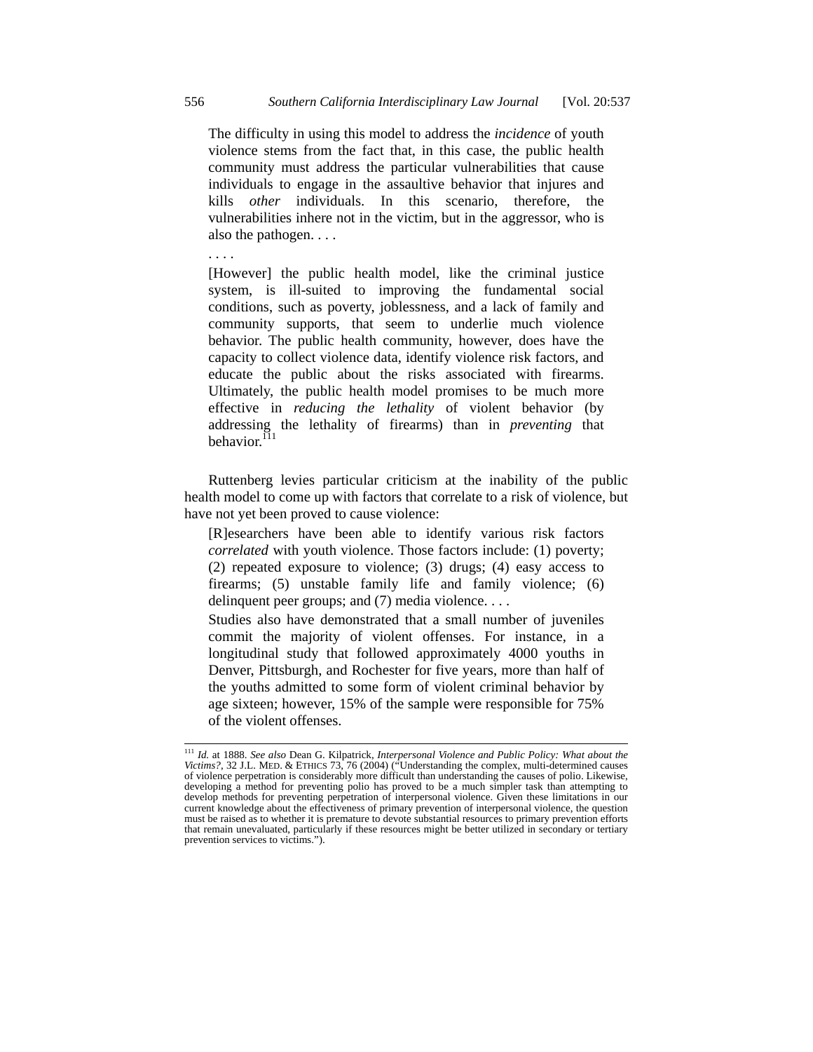The difficulty in using this model to address the *incidence* of youth violence stems from the fact that, in this case, the public health community must address the particular vulnerabilities that cause individuals to engage in the assaultive behavior that injures and kills *other* individuals. In this scenario, therefore, the vulnerabilities inhere not in the victim, but in the aggressor, who is also the pathogen. . . .

[However] the public health model, like the criminal justice system, is ill-suited to improving the fundamental social conditions, such as poverty, joblessness, and a lack of family and community supports, that seem to underlie much violence behavior. The public health community, however, does have the capacity to collect violence data, identify violence risk factors, and educate the public about the risks associated with firearms. Ultimately, the public health model promises to be much more effective in *reducing the lethality* of violent behavior (by addressing the lethality of firearms) than in *preventing* that behavior.<sup>111</sup>

Ruttenberg levies particular criticism at the inability of the public health model to come up with factors that correlate to a risk of violence, but have not yet been proved to cause violence:

[R]esearchers have been able to identify various risk factors *correlated* with youth violence. Those factors include: (1) poverty; (2) repeated exposure to violence; (3) drugs; (4) easy access to firearms; (5) unstable family life and family violence; (6) delinquent peer groups; and (7) media violence. . . .

Studies also have demonstrated that a small number of juveniles commit the majority of violent offenses. For instance, in a longitudinal study that followed approximately 4000 youths in Denver, Pittsburgh, and Rochester for five years, more than half of the youths admitted to some form of violent criminal behavior by age sixteen; however, 15% of the sample were responsible for 75% of the violent offenses.

. . . .

 <sup>111</sup> *Id.* at 1888. *See also* Dean G. Kilpatrick, *Interpersonal Violence and Public Policy: What about the*  Victims?, 32 J.L. MED. & ETHICS 73, 76 (2004) ("Understanding the complex, multi-determined causes of violence perpetration is considerably more difficult than understanding the causes of polio. Likewise, developing a method for preventing polio has proved to be a much simpler task than attempting to develop methods for preventing perpetration of interpersonal violence. Given these limitations in our current knowledge about the effectiveness of primary prevention of interpersonal violence, the question must be raised as to whether it is premature to devote substantial resources to primary prevention efforts that remain unevaluated, particularly if these resources might be better utilized in secondary or tertiary prevention services to victims.").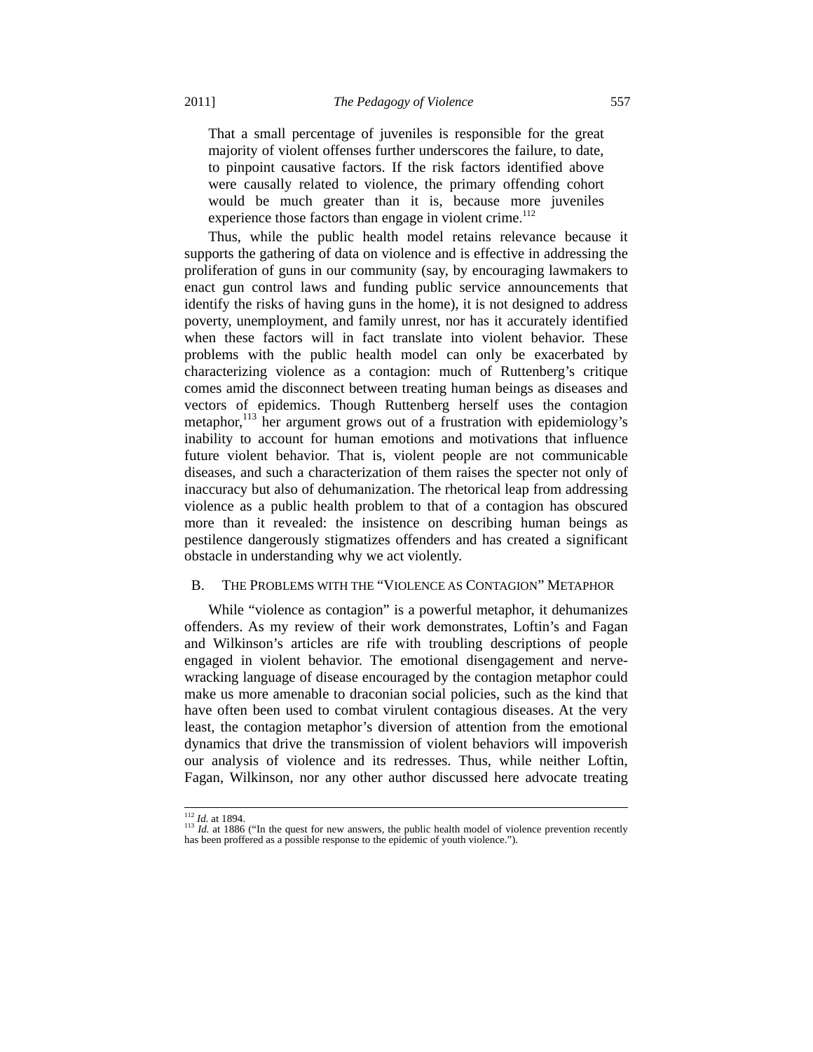That a small percentage of juveniles is responsible for the great majority of violent offenses further underscores the failure, to date, to pinpoint causative factors. If the risk factors identified above were causally related to violence, the primary offending cohort would be much greater than it is, because more juveniles experience those factors than engage in violent crime.<sup>112</sup>

Thus, while the public health model retains relevance because it supports the gathering of data on violence and is effective in addressing the proliferation of guns in our community (say, by encouraging lawmakers to enact gun control laws and funding public service announcements that identify the risks of having guns in the home), it is not designed to address poverty, unemployment, and family unrest, nor has it accurately identified when these factors will in fact translate into violent behavior. These problems with the public health model can only be exacerbated by characterizing violence as a contagion: much of Ruttenberg's critique comes amid the disconnect between treating human beings as diseases and vectors of epidemics. Though Ruttenberg herself uses the contagion metaphor, $^{113}$  her argument grows out of a frustration with epidemiology's inability to account for human emotions and motivations that influence future violent behavior. That is, violent people are not communicable diseases, and such a characterization of them raises the specter not only of inaccuracy but also of dehumanization. The rhetorical leap from addressing violence as a public health problem to that of a contagion has obscured more than it revealed: the insistence on describing human beings as pestilence dangerously stigmatizes offenders and has created a significant obstacle in understanding why we act violently.

## B. THE PROBLEMS WITH THE "VIOLENCE AS CONTAGION" METAPHOR

While "violence as contagion" is a powerful metaphor, it dehumanizes offenders. As my review of their work demonstrates, Loftin's and Fagan and Wilkinson's articles are rife with troubling descriptions of people engaged in violent behavior. The emotional disengagement and nervewracking language of disease encouraged by the contagion metaphor could make us more amenable to draconian social policies, such as the kind that have often been used to combat virulent contagious diseases. At the very least, the contagion metaphor's diversion of attention from the emotional dynamics that drive the transmission of violent behaviors will impoverish our analysis of violence and its redresses. Thus, while neither Loftin, Fagan, Wilkinson, nor any other author discussed here advocate treating

<sup>&</sup>lt;sup>112</sup> *Id.* at 1894. 113 *Id.* at 1886 ("In the quest for new answers, the public health model of violence prevention recently has been proffered as a possible response to the epidemic of youth violence.").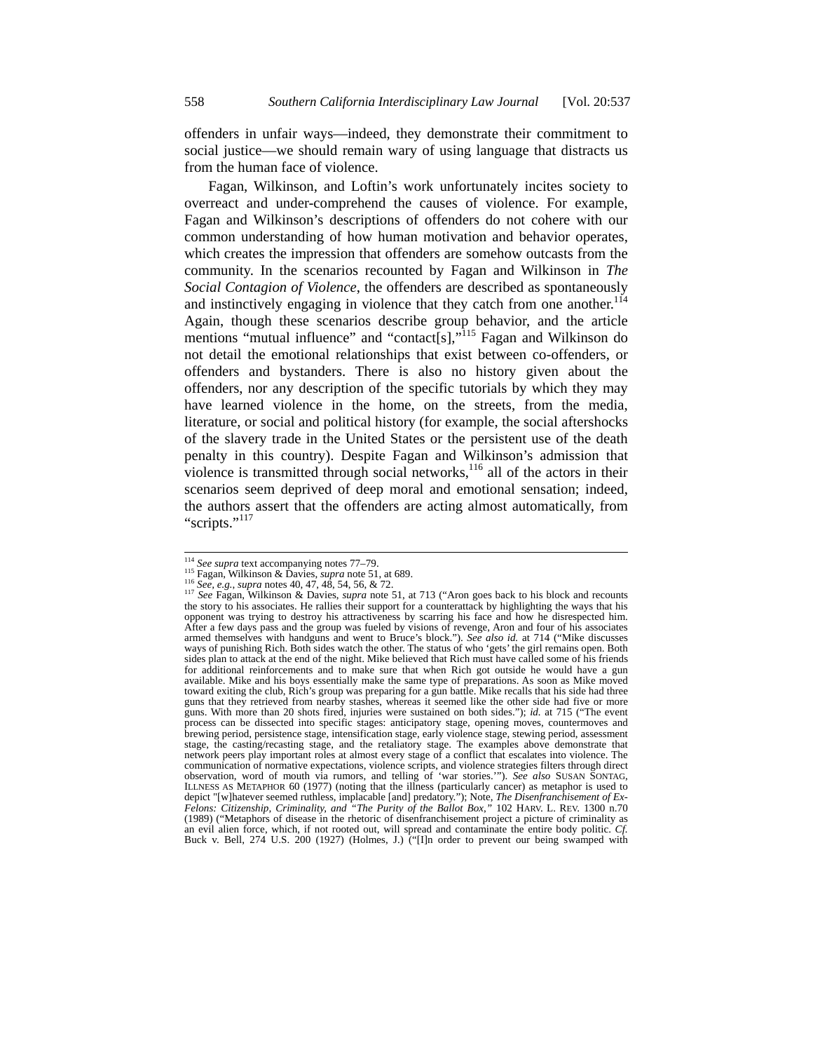offenders in unfair ways—indeed, they demonstrate their commitment to social justice—we should remain wary of using language that distracts us from the human face of violence.

Fagan, Wilkinson, and Loftin's work unfortunately incites society to overreact and under-comprehend the causes of violence. For example, Fagan and Wilkinson's descriptions of offenders do not cohere with our common understanding of how human motivation and behavior operates, which creates the impression that offenders are somehow outcasts from the community. In the scenarios recounted by Fagan and Wilkinson in *The Social Contagion of Violence*, the offenders are described as spontaneously and instinctively engaging in violence that they catch from one another.<sup>114</sup> Again, though these scenarios describe group behavior, and the article mentions "mutual influence" and "contact[s],"<sup>115</sup> Fagan and Wilkinson do not detail the emotional relationships that exist between co-offenders, or offenders and bystanders. There is also no history given about the offenders, nor any description of the specific tutorials by which they may have learned violence in the home, on the streets, from the media, literature, or social and political history (for example, the social aftershocks of the slavery trade in the United States or the persistent use of the death penalty in this country). Despite Fagan and Wilkinson's admission that violence is transmitted through social networks, $116$  all of the actors in their scenarios seem deprived of deep moral and emotional sensation; indeed, the authors assert that the offenders are acting almost automatically, from "scripts."<sup>117</sup>

<sup>&</sup>lt;sup>114</sup> See supra text accompanying notes 77–79.<br><sup>115</sup> Fagan, Wilkinson & Davies, *supra* note 51, at 689.<br><sup>116</sup> See, e.g., *supra* notes 40, 47, 48, 54, 56, & 72.<br><sup>117</sup> See Fagan, Wilkinson & Davies, *supra* note 51, at 71 the story to his associates. He rallies their support for a counterattack by highlighting the ways that his opponent was trying to destroy his attractiveness by scarring his face and how he disrespected him. After a few days pass and the group was fueled by visions of revenge, Aron and four of his associates armed themselves with handguns and went to Bruce's block."). *See also id.* at 714 ("Mike discusses ways of punishing Rich. Both sides watch the other. The status of who 'gets' the girl remains open. Both sides plan to attack at the end of the night. Mike believed that Rich must have called some of his friends for additional reinforcements and to make sure that when Rich got outside he would have a gun available. Mike and his boys essentially make the same type of preparations. As soon as Mike moved toward exiting the club, Rich's group was preparing for a gun battle. Mike recalls that his side had three guns that they retrieved from nearby stashes, whereas it seemed like the other side had five or more guns. With more than 20 shots fired, injuries were sustained on both sides."); *id.* at 715 ("The event process can be dissected into specific stages: anticipatory stage, opening moves, countermoves and brewing period, persistence stage, intensification stage, early violence stage, stewing period, assessment stage, the casting/recasting stage, and the retaliatory stage. The examples above demonstrate that network peers play important roles at almost every stage of a conflict that escalates into violence. The communication of normative expectations, violence scripts, and violence strategies filters through direct observation, word of mouth via rumors, and telling of 'war stories.'"). See also SUSAN SONTAG, ILLNESS AS METAPHOR 6 depict "[w]hatever seemed ruthless, implacable [and] predatory."); Note, *The Disenfranchisement of Ex-Felons: Citizenship, Criminality, and "The Purity of the Ballot Box," 102 HARV. L. REV. 1300 n.70* (1989) ("Metaphors of disease in the rhetoric of disenfranchisement project a picture of criminality as an evil alien force, which, if not rooted out, will spread and contaminate the entire body politic. *Cf.* Buck v. Bell, 274 U.S. 200 (1927) (Holmes, J.) ("[I]n order to prevent our being swamped with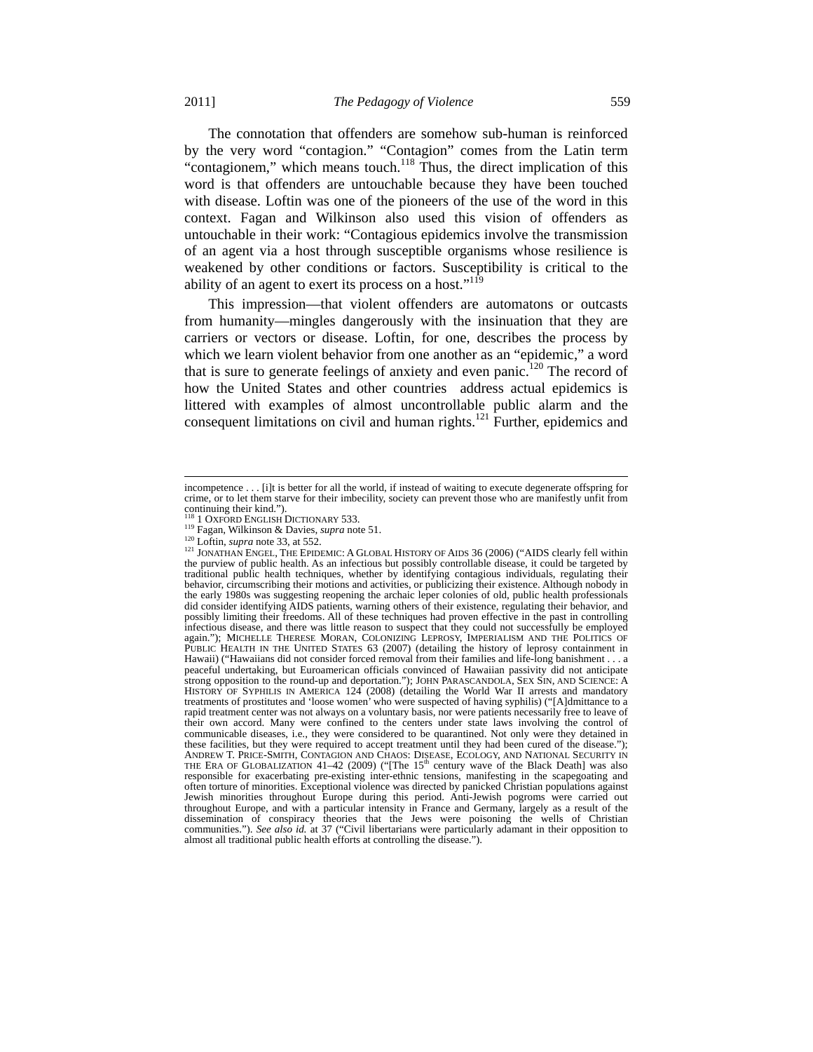The connotation that offenders are somehow sub-human is reinforced by the very word "contagion." "Contagion" comes from the Latin term "contagionem," which means touch.<sup>118</sup> Thus, the direct implication of this word is that offenders are untouchable because they have been touched with disease. Loftin was one of the pioneers of the use of the word in this context. Fagan and Wilkinson also used this vision of offenders as untouchable in their work: "Contagious epidemics involve the transmission of an agent via a host through susceptible organisms whose resilience is weakened by other conditions or factors. Susceptibility is critical to the ability of an agent to exert its process on a host."<sup>119</sup>

This impression—that violent offenders are automatons or outcasts from humanity—mingles dangerously with the insinuation that they are carriers or vectors or disease. Loftin, for one, describes the process by which we learn violent behavior from one another as an "epidemic," a word that is sure to generate feelings of anxiety and even panic.<sup>120</sup> The record of how the United States and other countries address actual epidemics is littered with examples of almost uncontrollable public alarm and the consequent limitations on civil and human rights.<sup>121</sup> Further, epidemics and

incompetence . . . [i]t is better for all the world, if instead of waiting to execute degenerate offspring for crime, or to let them starve for their imbecility, society can prevent those who are manifestly unfit from continuing their kind.").<br><sup>118</sup> 1 OXFORD ENGLISH DICTIONARY 533.

<sup>&</sup>lt;sup>119</sup> Fagan, Wilkinson & Davies, *supra* note 51.<br><sup>120</sup> Loftin, *supra* note 33, at 552.<br><sup>121</sup> JONATHAN ENGEL, THE EPIDEMIC: A GLOBAL HISTORY OF AIDS 36 (2006) ("AIDS clearly fell within the purview of public health. As an infectious but possibly controllable disease, it could be targeted by traditional public health techniques, whether by identifying contagious individuals, regulating their behavior, circumscribing their motions and activities, or publicizing their existence. Although nobody in the early 1980s was suggesting reopening the archaic leper colonies of old, public health professionals did consider identifying AIDS patients, warning others of their existence, regulating their behavior, and possibly limiting their freedoms. All of these techniques had proven effective in the past in controlling infectious disease, and there was little reason to suspect that they could not successfully be employed again."); MICHELLE THERESE MORAN, COLONIZING LEPROSY, IMPERIALISM AND THE POLITICS OF PUBLIC HEALTH IN THE UNITED STATES 63 (2007) (detailing the history of leprosy containment in Hawaii) ("Hawaiians did not consider forced removal from their families and life-long banishment . . . a peaceful undertaking, but Euroamerican officials convinced of Hawaiian passivity did not anticipate strong opposition to the round-up and deportation."); JOHN PARASCANDOLA, SEX SIN, AND SCIENCE: A HISTORY OF SYPHILIS IN AMERICA 124 (2008) (detailing the World War II arrests and mandatory treatments of prostitutes and 'loose women' who were suspected of having syphilis) ("[A]dmittance to a rapid treatment center was not always on a voluntary basis, nor were patients necessarily free to leave of their own accord. Many were confined to the centers under state laws involving the control of communicable diseases, i.e., they were considered to be quarantined. Not only were they detained in these facilities, but they were required to accept treatment until they had been cured of the disease."); ANDREW T. PRICE-SMITH, CONTAGION AND CHAOS: DISEASE, ECOLOGY, AND NATIONAL SECURITY IN THE ERA OF GLOBALIZATION 41-42 (2009) ("[The  $15<sup>th</sup>$  century wave of the Black Death] was also responsible for exacerbating pre-existing inter-ethnic tensions, manifesting in the scapegoating and often torture of minorities. Exceptional violence was directed by panicked Christian populations against Jewish minorities throughout Europe during this period. Anti-Jewish pogroms were carried out throughout Europe, and with a particular intensity in France and Germany, largely as a result of the dissemination of conspiracy theories that the Jews were poisoning the wells of Christian communities."). *See also id.* at 37 ("Civil libertarians were particularly adamant in their opposition to almost all traditional public health efforts at controlling the disease.").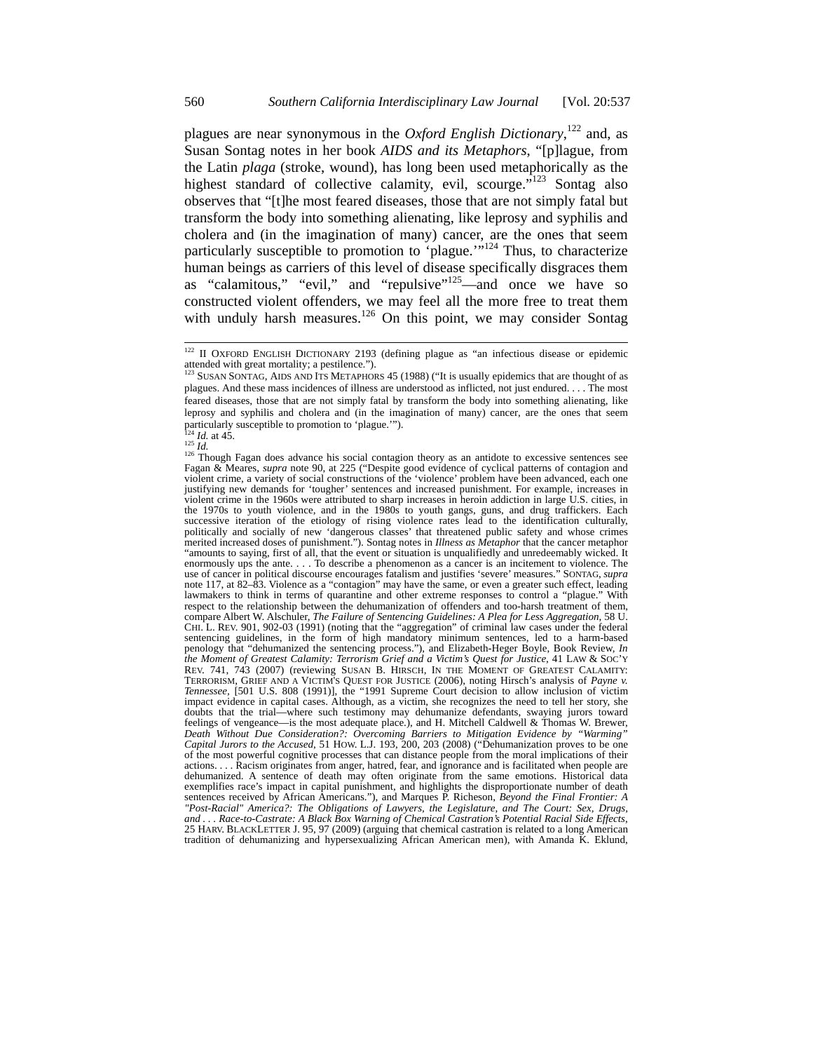plagues are near synonymous in the *Oxford English Dictionary*,<sup>122</sup> and, as Susan Sontag notes in her book *AIDS and its Metaphors*, "[p]lague, from the Latin *plaga* (stroke, wound), has long been used metaphorically as the highest standard of collective calamity, evil, scourge.<sup>"123</sup> Sontag also observes that "[t]he most feared diseases, those that are not simply fatal but transform the body into something alienating, like leprosy and syphilis and cholera and (in the imagination of many) cancer, are the ones that seem particularly susceptible to promotion to 'plague.' $124$  Thus, to characterize human beings as carriers of this level of disease specifically disgraces them as "calamitous," "evil," and "repulsive"<sup>125</sup>—and once we have so constructed violent offenders, we may feel all the more free to treat them with unduly harsh measures.<sup>126</sup> On this point, we may consider Sontag

<sup>&</sup>lt;sup>122</sup> II OXFORD ENGLISH DICTIONARY 2193 (defining plague as "an infectious disease or epidemic attended with great mortality; a pestilence.").<br><sup>123</sup> SUSAN SONTAG, AIDS AND ITS METAPHORS 45 (1988) ("It is usually epidemics that are thought of as

plagues. And these mass incidences of illness are understood as inflicted, not just endured. . . . The most feared diseases, those that are not simply fatal by transform the body into something alienating, like leprosy and syphilis and cholera and (in the imagination of many) cancer, are the ones that seem particularly susceptible to promotion to 'plague.'").

particularly susceptible to promotion to 'plague.'").<br><sup>124</sup> *Id.* at 45.<br><sup>125</sup> *Id.*<br><sup>126</sup> Though Fagan does advance his social contagion theory as an antidote to excessive sentences see<br><sup>126</sup> Though Fagan does advance 90, violent crime, a variety of social constructions of the 'violence' problem have been advanced, each one justifying new demands for 'tougher' sentences and increased punishment. For example, increases in violent crime in the 1960s were attributed to sharp increases in heroin addiction in large U.S. cities, in the 1970s to youth violence, and in the 1980s to youth gangs, guns, and drug traffickers. Each successive iteration of the etiology of rising violence rates lead to the identification culturally, politically and socially of new 'dangerous classes' that threatened public safety and whose crimes merited increased doses of punishment."). Sontag notes in *Illness as Metaphor* that the cancer metaphor "amounts to saying, first of all, that the event or situation is unqualifiedly and unredeemably wicked. It enormously ups the ante. . . . To describe a phenomenon as a cancer is an incitement to violence. The use of cancer in political discourse encourages fatalism and justifies 'severe' measures." SONTAG, *supra*  note 117, at 82–83. Violence as a "contagion" may have the same, or even a greater such effect, leading lawmakers to think in terms of quarantine and other extreme responses to control a "plague." With lawmakers to think in terms of quarantine and other extreme responses to control a "plague." respect to the relationship between the dehumanization of offenders and too-harsh treatment of them, compare Albert W. Alschuler, *The Failure of Sentencing Guidelines: A Plea for Less Aggregation*, 58 U. CHI. L. REV. 901, 902-03 (1991) (noting that the "aggregation" of criminal law cases under the federal sentencing guidelines, in the form of high mandatory minimum sentences, led to a harm-based penology that "dehumanized the sentencing process."), and Elizabeth-Heger Boyle, Book Review, *In the Moment of Greatest Calamity: Terrorism Grief and a Victim's Quest for Justice*, 41 LAW & SOC'Y REV. 741, 743 (2007) (reviewing SUSAN B. HIRSCH, IN THE MOMENT OF GREATEST CALAMITY: TERRORISM, GRIEF AND A VICTIM'S QUEST FOR JUSTICE (2006), noting Hirsch's analysis of *Payne v. Tennessee,* [501 U.S. 808 (1991)], the "1991 Supreme Court decision to allow inclusion of victim impact evidence in capital cases. Although, as a victim, she recognizes the need to tell her story, she doubts that the trial—where such testimony may dehumanize defendants, swaying jurors toward feelings of vengeance—is the most adequate place.), and H. Mitchell Caldwell & Thomas W. Brewer, Death Without Due Consideration?: Overcoming Barriers to Mitigation Evidence by "Warming"<br>Capital Jurors to the Accused, 51 HOW. L.J. 193, 200, 203 (2008) ("Dehumanization proves to be one<br>of the most powerful cognitive pr actions. . . . Racism originates from anger, hatred, fear, and ignorance and is facilitated when people are dehumanized. A sentence of death may often originate from the same emotions. Historical data exemplifies race's impact in capital punishment, and highlights the disproportionate number of death sentences received by African Americans."), and Marques P. Richeson, *Beyond the Final Frontier: A "Post-Racial" America?: The Obligations of Lawyers, the Legislature, and The Court: Sex, Drugs, and . . . Race-to-Castrate: A Black Box Warning of Chemical Castration's Potential Racial Side Effects*, 25 HARV. BLACKLETTER J. 95, 97 (2009) (arguing that chemical castration is related to a long American tradition of dehumanizing and hypersexualizing African American men), with Amanda K. Eklund,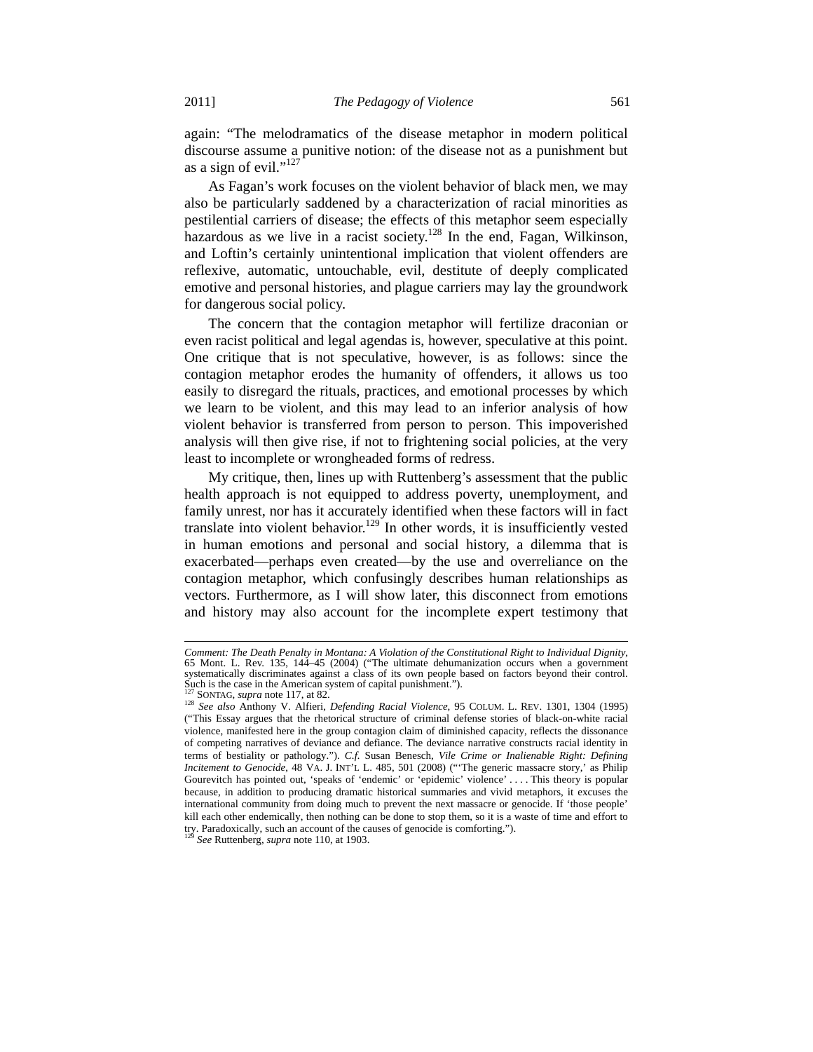again: "The melodramatics of the disease metaphor in modern political discourse assume a punitive notion: of the disease not as a punishment but as a sign of evil."<sup>127</sup>

As Fagan's work focuses on the violent behavior of black men, we may also be particularly saddened by a characterization of racial minorities as pestilential carriers of disease; the effects of this metaphor seem especially hazardous as we live in a racist society.<sup>128</sup> In the end, Fagan, Wilkinson, and Loftin's certainly unintentional implication that violent offenders are reflexive, automatic, untouchable, evil, destitute of deeply complicated emotive and personal histories, and plague carriers may lay the groundwork for dangerous social policy.

The concern that the contagion metaphor will fertilize draconian or even racist political and legal agendas is, however, speculative at this point. One critique that is not speculative, however, is as follows: since the contagion metaphor erodes the humanity of offenders, it allows us too easily to disregard the rituals, practices, and emotional processes by which we learn to be violent, and this may lead to an inferior analysis of how violent behavior is transferred from person to person. This impoverished analysis will then give rise, if not to frightening social policies, at the very least to incomplete or wrongheaded forms of redress.

My critique, then, lines up with Ruttenberg's assessment that the public health approach is not equipped to address poverty, unemployment, and family unrest, nor has it accurately identified when these factors will in fact translate into violent behavior.129 In other words, it is insufficiently vested in human emotions and personal and social history, a dilemma that is exacerbated—perhaps even created—by the use and overreliance on the contagion metaphor, which confusingly describes human relationships as vectors. Furthermore, as I will show later, this disconnect from emotions and history may also account for the incomplete expert testimony that

l

*Comment: The Death Penalty in Montana: A Violation of the Constitutional Right to Individual Dignity*, 65 Mont. L. Rev. 135, 144–45 (2004) ("The ultimate dehumanization occurs when a government systematically discriminates against a class of its own people based on factors beyond their control.<br>Such is the case in the American system of capital punishment.").

<sup>&</sup>lt;sup>127</sup> SONTAG, *supra* note 117, at 82. **128** *See also* American system of the American system of the American system of the also Anthony V. Alfieri, *Defending Racial Violence*, 95 COLUM. L. REV. 1301, 1304 (1995) ("This Essay argues that the rhetorical structure of criminal defense stories of black-on-white racial violence, manifested here in the group contagion claim of diminished capacity, reflects the dissonance of competing narratives of deviance and defiance. The deviance narrative constructs racial identity in terms of bestiality or pathology."). *C.f.* Susan Benesch, *Vile Crime or Inalienable Right: Defining Incitement to Genocide*, 48 VA. J. INT'L L. 485, 501 (2008) ("'The generic massacre story,' as Philip Gourevitch has pointed out, 'speaks of 'endemic' or 'epidemic' violence' . . . . This theory is popular because, in addition to producing dramatic historical summaries and vivid metaphors, it excuses the international community from doing much to prevent the next massacre or genocide. If 'those people' kill each other endemically, then nothing can be done to stop them, so it is a waste of time and effort to try. Paradoxically, such an account of the causes of genocide is comforting."). 129 *See* Ruttenberg, *supra* note 110, at 1903.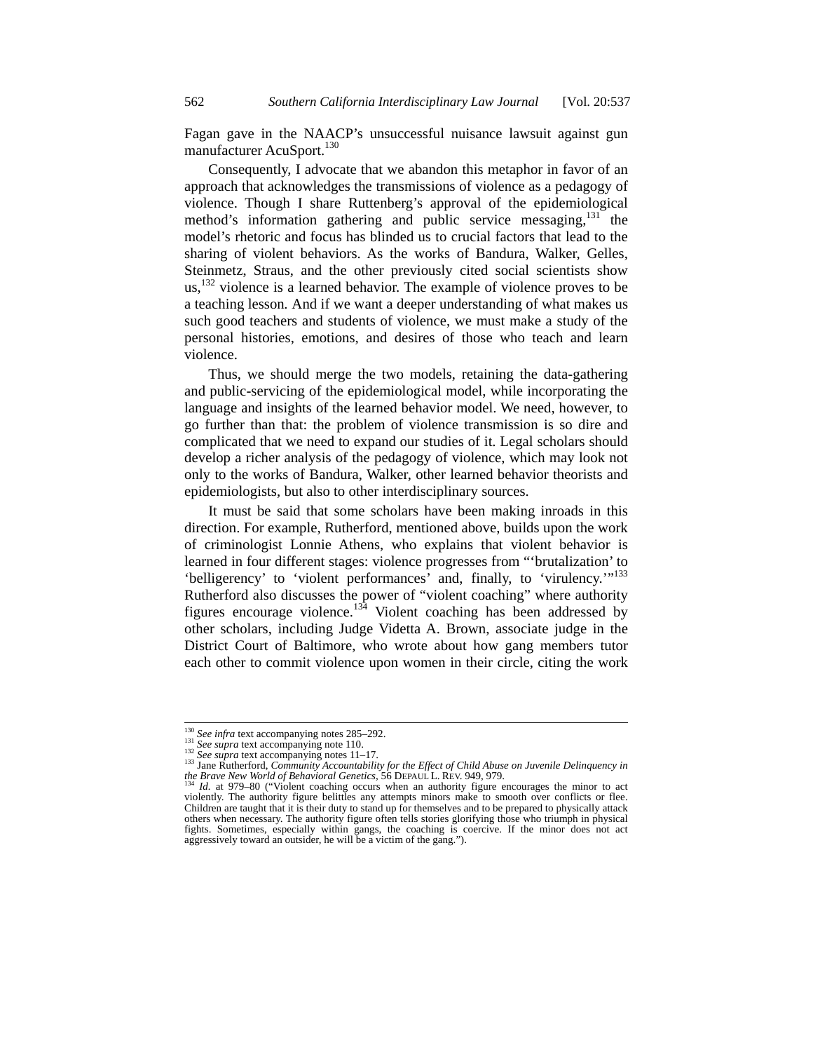Fagan gave in the NAACP's unsuccessful nuisance lawsuit against gun manufacturer AcuSport.<sup>130</sup>

Consequently, I advocate that we abandon this metaphor in favor of an approach that acknowledges the transmissions of violence as a pedagogy of violence. Though I share Ruttenberg's approval of the epidemiological method's information gathering and public service messaging,  $131$  the model's rhetoric and focus has blinded us to crucial factors that lead to the sharing of violent behaviors. As the works of Bandura, Walker, Gelles, Steinmetz, Straus, and the other previously cited social scientists show  $us<sub>132</sub>$  violence is a learned behavior. The example of violence proves to be a teaching lesson*.* And if we want a deeper understanding of what makes us such good teachers and students of violence, we must make a study of the personal histories, emotions, and desires of those who teach and learn violence.

Thus, we should merge the two models, retaining the data-gathering and public-servicing of the epidemiological model, while incorporating the language and insights of the learned behavior model. We need, however, to go further than that: the problem of violence transmission is so dire and complicated that we need to expand our studies of it. Legal scholars should develop a richer analysis of the pedagogy of violence, which may look not only to the works of Bandura, Walker, other learned behavior theorists and epidemiologists, but also to other interdisciplinary sources.

It must be said that some scholars have been making inroads in this direction. For example, Rutherford, mentioned above, builds upon the work of criminologist Lonnie Athens, who explains that violent behavior is learned in four different stages: violence progresses from "'brutalization' to 'belligerency' to 'violent performances' and, finally, to 'virulency.'"<sup>133</sup> Rutherford also discusses the power of "violent coaching" where authority figures encourage violence.134 Violent coaching has been addressed by other scholars, including Judge Videtta A. Brown, associate judge in the District Court of Baltimore, who wrote about how gang members tutor each other to commit violence upon women in their circle, citing the work

<sup>&</sup>lt;sup>130</sup> See infra text accompanying notes 285–292.<br><sup>131</sup> See supra text accompanying note 110.<br><sup>132</sup> See supra text accompanying notes 11–17.<br><sup>132</sup> Jane Rutherford, *Community Accountability for the Effect of Child Abuse on the Brave New World of Behavioral Genetics*, 56 DEPAUL L. REV. 949, 979.<br><sup>134</sup> *Id.* at 979–80 ("Violent coaching occurs when an authority figure encourages the minor to act

 $\frac{134}{134}$  *Id.* at 979–80 ("Violent coaching occurs when an authority figure encourages the minor to act violently. The authority figure belittles any attempts minors make to smooth over conflicts or flee. Children are taught that it is their duty to stand up for themselves and to be prepared to physically attack others when necessary. The authority figure often tells stories glorifying those who triumph in physical fights. Sometimes, especially within gangs, the coaching is coercive. If the minor does not act aggressively toward an outsider, he will be a victim of the gang.").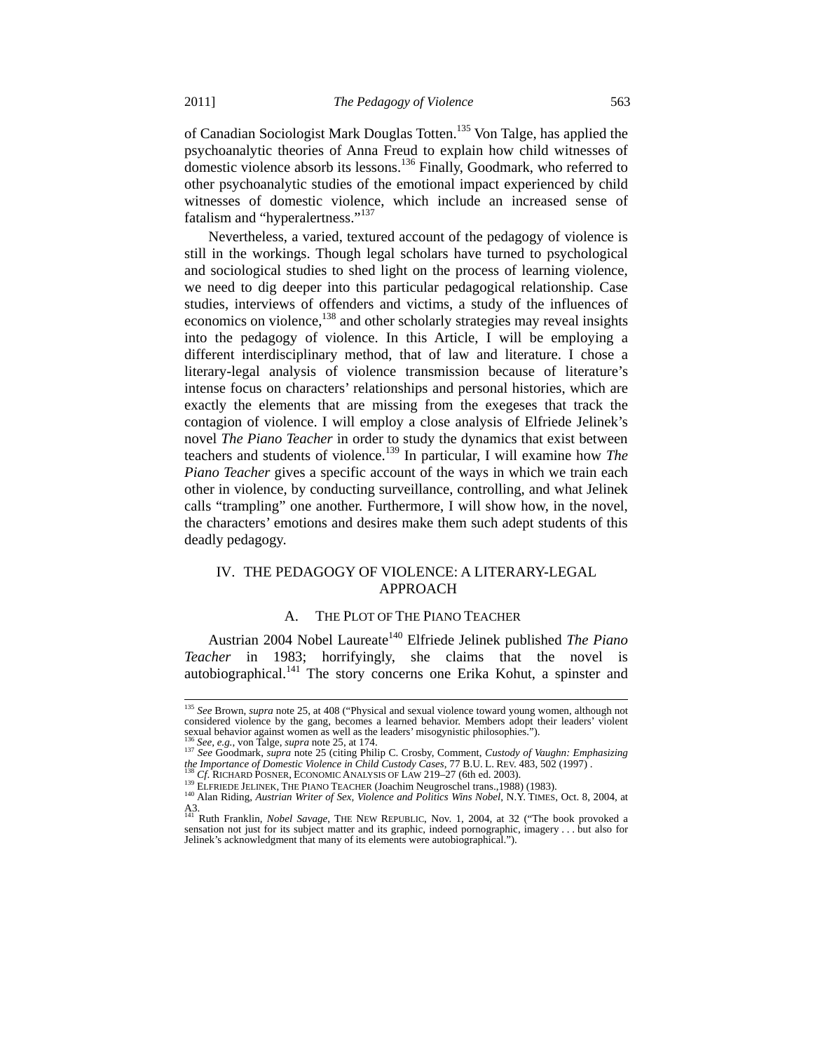of Canadian Sociologist Mark Douglas Totten.135 Von Talge, has applied the psychoanalytic theories of Anna Freud to explain how child witnesses of domestic violence absorb its lessons.<sup>136</sup> Finally, Goodmark, who referred to other psychoanalytic studies of the emotional impact experienced by child witnesses of domestic violence, which include an increased sense of fatalism and "hyperalertness."<sup>137</sup>

Nevertheless, a varied, textured account of the pedagogy of violence is still in the workings. Though legal scholars have turned to psychological and sociological studies to shed light on the process of learning violence, we need to dig deeper into this particular pedagogical relationship. Case studies, interviews of offenders and victims, a study of the influences of economics on violence,<sup>138</sup> and other scholarly strategies may reveal insights into the pedagogy of violence. In this Article, I will be employing a different interdisciplinary method, that of law and literature. I chose a literary-legal analysis of violence transmission because of literature's intense focus on characters' relationships and personal histories, which are exactly the elements that are missing from the exegeses that track the contagion of violence. I will employ a close analysis of Elfriede Jelinek's novel *The Piano Teacher* in order to study the dynamics that exist between teachers and students of violence.<sup>139</sup> In particular, I will examine how *The Piano Teacher* gives a specific account of the ways in which we train each other in violence, by conducting surveillance, controlling, and what Jelinek calls "trampling" one another. Furthermore, I will show how, in the novel, the characters' emotions and desires make them such adept students of this deadly pedagogy.

## IV. THE PEDAGOGY OF VIOLENCE: A LITERARY-LEGAL APPROACH

# A. THE PLOT OF THE PIANO TEACHER

Austrian 2004 Nobel Laureate<sup>140</sup> Elfriede Jelinek published *The Piano Teacher* in 1983; horrifyingly, she claims that the novel is autobiographical.141 The story concerns one Erika Kohut, a spinster and

 <sup>135</sup> *See* Brown, *supra* note 25, at 408 ("Physical and sexual violence toward young women, although not considered violence by the gang, becomes a learned behavior. Members adopt their leaders' violent sexual behavior against women as well as the leaders' misogynistic philosophies.").<br> $\frac{136}{36}$  See, e.g., von Talge, *supra* note 25, at 174.

<sup>137</sup> See, e.g., von Tauge, *suppa* note 25 (citing Philip C. Crosby, Comment, *Custody of Vaughn: Emphasizing the Importance of Domestic Violence in Child Custody Cases, 77 B.U. L. REV. 483, 502 (1997).* 

<sup>&</sup>lt;sup>138</sup> Cf. RICHARD POSNER, ECONOMIC ANALYSIS OF LAW 219-27 (6th ed. 2003).<br><sup>139</sup> ELFRIEDE JELINEK, THE PIANO TEACHER (Joachim Neugroschel trans., 1988) (1983).<br><sup>140</sup> Alan Riding, *Austrian Writer of Sex, Violence and Polit* 

A3. 141 Ruth Franklin, *Nobel Savage*, THE NEW REPUBLIC, Nov. 1, 2004, at 32 ("The book provoked a sensation not just for its subject matter and its graphic, indeed pornographic, imagery . . . but also for Jelinek's acknowledgment that many of its elements were autobiographical.").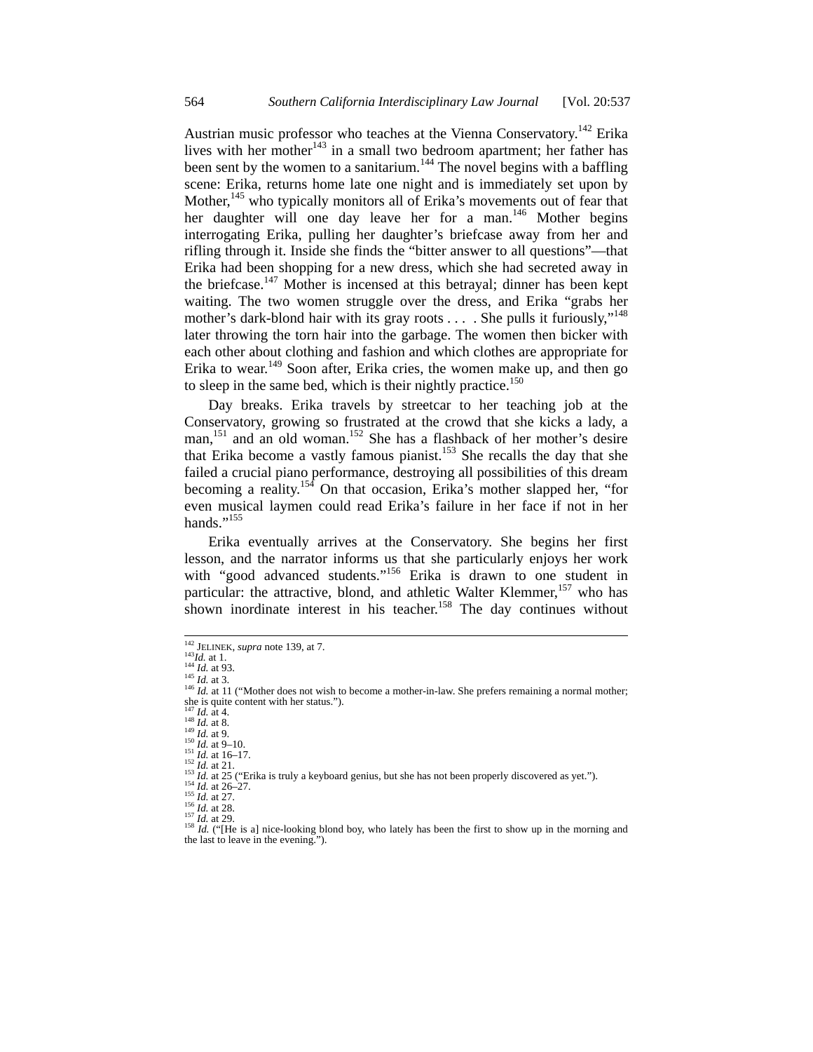Austrian music professor who teaches at the Vienna Conservatory.<sup>142</sup> Erika lives with her mother $143$  in a small two bedroom apartment; her father has been sent by the women to a sanitarium.<sup>144</sup> The novel begins with a baffling scene: Erika, returns home late one night and is immediately set upon by Mother,  $145$  who typically monitors all of Erika's movements out of fear that her daughter will one day leave her for a man.<sup>146</sup> Mother begins interrogating Erika, pulling her daughter's briefcase away from her and rifling through it. Inside she finds the "bitter answer to all questions"—that Erika had been shopping for a new dress, which she had secreted away in the briefcase.<sup>147</sup> Mother is incensed at this betrayal; dinner has been kept waiting. The two women struggle over the dress, and Erika "grabs her mother's dark-blond hair with its gray roots  $\dots$ . She pulls it furiously,"<sup>148</sup> later throwing the torn hair into the garbage. The women then bicker with each other about clothing and fashion and which clothes are appropriate for Erika to wear.<sup>149</sup> Soon after, Erika cries, the women make up, and then go to sleep in the same bed, which is their nightly practice.<sup>150</sup>

Day breaks. Erika travels by streetcar to her teaching job at the Conservatory, growing so frustrated at the crowd that she kicks a lady, a man,<sup>151</sup> and an old woman.<sup>152</sup> She has a flashback of her mother's desire that Erika become a vastly famous pianist.<sup>153</sup> She recalls the day that she failed a crucial piano performance, destroying all possibilities of this dream becoming a reality.<sup>154</sup> On that occasion, Erika's mother slapped her, "for even musical laymen could read Erika's failure in her face if not in her hands."<sup>155</sup>

Erika eventually arrives at the Conservatory. She begins her first lesson, and the narrator informs us that she particularly enjoys her work with "good advanced students."<sup>156</sup> Erika is drawn to one student in particular: the attractive, blond, and athletic Walter Klemmer,<sup>157</sup> who has shown inordinate interest in his teacher.<sup>158</sup> The day continues without

<sup>&</sup>lt;sup>142</sup> JELINEK, *supra* note 139, at 7.<br><sup>143</sup>*Id.* at 1.<br><sup>145</sup>*Id.* at 93.<br><sup>145</sup>*Id.* at 11 ("Mother does not wish to become a mother-in-law. She prefers remaining a normal mother; she is quite content with her status.").<br>  $^{147}$  Id. at 4.<br>  $^{148}$  Id. at 8.<br>  $^{149}$  Id. at 9.<br>  $^{150}$  Id. at 9–10.

<sup>&</sup>lt;sup>141</sup> at 16–17.<br>
<sup>151</sup>*Id.* at 16–17.<br>
<sup>152</sup>*Id.* at 21.<br>
<sup>152</sup>*Id.* at 25 ("Erika is truly a keyboard genius, but she has not been properly discovered as yet.").<br>
<sup>154</sup>*Id.* at 25 ("Erika is truly a keyboard genius, but the last to leave in the evening.").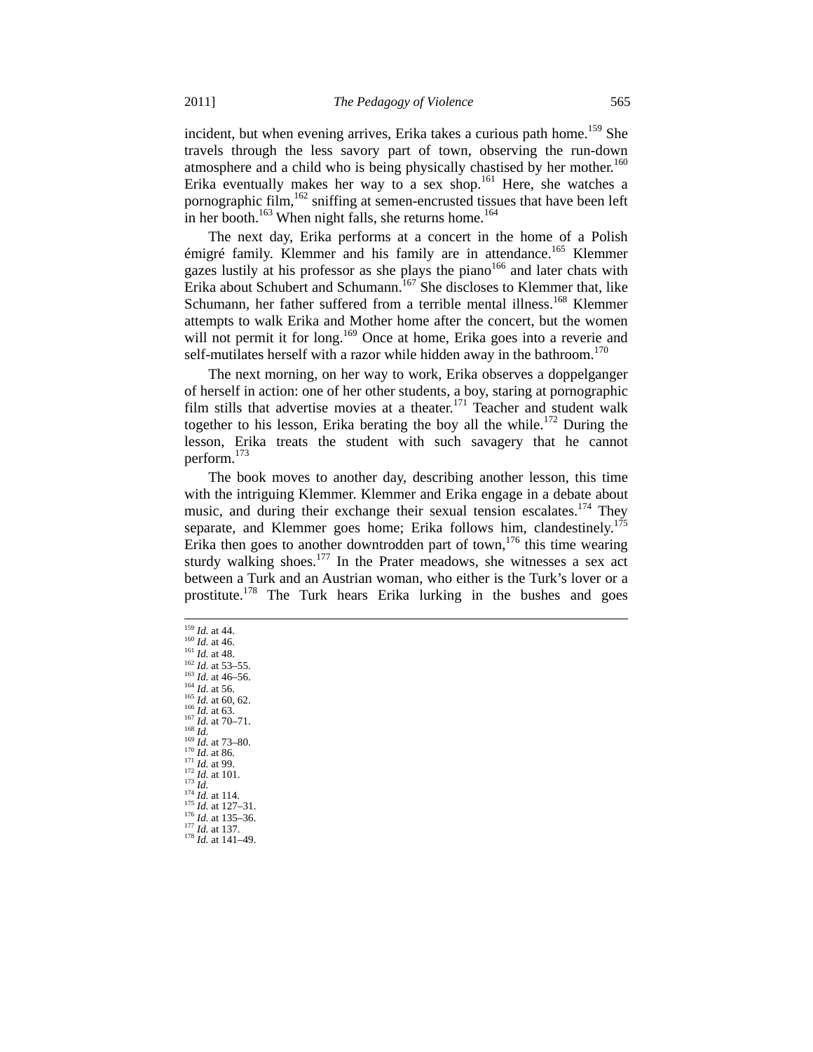incident, but when evening arrives, Erika takes a curious path home.<sup>159</sup> She travels through the less savory part of town, observing the run-down atmosphere and a child who is being physically chastised by her mother.<sup>160</sup> Erika eventually makes her way to a sex shop.<sup>161</sup> Here, she watches a pornographic film, $162$  sniffing at semen-encrusted tissues that have been left in her booth.<sup>163</sup> When night falls, she returns home.<sup>164</sup>

The next day, Erika performs at a concert in the home of a Polish émigré family. Klemmer and his family are in attendance.<sup>165</sup> Klemmer gazes lustily at his professor as she plays the piano $166$  and later chats with Erika about Schubert and Schumann.<sup>167</sup> She discloses to Klemmer that, like Schumann, her father suffered from a terrible mental illness.<sup>168</sup> Klemmer attempts to walk Erika and Mother home after the concert, but the women will not permit it for long.<sup>169</sup> Once at home, Erika goes into a reverie and self-mutilates herself with a razor while hidden away in the bathroom.<sup>170</sup>

The next morning, on her way to work, Erika observes a doppelganger of herself in action: one of her other students, a boy, staring at pornographic film stills that advertise movies at a theater.<sup>171</sup> Teacher and student walk together to his lesson, Erika berating the boy all the while.<sup>172</sup> During the lesson, Erika treats the student with such savagery that he cannot perform.173

The book moves to another day, describing another lesson, this time with the intriguing Klemmer. Klemmer and Erika engage in a debate about music, and during their exchange their sexual tension escalates.<sup>174</sup> They separate, and Klemmer goes home; Erika follows him, clandestinely.<sup>175</sup> Erika then goes to another downtrodden part of town,  $176$  this time wearing sturdy walking shoes.<sup>177</sup> In the Prater meadows, she witnesses a sex act between a Turk and an Austrian woman, who either is the Turk's lover or a prostitute.178 The Turk hears Erika lurking in the bushes and goes

<sup>159</sup> *Id.* at 44.<br>
<sup>160</sup> *Id.* at 46.<br>
<sup>161</sup> *Id.* at 48.<br>
<sup>161</sup> *Id.* at 48.<br>
<sup>161</sup> *Id.* at 48.<br>
<sup>161</sup> *Id.* at 46–56.<br>
<sup>161</sup> *Id.* at 46–56.<br>
<sup>165</sup> *Id.* at 63.<br>
<sup>167</sup> *Id.* at 73–80.<br>
<sup>170</sup> *Id.* at 86.<br>
<sup>171</sup> *Id.*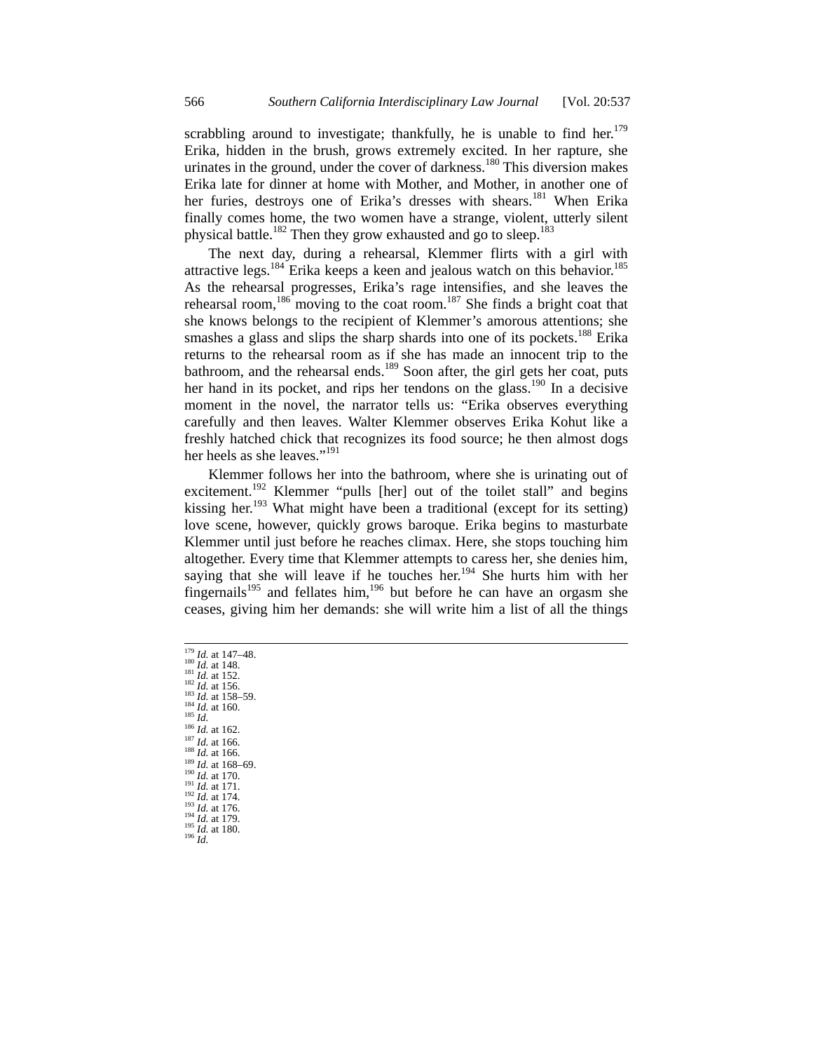scrabbling around to investigate; thankfully, he is unable to find her.<sup>179</sup> Erika, hidden in the brush, grows extremely excited. In her rapture, she urinates in the ground, under the cover of darkness.<sup>180</sup> This diversion makes Erika late for dinner at home with Mother, and Mother, in another one of her furies, destroys one of Erika's dresses with shears.<sup>181</sup> When Erika finally comes home, the two women have a strange, violent, utterly silent physical battle.<sup>182</sup> Then they grow exhausted and go to sleep.<sup>183</sup>

The next day, during a rehearsal, Klemmer flirts with a girl with attractive legs.<sup>184</sup> Erika keeps a keen and jealous watch on this behavior.<sup>185</sup> As the rehearsal progresses, Erika's rage intensifies, and she leaves the rehearsal room,  $186$  moving to the coat room.  $187$  She finds a bright coat that she knows belongs to the recipient of Klemmer's amorous attentions; she smashes a glass and slips the sharp shards into one of its pockets.<sup>188</sup> Erika returns to the rehearsal room as if she has made an innocent trip to the bathroom, and the rehearsal ends.<sup>189</sup> Soon after, the girl gets her coat, puts her hand in its pocket, and rips her tendons on the glass.<sup>190</sup> In a decisive moment in the novel, the narrator tells us: "Erika observes everything carefully and then leaves. Walter Klemmer observes Erika Kohut like a freshly hatched chick that recognizes its food source; he then almost dogs her heels as she leaves."<sup>191</sup>

Klemmer follows her into the bathroom, where she is urinating out of excitement.<sup>192</sup> Klemmer "pulls [her] out of the toilet stall" and begins kissing her.<sup>193</sup> What might have been a traditional (except for its setting) love scene, however, quickly grows baroque. Erika begins to masturbate Klemmer until just before he reaches climax. Here, she stops touching him altogether. Every time that Klemmer attempts to caress her, she denies him, saying that she will leave if he touches her.<sup>194</sup> She hurts him with her fingernails<sup>195</sup> and fellates him,<sup>196</sup> but before he can have an orgasm she ceases, giving him her demands: she will write him a list of all the things

<sup>179</sup> *Id.* at 147–48.<br>
<sup>180</sup> *Id.* at 148.<br>
<sup>181</sup> *Id.* at 152.<br>
<sup>182</sup> *Id.* at 156–59.<br>
<sup>182</sup> *Id.* at 156–59.<br>
<sup>184</sup> *Id.* at 160.<br>
<sup>185</sup> *Id.* at 166.<br>
<sup>185</sup> *Id.* at 166.<br>
<sup>188</sup> *Id.* at 166.<br>
<sup>188</sup> *Id.* at 166.<br>
<sup>1</sup>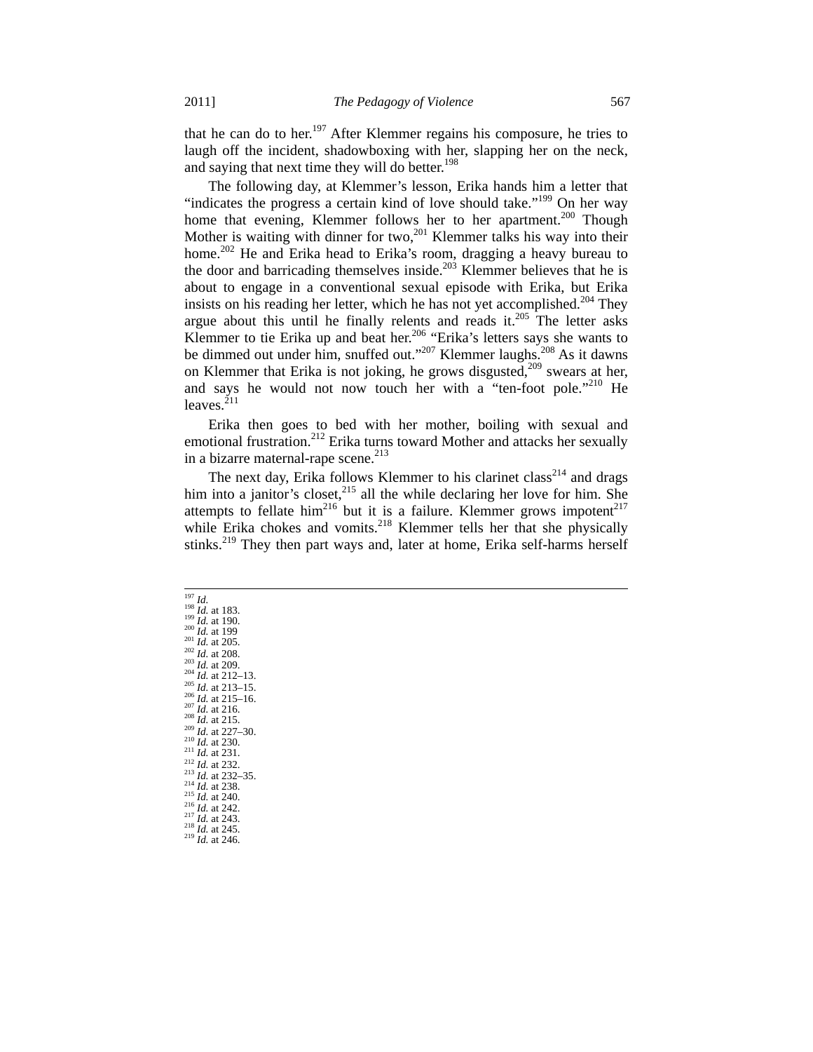that he can do to her.<sup>197</sup> After Klemmer regains his composure, he tries to laugh off the incident, shadowboxing with her, slapping her on the neck, and saying that next time they will do better.<sup>198</sup>

The following day, at Klemmer's lesson, Erika hands him a letter that "indicates the progress a certain kind of love should take."<sup>199</sup> On her way home that evening, Klemmer follows her to her apartment.<sup>200</sup> Though Mother is waiting with dinner for two, $^{201}$  Klemmer talks his way into their home.<sup>202</sup> He and Erika head to Erika's room, dragging a heavy bureau to the door and barricading themselves inside.<sup>203</sup> Klemmer believes that he is about to engage in a conventional sexual episode with Erika, but Erika insists on his reading her letter, which he has not yet accomplished.<sup>204</sup> They argue about this until he finally relents and reads it.<sup>205</sup> The letter asks Klemmer to tie Erika up and beat her.<sup>206</sup> "Erika's letters says she wants to be dimmed out under him, snuffed out."<sup>207</sup> Klemmer laughs.<sup>208</sup> As it dawns on Klemmer that Erika is not joking, he grows disgusted,<sup>209</sup> swears at her, and says he would not now touch her with a "ten-foot pole."<sup>210</sup> He leaves $^{211}$ 

Erika then goes to bed with her mother, boiling with sexual and emotional frustration.<sup>212</sup> Erika turns toward Mother and attacks her sexually in a bizarre maternal-rape scene.<sup>213</sup>

The next day, Erika follows Klemmer to his clarinet class<sup>214</sup> and drags him into a janitor's closet, $215$  all the while declaring her love for him. She attempts to fellate him<sup>216</sup> but it is a failure. Klemmer grows impotent<sup>217</sup> while Erika chokes and vomits.<sup>218</sup> Klemmer tells her that she physically stinks.<sup>219</sup> They then part ways and, later at home, Erika self-harms herself

 $\begin{array}{l} \hbox{197}\ \hbox{Id.}\\ \hbox{198}\ \hbox{Id.} \ \hbox{at 183.}\\ \hbox{200}\ \hbox{Id.} \ \hbox{at 190.}\\ \hbox{200}\ \hbox{Id.} \ \hbox{at 199}\\ \hbox{201}\ \hbox{Id.} \ \hbox{at 208.}\\ \hbox{202}\ \hbox{Id.} \ \hbox{at 208.}\\ \hbox{203}\ \hbox{Id.} \ \hbox{at 208.}\\ \hbox{204}\ \hbox{Id.} \ \hbox{at 212--13.}\\ \hbox{205$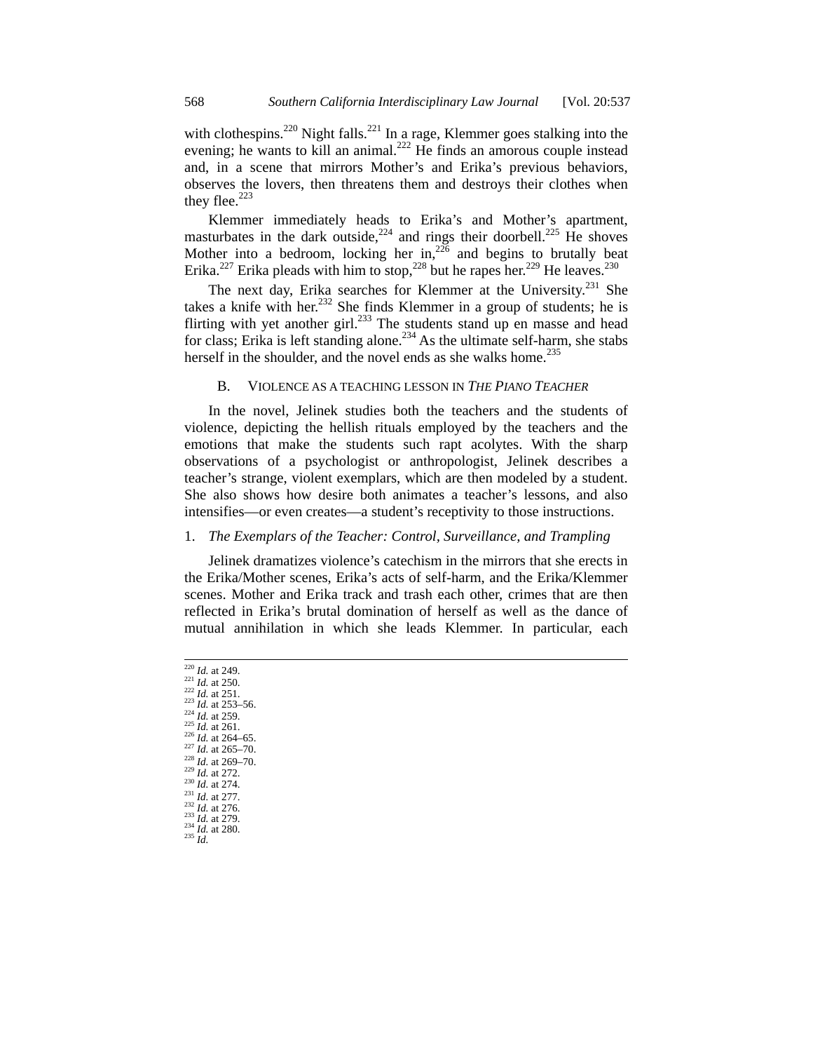with clothespins.<sup>220</sup> Night falls.<sup>221</sup> In a rage, Klemmer goes stalking into the evening; he wants to kill an animal.<sup>222</sup> He finds an amorous couple instead and, in a scene that mirrors Mother's and Erika's previous behaviors, observes the lovers, then threatens them and destroys their clothes when they flee. $223$ 

Klemmer immediately heads to Erika's and Mother's apartment, masturbates in the dark outside,<sup>224</sup> and rings their doorbell.<sup>225</sup> He shoves Mother into a bedroom, locking her in, $226$  and begins to brutally beat Erika.<sup>227</sup> Erika pleads with him to stop,<sup>228</sup> but he rapes her.<sup>229</sup> He leaves.<sup>230</sup>

The next day, Erika searches for Klemmer at the University.<sup>231</sup> She takes a knife with her.<sup>232</sup> She finds Klemmer in a group of students; he is flirting with yet another girl. $^{233}$  The students stand up en masse and head for class; Erika is left standing alone.<sup>234</sup> As the ultimate self-harm, she stabs herself in the shoulder, and the novel ends as she walks home.<sup>235</sup>

### B. VIOLENCE AS A TEACHING LESSON IN *THE PIANO TEACHER*

In the novel, Jelinek studies both the teachers and the students of violence, depicting the hellish rituals employed by the teachers and the emotions that make the students such rapt acolytes. With the sharp observations of a psychologist or anthropologist, Jelinek describes a teacher's strange, violent exemplars, which are then modeled by a student. She also shows how desire both animates a teacher's lessons, and also intensifies—or even creates—a student's receptivity to those instructions.

#### 1. *The Exemplars of the Teacher: Control, Surveillance, and Trampling*

Jelinek dramatizes violence's catechism in the mirrors that she erects in the Erika/Mother scenes, Erika's acts of self-harm, and the Erika/Klemmer scenes. Mother and Erika track and trash each other, crimes that are then reflected in Erika's brutal domination of herself as well as the dance of mutual annihilation in which she leads Klemmer. In particular, each

220 *Id.* at 249.<br>
221 *Id.* at 250.<br>
222 *Id.* at 251.<br>
223 *Id.* at 253–56.<br>
223 *Id.* at 259.<br>
226 *Id.* at 261.<br>
226 *Id.* at 264–65.<br>
227 *Id.* at 265–70.<br>
228 *Id.* at 272.<br>
230 *Id.* at 277.<br>
231 *Id.* at 277.<br>
231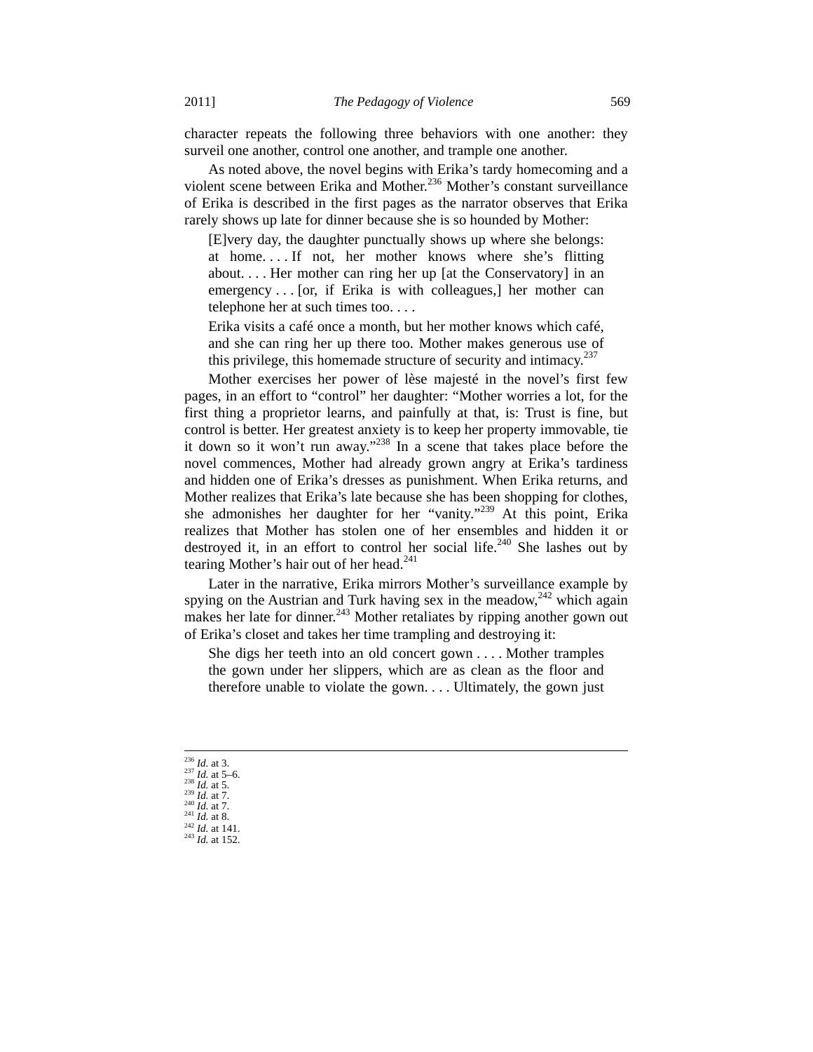character repeats the following three behaviors with one another: they surveil one another, control one another, and trample one another.

As noted above, the novel begins with Erika's tardy homecoming and a violent scene between Erika and Mother.<sup>236</sup> Mother's constant surveillance of Erika is described in the first pages as the narrator observes that Erika rarely shows up late for dinner because she is so hounded by Mother:

[E]very day, the daughter punctually shows up where she belongs: at home. . . . If not, her mother knows where she's flitting about. . . . Her mother can ring her up [at the Conservatory] in an emergency . . . [or, if Erika is with colleagues,] her mother can telephone her at such times too. . . .

Erika visits a café once a month, but her mother knows which café, and she can ring her up there too. Mother makes generous use of this privilege, this homemade structure of security and intimacy. $237$ 

Mother exercises her power of lèse majesté in the novel's first few pages, in an effort to "control" her daughter: "Mother worries a lot, for the first thing a proprietor learns, and painfully at that, is: Trust is fine, but control is better. Her greatest anxiety is to keep her property immovable, tie it down so it won't run away."238 In a scene that takes place before the novel commences, Mother had already grown angry at Erika's tardiness and hidden one of Erika's dresses as punishment. When Erika returns, and Mother realizes that Erika's late because she has been shopping for clothes, she admonishes her daughter for her "vanity."239 At this point, Erika realizes that Mother has stolen one of her ensembles and hidden it or destroyed it, in an effort to control her social life.<sup>240</sup> She lashes out by tearing Mother's hair out of her head. $241$ 

Later in the narrative, Erika mirrors Mother's surveillance example by spying on the Austrian and Turk having sex in the meadow, $242$  which again makes her late for dinner.<sup>243</sup> Mother retaliates by ripping another gown out of Erika's closet and takes her time trampling and destroying it:

She digs her teeth into an old concert gown . . . . Mother tramples the gown under her slippers, which are as clean as the floor and therefore unable to violate the gown. . . . Ultimately, the gown just

236 *Id.* at 3. 237 *Id.* at 5–6. 238 *Id.* at 5. 239 *Id.* at 7. 240 *Id.* at 7. 241 *Id.* at 8. 242 *Id.* at 141. 243 *Id.* at 152.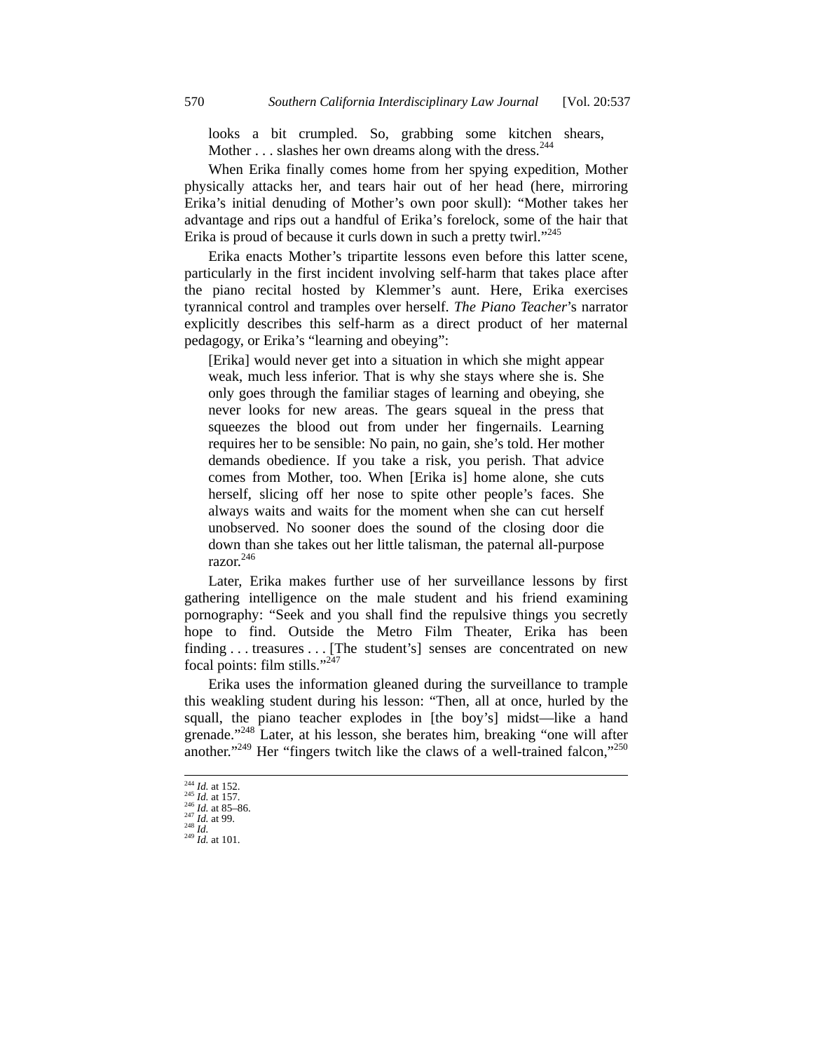looks a bit crumpled. So, grabbing some kitchen shears, Mother  $\dots$  slashes her own dreams along with the dress.<sup>244</sup>

When Erika finally comes home from her spying expedition, Mother physically attacks her, and tears hair out of her head (here, mirroring Erika's initial denuding of Mother's own poor skull): "Mother takes her advantage and rips out a handful of Erika's forelock, some of the hair that Erika is proud of because it curls down in such a pretty twirl."<sup>245</sup>

Erika enacts Mother's tripartite lessons even before this latter scene, particularly in the first incident involving self-harm that takes place after the piano recital hosted by Klemmer's aunt. Here, Erika exercises tyrannical control and tramples over herself. *The Piano Teacher*'s narrator explicitly describes this self-harm as a direct product of her maternal pedagogy, or Erika's "learning and obeying":

[Erika] would never get into a situation in which she might appear weak, much less inferior. That is why she stays where she is. She only goes through the familiar stages of learning and obeying, she never looks for new areas. The gears squeal in the press that squeezes the blood out from under her fingernails. Learning requires her to be sensible: No pain, no gain, she's told. Her mother demands obedience. If you take a risk, you perish. That advice comes from Mother, too. When [Erika is] home alone, she cuts herself, slicing off her nose to spite other people's faces. She always waits and waits for the moment when she can cut herself unobserved. No sooner does the sound of the closing door die down than she takes out her little talisman, the paternal all-purpose razor. $246$ 

Later, Erika makes further use of her surveillance lessons by first gathering intelligence on the male student and his friend examining pornography: "Seek and you shall find the repulsive things you secretly hope to find. Outside the Metro Film Theater, Erika has been finding . . . treasures . . . [The student's] senses are concentrated on new focal points: film stills."<sup>247</sup>

Erika uses the information gleaned during the surveillance to trample this weakling student during his lesson: "Then, all at once, hurled by the squall, the piano teacher explodes in [the boy's] midst—like a hand grenade."<sup>248</sup> Later, at his lesson, she berates him, breaking "one will after another."<sup>249</sup> Her "fingers twitch like the claws of a well-trained falcon,"<sup>250</sup>

 <sup>244</sup> *Id.* at 152. 245 *Id.* at 157. 246 *Id.* at 85–86. 247 *Id.* at 99. 248 *Id.* 249 *Id.* at 101.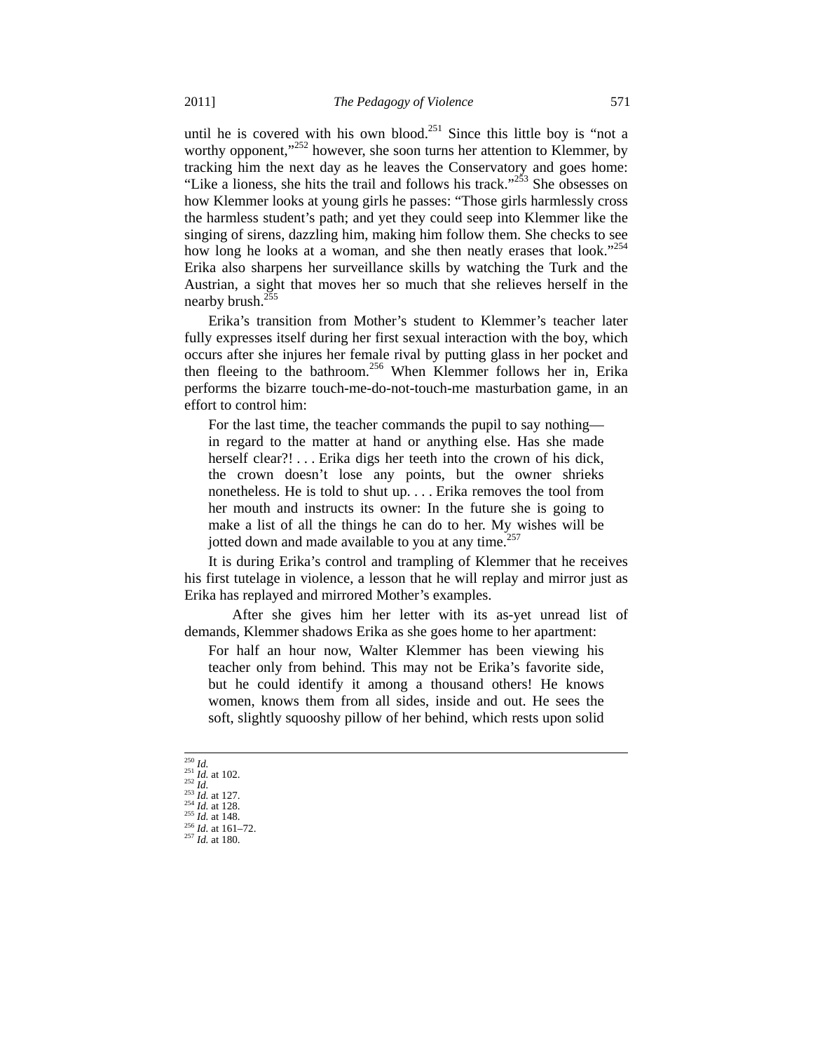until he is covered with his own blood.<sup>251</sup> Since this little boy is "not a worthy opponent,"<sup>252</sup> however, she soon turns her attention to Klemmer, by tracking him the next day as he leaves the Conservatory and goes home: "Like a lioness, she hits the trail and follows his track."<sup>253</sup> She obsesses on how Klemmer looks at young girls he passes: "Those girls harmlessly cross the harmless student's path; and yet they could seep into Klemmer like the singing of sirens, dazzling him, making him follow them. She checks to see how long he looks at a woman, and she then neatly erases that look.<sup>3254</sup> Erika also sharpens her surveillance skills by watching the Turk and the Austrian, a sight that moves her so much that she relieves herself in the nearby brush.<sup>255</sup>

Erika's transition from Mother's student to Klemmer's teacher later fully expresses itself during her first sexual interaction with the boy, which occurs after she injures her female rival by putting glass in her pocket and then fleeing to the bathroom.256 When Klemmer follows her in, Erika performs the bizarre touch-me-do-not-touch-me masturbation game, in an effort to control him:

For the last time, the teacher commands the pupil to say nothing in regard to the matter at hand or anything else. Has she made herself clear?!... Erika digs her teeth into the crown of his dick, the crown doesn't lose any points, but the owner shrieks nonetheless. He is told to shut up. . . . Erika removes the tool from her mouth and instructs its owner: In the future she is going to make a list of all the things he can do to her. My wishes will be jotted down and made available to you at any time. $257$ 

It is during Erika's control and trampling of Klemmer that he receives his first tutelage in violence, a lesson that he will replay and mirror just as Erika has replayed and mirrored Mother's examples.

After she gives him her letter with its as-yet unread list of demands, Klemmer shadows Erika as she goes home to her apartment:

For half an hour now, Walter Klemmer has been viewing his teacher only from behind. This may not be Erika's favorite side, but he could identify it among a thousand others! He knows women, knows them from all sides, inside and out. He sees the soft, slightly squooshy pillow of her behind, which rests upon solid

- 
- 
- 
- 
- 

 <sup>250</sup> *Id.* 251 *Id.* at 102. 252 *Id.* 253 *Id.* at 127. 254 *Id.* at 128. 255 *Id.* at 148. 256 *Id.* at 161–72. 257 *Id.* at 180.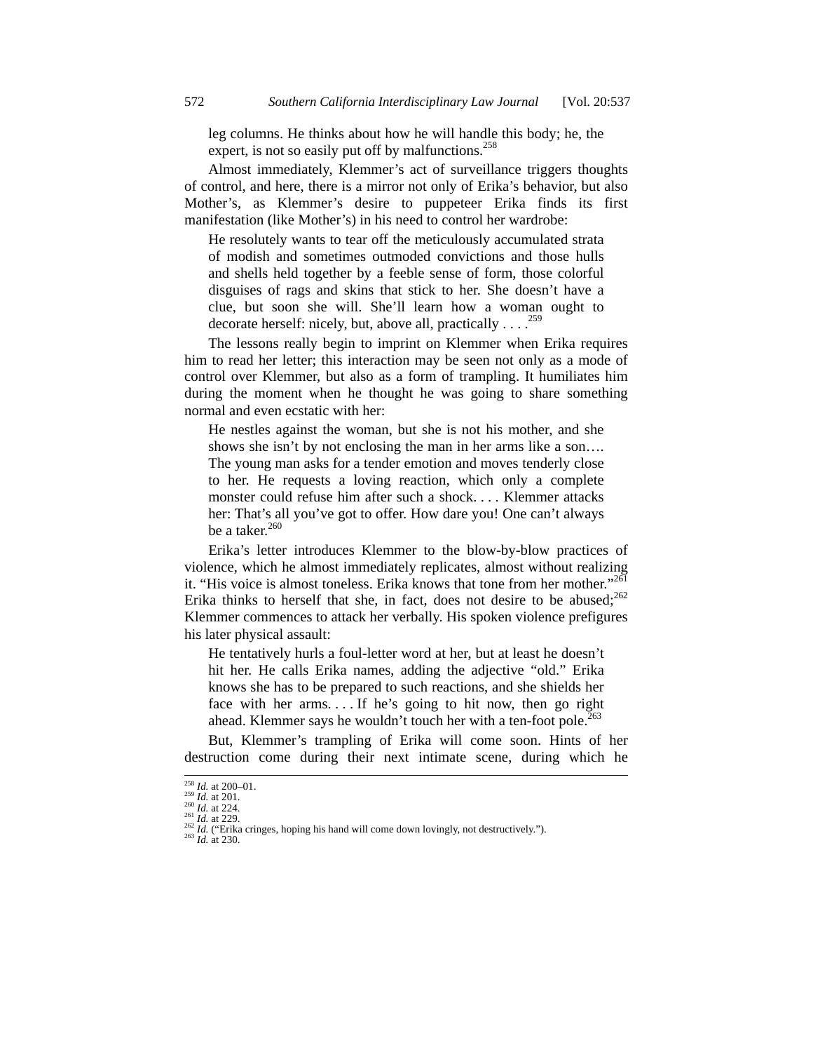leg columns. He thinks about how he will handle this body; he, the expert, is not so easily put off by malfunctions.<sup>258</sup>

Almost immediately, Klemmer's act of surveillance triggers thoughts of control, and here, there is a mirror not only of Erika's behavior, but also Mother's, as Klemmer's desire to puppeteer Erika finds its first manifestation (like Mother's) in his need to control her wardrobe:

He resolutely wants to tear off the meticulously accumulated strata of modish and sometimes outmoded convictions and those hulls and shells held together by a feeble sense of form, those colorful disguises of rags and skins that stick to her. She doesn't have a clue, but soon she will. She'll learn how a woman ought to decorate herself: nicely, but, above all, practically  $\dots$ . <sup>259</sup>

The lessons really begin to imprint on Klemmer when Erika requires him to read her letter; this interaction may be seen not only as a mode of control over Klemmer, but also as a form of trampling. It humiliates him during the moment when he thought he was going to share something normal and even ecstatic with her:

He nestles against the woman, but she is not his mother, and she shows she isn't by not enclosing the man in her arms like a son…. The young man asks for a tender emotion and moves tenderly close to her. He requests a loving reaction, which only a complete monster could refuse him after such a shock. . . . Klemmer attacks her: That's all you've got to offer. How dare you! One can't always be a taker.<sup>260</sup>

Erika's letter introduces Klemmer to the blow-by-blow practices of violence, which he almost immediately replicates, almost without realizing it. "His voice is almost toneless. Erika knows that tone from her mother."<sup>261</sup> Erika thinks to herself that she, in fact, does not desire to be abused; $^{262}$ Klemmer commences to attack her verbally. His spoken violence prefigures his later physical assault:

He tentatively hurls a foul-letter word at her, but at least he doesn't hit her. He calls Erika names, adding the adjective "old." Erika knows she has to be prepared to such reactions, and she shields her face with her arms.... If he's going to hit now, then go right ahead. Klemmer says he wouldn't touch her with a ten-foot pole.<sup>263</sup>

But, Klemmer's trampling of Erika will come soon. Hints of her destruction come during their next intimate scene, during which he

<sup>&</sup>lt;sup>258</sup> *Id.* at 200–01.<br><sup>259</sup> *Id.* at 201.<br><sup>261</sup> *Id.* at 224.<br><sup>261</sup> *Id.* at 229.<br><sup>262</sup> *Id.* ("Erika cringes, hoping his hand will come down lovingly, not destructively.").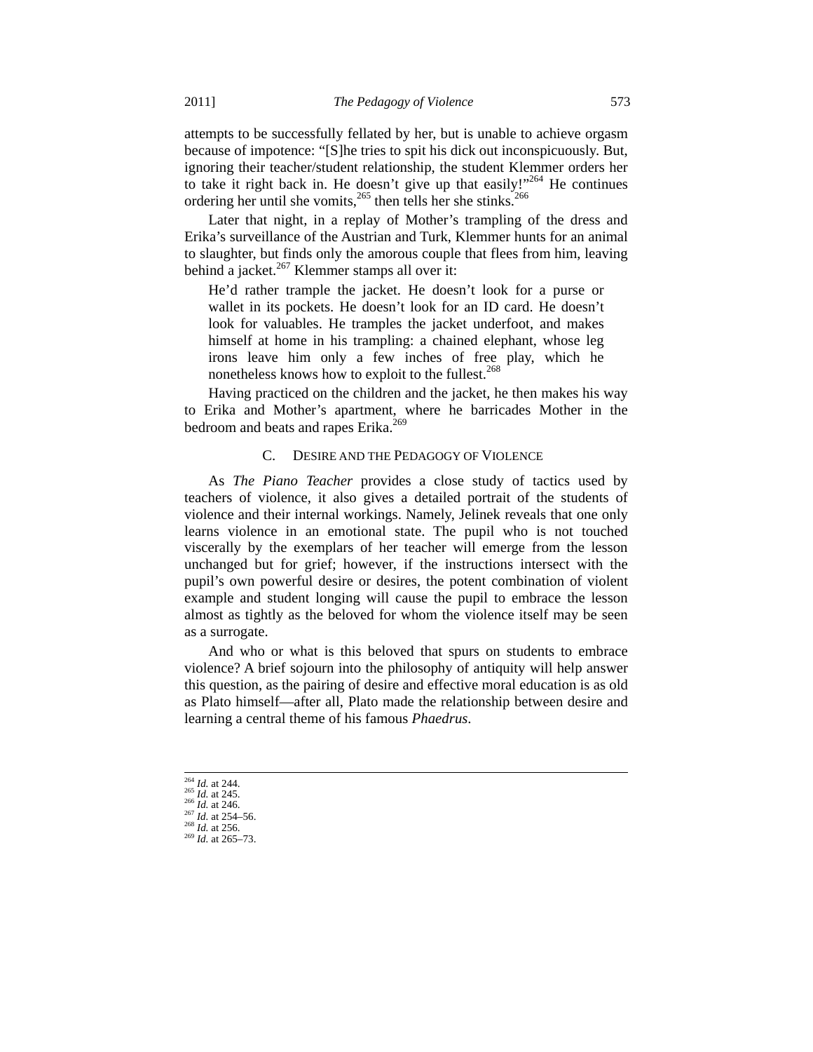attempts to be successfully fellated by her, but is unable to achieve orgasm because of impotence: "[S]he tries to spit his dick out inconspicuously. But, ignoring their teacher/student relationship, the student Klemmer orders her to take it right back in. He doesn't give up that easily!"<sup>264</sup> He continues ordering her until she vomits,<sup>265</sup> then tells her she stinks.<sup>266</sup>

Later that night, in a replay of Mother's trampling of the dress and Erika's surveillance of the Austrian and Turk, Klemmer hunts for an animal to slaughter, but finds only the amorous couple that flees from him, leaving behind a jacket.<sup>267</sup> Klemmer stamps all over it:

He'd rather trample the jacket. He doesn't look for a purse or wallet in its pockets. He doesn't look for an ID card. He doesn't look for valuables. He tramples the jacket underfoot, and makes himself at home in his trampling: a chained elephant, whose leg irons leave him only a few inches of free play, which he nonetheless knows how to exploit to the fullest.<sup>268</sup>

Having practiced on the children and the jacket, he then makes his way to Erika and Mother's apartment, where he barricades Mother in the bedroom and beats and rapes Erika.<sup>269</sup>

### C. DESIRE AND THE PEDAGOGY OF VIOLENCE

As *The Piano Teacher* provides a close study of tactics used by teachers of violence, it also gives a detailed portrait of the students of violence and their internal workings. Namely, Jelinek reveals that one only learns violence in an emotional state. The pupil who is not touched viscerally by the exemplars of her teacher will emerge from the lesson unchanged but for grief; however, if the instructions intersect with the pupil's own powerful desire or desires, the potent combination of violent example and student longing will cause the pupil to embrace the lesson almost as tightly as the beloved for whom the violence itself may be seen as a surrogate.

And who or what is this beloved that spurs on students to embrace violence? A brief sojourn into the philosophy of antiquity will help answer this question, as the pairing of desire and effective moral education is as old as Plato himself—after all, Plato made the relationship between desire and learning a central theme of his famous *Phaedrus*.

- 
- 

 <sup>264</sup> *Id.* at 244. 265 *Id.* at 245. 266 *Id.* at 246. 267 *Id.* at 254–56. 268 *Id.* at 256. 269 *Id.* at 265–73.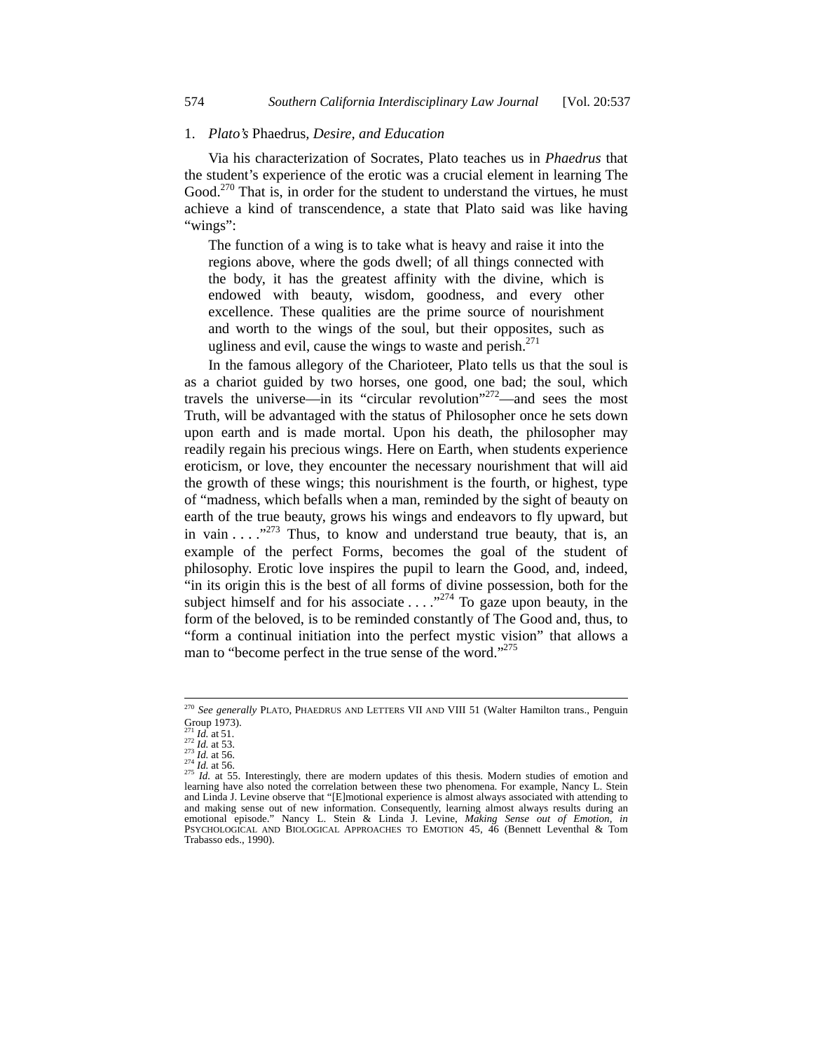### 1. *Plato's* Phaedrus*, Desire, and Education*

Via his characterization of Socrates, Plato teaches us in *Phaedrus* that the student's experience of the erotic was a crucial element in learning The Good.<sup>270</sup> That is, in order for the student to understand the virtues, he must achieve a kind of transcendence, a state that Plato said was like having "wings":

The function of a wing is to take what is heavy and raise it into the regions above, where the gods dwell; of all things connected with the body, it has the greatest affinity with the divine, which is endowed with beauty, wisdom, goodness, and every other excellence. These qualities are the prime source of nourishment and worth to the wings of the soul, but their opposites, such as ugliness and evil, cause the wings to waste and perish. $^{271}$ 

In the famous allegory of the Charioteer, Plato tells us that the soul is as a chariot guided by two horses, one good, one bad; the soul, which travels the universe—in its "circular revolution" $272$ —and sees the most Truth, will be advantaged with the status of Philosopher once he sets down upon earth and is made mortal. Upon his death, the philosopher may readily regain his precious wings. Here on Earth, when students experience eroticism, or love, they encounter the necessary nourishment that will aid the growth of these wings; this nourishment is the fourth, or highest, type of "madness, which befalls when a man, reminded by the sight of beauty on earth of the true beauty, grows his wings and endeavors to fly upward, but in vain  $\ldots$   $\ldots$   $\ldots$  Thus, to know and understand true beauty, that is, an example of the perfect Forms, becomes the goal of the student of philosophy. Erotic love inspires the pupil to learn the Good, and, indeed, "in its origin this is the best of all forms of divine possession, both for the subject himself and for his associate  $\dots$  ."<sup>274</sup> To gaze upon beauty, in the form of the beloved, is to be reminded constantly of The Good and, thus, to "form a continual initiation into the perfect mystic vision" that allows a man to "become perfect in the true sense of the word."<sup>275</sup>

 <sup>270</sup> *See generally* PLATO, PHAEDRUS AND LETTERS VII AND VIII 51 (Walter Hamilton trans., Penguin Group 1973).<br> $^{271}_{272}$  *Id.* at 51.<br> $^{272}_{172}$  *Id.* at 53.

<sup>&</sup>lt;sup>271</sup> *Id.* at 51.<br><sup>272</sup> *Id.* at 53.<br><sup>273</sup> *Id.* at 56.<br><sup>274</sup> *Id.* at 56.<br><sup>274</sup> *Id.* at 55. Interestingly, there are modern updates of this thesis. Modern studies of emotion and<br><sup>275</sup> *Id.* at 55. Interestingly, there and Linda J. Levine observe that "[E]motional experience is almost always associated with attending to and making sense out of new information. Consequently, learning almost always results during an emotional episode." Nancy L. Stein & Linda J. Levine, *Making Sense out of Emotion*, *in* PSYCHOLOGICAL AND BIOLOGICAL APPROACHES TO EMOTION 45, 46 (Bennett Leventhal & Tom Trabasso eds., 1990).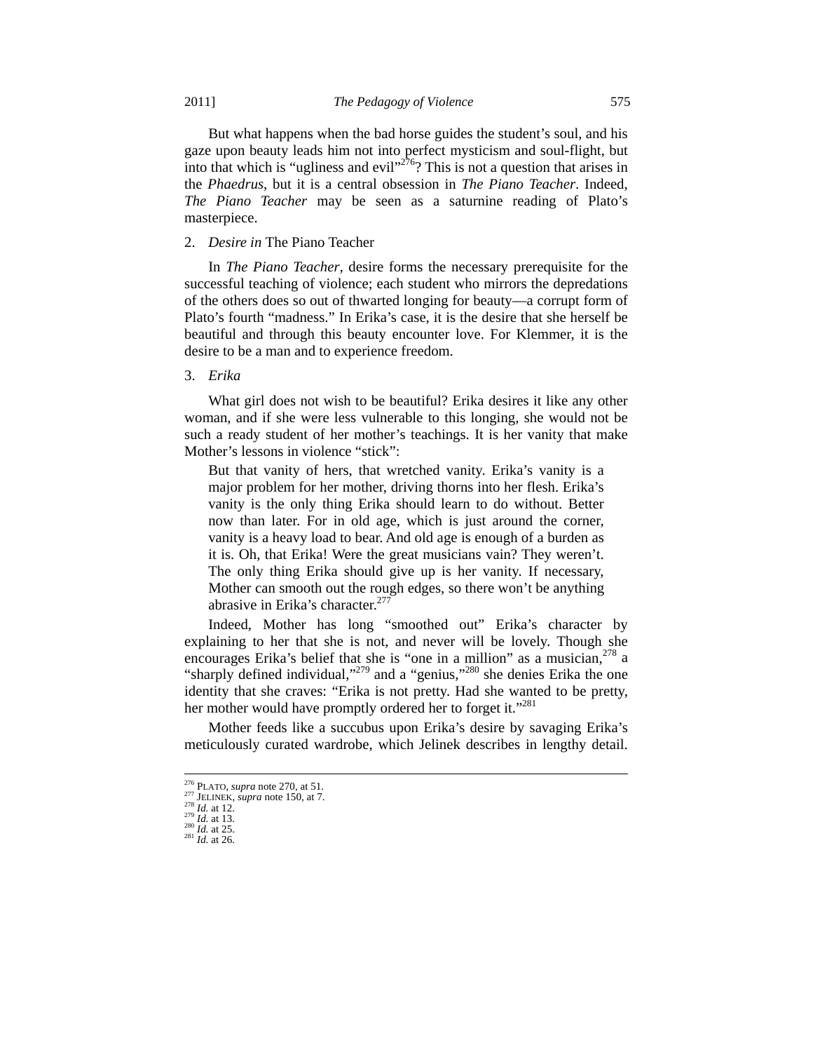But what happens when the bad horse guides the student's soul, and his gaze upon beauty leads him not into perfect mysticism and soul-flight, but into that which is "ugliness and evil" $276$ ? This is not a question that arises in the *Phaedrus*, but it is a central obsession in *The Piano Teacher*. Indeed, *The Piano Teacher* may be seen as a saturnine reading of Plato's masterpiece.

### 2. *Desire in* The Piano Teacher

In *The Piano Teacher*, desire forms the necessary prerequisite for the successful teaching of violence; each student who mirrors the depredations of the others does so out of thwarted longing for beauty—a corrupt form of Plato's fourth "madness." In Erika's case, it is the desire that she herself be beautiful and through this beauty encounter love. For Klemmer, it is the desire to be a man and to experience freedom.

### 3. *Erika*

What girl does not wish to be beautiful? Erika desires it like any other woman, and if she were less vulnerable to this longing, she would not be such a ready student of her mother's teachings. It is her vanity that make Mother's lessons in violence "stick":

But that vanity of hers, that wretched vanity. Erika's vanity is a major problem for her mother, driving thorns into her flesh. Erika's vanity is the only thing Erika should learn to do without. Better now than later. For in old age, which is just around the corner, vanity is a heavy load to bear. And old age is enough of a burden as it is. Oh, that Erika! Were the great musicians vain? They weren't. The only thing Erika should give up is her vanity. If necessary, Mother can smooth out the rough edges, so there won't be anything abrasive in Erika's character. $277$ 

Indeed, Mother has long "smoothed out" Erika's character by explaining to her that she is not, and never will be lovely. Though she encourages Erika's belief that she is "one in a million" as a musician,  $278$  a "sharply defined individual,"<sup>279</sup> and a "genius,"<sup>280</sup> she denies Erika the one identity that she craves: "Erika is not pretty. Had she wanted to be pretty, her mother would have promptly ordered her to forget it."<sup>281</sup>

Mother feeds like a succubus upon Erika's desire by savaging Erika's meticulously curated wardrobe, which Jelinek describes in lengthy detail.

 <sup>276</sup> PLATO, *supra* note 270, at 51. 277 JELINEK, *supra* note 150, at 7. 278 *Id.* at 12. 279 *Id.* at 13. 280 *Id.* at 25. 281 *Id.* at 26.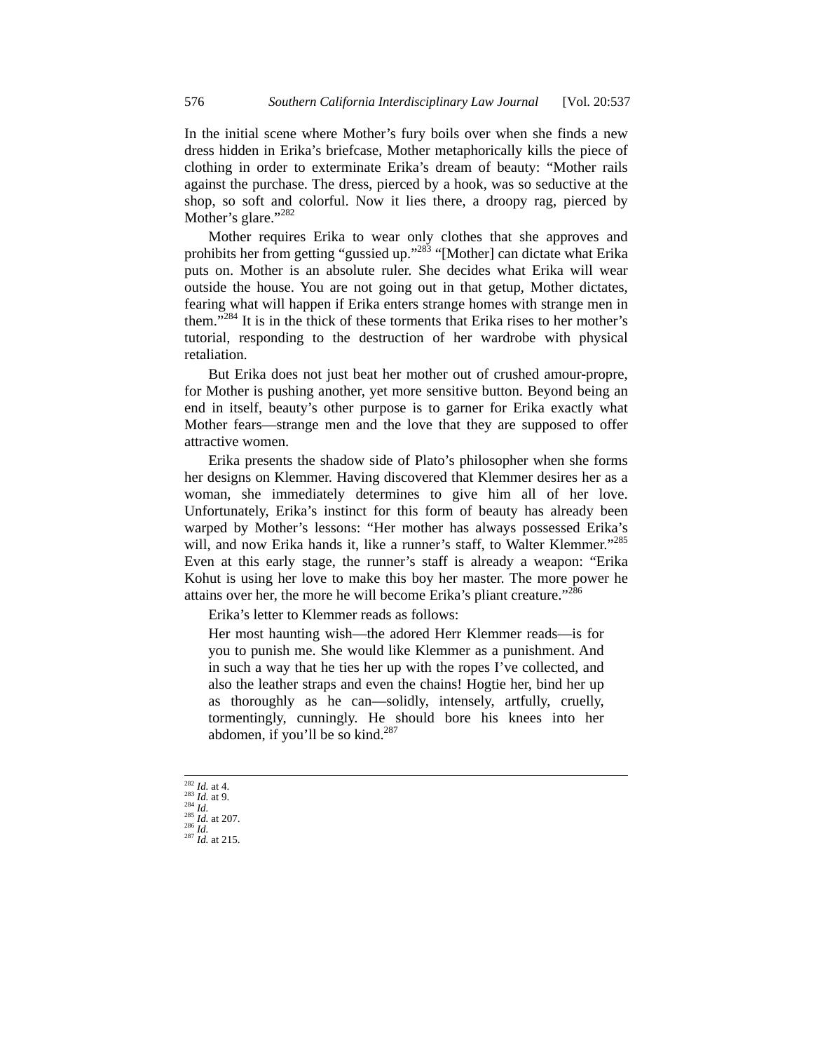In the initial scene where Mother's fury boils over when she finds a new dress hidden in Erika's briefcase, Mother metaphorically kills the piece of clothing in order to exterminate Erika's dream of beauty: "Mother rails against the purchase. The dress, pierced by a hook, was so seductive at the shop, so soft and colorful. Now it lies there, a droopy rag, pierced by Mother's glare."<sup>282</sup>

Mother requires Erika to wear only clothes that she approves and prohibits her from getting "gussied up."283 "[Mother] can dictate what Erika puts on. Mother is an absolute ruler. She decides what Erika will wear outside the house. You are not going out in that getup, Mother dictates, fearing what will happen if Erika enters strange homes with strange men in them."<sup>284</sup> It is in the thick of these torments that Erika rises to her mother's tutorial, responding to the destruction of her wardrobe with physical retaliation.

But Erika does not just beat her mother out of crushed amour-propre, for Mother is pushing another, yet more sensitive button. Beyond being an end in itself, beauty's other purpose is to garner for Erika exactly what Mother fears—strange men and the love that they are supposed to offer attractive women.

Erika presents the shadow side of Plato's philosopher when she forms her designs on Klemmer. Having discovered that Klemmer desires her as a woman, she immediately determines to give him all of her love. Unfortunately, Erika's instinct for this form of beauty has already been warped by Mother's lessons: "Her mother has always possessed Erika's will, and now Erika hands it, like a runner's staff, to Walter Klemmer."<sup>285</sup> Even at this early stage, the runner's staff is already a weapon: "Erika Kohut is using her love to make this boy her master. The more power he attains over her, the more he will become Erika's pliant creature."<sup>286</sup>

Erika's letter to Klemmer reads as follows:

Her most haunting wish—the adored Herr Klemmer reads—is for you to punish me. She would like Klemmer as a punishment. And in such a way that he ties her up with the ropes I've collected, and also the leather straps and even the chains! Hogtie her, bind her up as thoroughly as he can—solidly, intensely, artfully, cruelly, tormentingly, cunningly. He should bore his knees into her abdomen, if you'll be so kind. $287$ 

282 *Id.* at 4. 283 *Id.* at 9. 284 *Id.* 285 *Id.* at 207. 286 *Id.* 287 *Id.* at 215.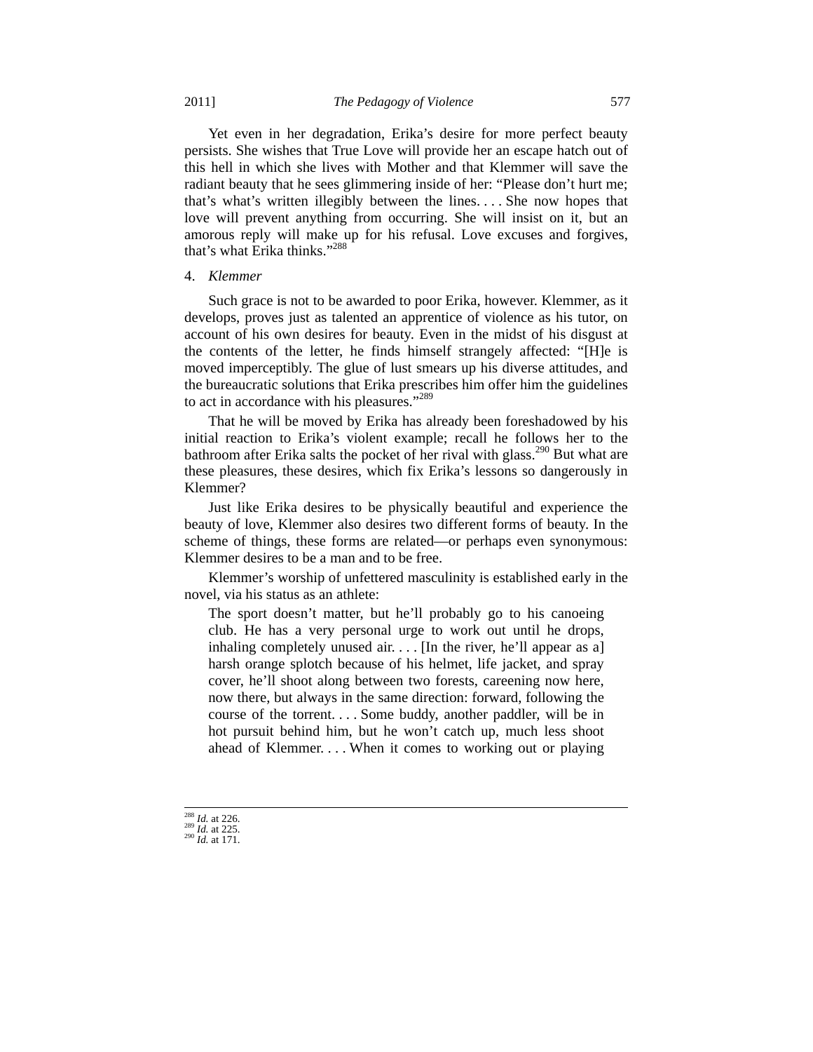Yet even in her degradation, Erika's desire for more perfect beauty persists. She wishes that True Love will provide her an escape hatch out of this hell in which she lives with Mother and that Klemmer will save the radiant beauty that he sees glimmering inside of her: "Please don't hurt me; that's what's written illegibly between the lines. . . . She now hopes that love will prevent anything from occurring. She will insist on it, but an amorous reply will make up for his refusal. Love excuses and forgives, that's what Erika thinks."288

### 4. *Klemmer*

Such grace is not to be awarded to poor Erika, however. Klemmer, as it develops, proves just as talented an apprentice of violence as his tutor, on account of his own desires for beauty. Even in the midst of his disgust at the contents of the letter, he finds himself strangely affected: "[H]e is moved imperceptibly. The glue of lust smears up his diverse attitudes, and the bureaucratic solutions that Erika prescribes him offer him the guidelines to act in accordance with his pleasures."289

That he will be moved by Erika has already been foreshadowed by his initial reaction to Erika's violent example; recall he follows her to the bathroom after Erika salts the pocket of her rival with glass.<sup>290</sup> But what are these pleasures, these desires, which fix Erika's lessons so dangerously in Klemmer?

Just like Erika desires to be physically beautiful and experience the beauty of love, Klemmer also desires two different forms of beauty. In the scheme of things, these forms are related—or perhaps even synonymous: Klemmer desires to be a man and to be free.

Klemmer's worship of unfettered masculinity is established early in the novel, via his status as an athlete:

The sport doesn't matter, but he'll probably go to his canoeing club. He has a very personal urge to work out until he drops, inhaling completely unused air.... [In the river, he'll appear as a] harsh orange splotch because of his helmet, life jacket, and spray cover, he'll shoot along between two forests, careening now here, now there, but always in the same direction: forward, following the course of the torrent. . . . Some buddy, another paddler, will be in hot pursuit behind him, but he won't catch up, much less shoot ahead of Klemmer. . . . When it comes to working out or playing

<sup>288</sup> *Id.* at 226. 289 *Id.* at 225. 290 *Id.* at 171.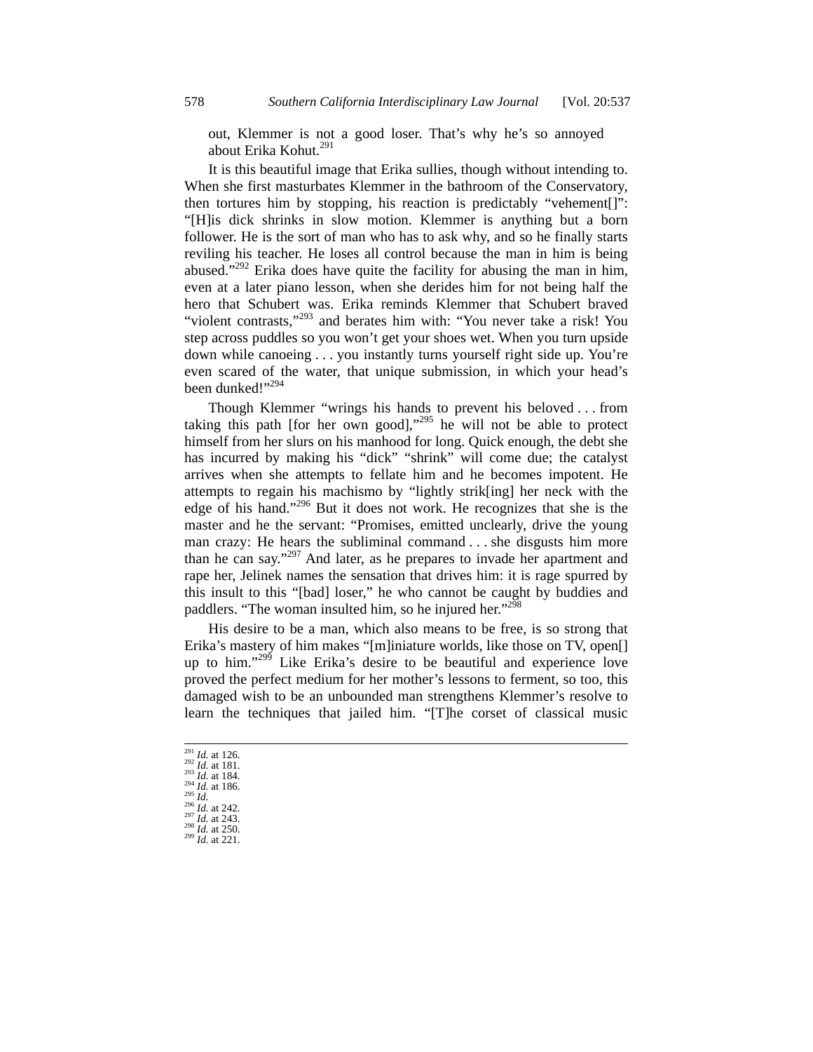out, Klemmer is not a good loser. That's why he's so annoyed about Erika Kohut.<sup>291</sup>

It is this beautiful image that Erika sullies, though without intending to. When she first masturbates Klemmer in the bathroom of the Conservatory, then tortures him by stopping, his reaction is predictably "vehement[]": "[H]is dick shrinks in slow motion. Klemmer is anything but a born follower. He is the sort of man who has to ask why, and so he finally starts reviling his teacher. He loses all control because the man in him is being abused."<sup>292</sup> Erika does have quite the facility for abusing the man in him, even at a later piano lesson, when she derides him for not being half the hero that Schubert was. Erika reminds Klemmer that Schubert braved "violent contrasts,"<sup>293</sup> and berates him with: "You never take a risk! You step across puddles so you won't get your shoes wet. When you turn upside down while canoeing . . . you instantly turns yourself right side up. You're even scared of the water, that unique submission, in which your head's been dunked!"<sup>294</sup>

Though Klemmer "wrings his hands to prevent his beloved . . . from taking this path [for her own good],"<sup>295</sup> he will not be able to protect himself from her slurs on his manhood for long. Quick enough, the debt she has incurred by making his "dick" "shrink" will come due; the catalyst arrives when she attempts to fellate him and he becomes impotent. He attempts to regain his machismo by "lightly strik[ing] her neck with the edge of his hand."296 But it does not work. He recognizes that she is the master and he the servant: "Promises, emitted unclearly, drive the young man crazy: He hears the subliminal command . . . she disgusts him more than he can say."297 And later, as he prepares to invade her apartment and rape her, Jelinek names the sensation that drives him: it is rage spurred by this insult to this "[bad] loser," he who cannot be caught by buddies and paddlers. "The woman insulted him, so he injured her."<sup>298</sup>

His desire to be a man, which also means to be free, is so strong that Erika's mastery of him makes "[m]iniature worlds, like those on TV, open[] up to him." $299$  Like Erika's desire to be beautiful and experience love proved the perfect medium for her mother's lessons to ferment, so too, this damaged wish to be an unbounded man strengthens Klemmer's resolve to learn the techniques that jailed him. "[T]he corset of classical music

- 291 *Id.* at 126. 292 *Id.* at 181. 293 *Id.* at 184. 294 *Id.* at 186. 295 *Id.* 296 *Id.* at 242. 297 *Id.* at 243. 298 *Id.* at 250. 299 *Id.* at 221.
- 
- 
-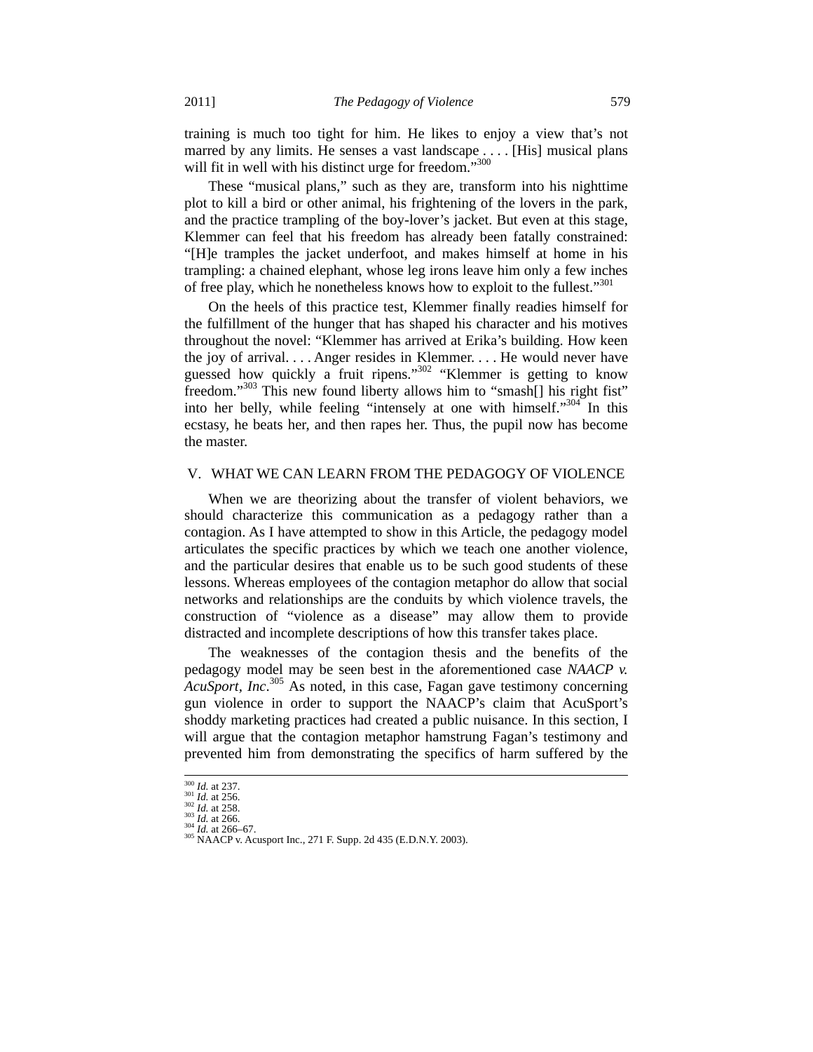training is much too tight for him. He likes to enjoy a view that's not marred by any limits. He senses a vast landscape ... . [His] musical plans will fit in well with his distinct urge for freedom."<sup>300</sup>

These "musical plans," such as they are, transform into his nighttime plot to kill a bird or other animal, his frightening of the lovers in the park, and the practice trampling of the boy-lover's jacket. But even at this stage, Klemmer can feel that his freedom has already been fatally constrained: "[H]e tramples the jacket underfoot, and makes himself at home in his trampling: a chained elephant, whose leg irons leave him only a few inches of free play, which he nonetheless knows how to exploit to the fullest."<sup>301</sup>

On the heels of this practice test, Klemmer finally readies himself for the fulfillment of the hunger that has shaped his character and his motives throughout the novel: "Klemmer has arrived at Erika's building. How keen the joy of arrival. . . . Anger resides in Klemmer. . . . He would never have guessed how quickly a fruit ripens."<sup>302</sup> "Klemmer is getting to know freedom."<sup>303</sup> This new found liberty allows him to "smash[] his right fist" into her belly, while feeling "intensely at one with himself." $304$ <sup>T</sup> In this ecstasy, he beats her, and then rapes her. Thus, the pupil now has become the master.

## V. WHAT WE CAN LEARN FROM THE PEDAGOGY OF VIOLENCE

When we are theorizing about the transfer of violent behaviors, we should characterize this communication as a pedagogy rather than a contagion. As I have attempted to show in this Article, the pedagogy model articulates the specific practices by which we teach one another violence, and the particular desires that enable us to be such good students of these lessons. Whereas employees of the contagion metaphor do allow that social networks and relationships are the conduits by which violence travels, the construction of "violence as a disease" may allow them to provide distracted and incomplete descriptions of how this transfer takes place.

The weaknesses of the contagion thesis and the benefits of the pedagogy model may be seen best in the aforementioned case *NAACP v. AcuSport, Inc*. <sup>305</sup> As noted, in this case, Fagan gave testimony concerning gun violence in order to support the NAACP's claim that AcuSport's shoddy marketing practices had created a public nuisance. In this section, I will argue that the contagion metaphor hamstrung Fagan's testimony and prevented him from demonstrating the specifics of harm suffered by the

<sup>&</sup>lt;sup>300</sup> *Id.* at 237.<br><sup>302</sup> *Id.* at 256.<br><sup>302</sup> *Id.* at 258.<br><sup>303</sup> *Id.* at 266–67.<br><sup>305</sup> NAACP v. Acusport Inc., 271 F. Supp. 2d 435 (E.D.N.Y. 2003).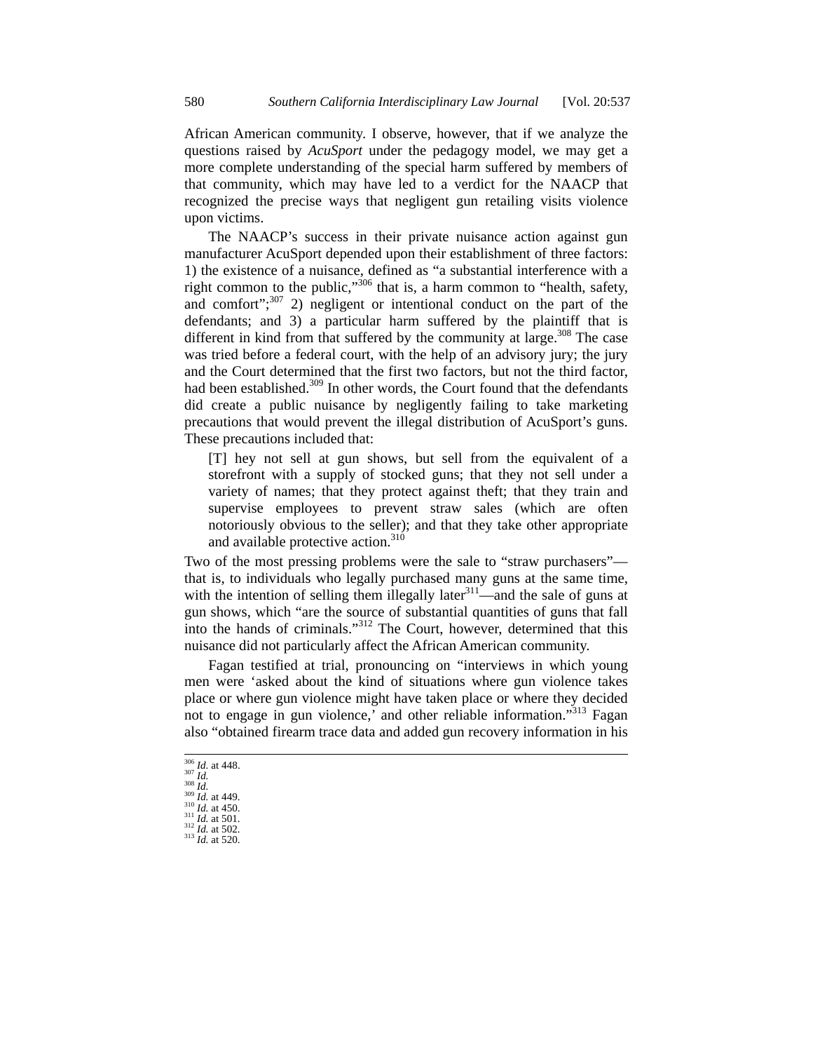African American community. I observe, however, that if we analyze the questions raised by *AcuSport* under the pedagogy model, we may get a more complete understanding of the special harm suffered by members of that community, which may have led to a verdict for the NAACP that recognized the precise ways that negligent gun retailing visits violence upon victims.

The NAACP's success in their private nuisance action against gun manufacturer AcuSport depended upon their establishment of three factors: 1) the existence of a nuisance, defined as "a substantial interference with a right common to the public," $306$  that is, a harm common to "health, safety, and comfort"; $307$  2) negligent or intentional conduct on the part of the defendants; and 3) a particular harm suffered by the plaintiff that is different in kind from that suffered by the community at large. $308$  The case was tried before a federal court, with the help of an advisory jury; the jury and the Court determined that the first two factors, but not the third factor, had been established.<sup>309</sup> In other words, the Court found that the defendants did create a public nuisance by negligently failing to take marketing precautions that would prevent the illegal distribution of AcuSport's guns. These precautions included that:

[T] hey not sell at gun shows, but sell from the equivalent of a storefront with a supply of stocked guns; that they not sell under a variety of names; that they protect against theft; that they train and supervise employees to prevent straw sales (which are often notoriously obvious to the seller); and that they take other appropriate and available protective action.<sup>310</sup>

Two of the most pressing problems were the sale to "straw purchasers" that is, to individuals who legally purchased many guns at the same time, with the intention of selling them illegally later<sup>311</sup>—and the sale of guns at gun shows, which "are the source of substantial quantities of guns that fall into the hands of criminals."<sup>312</sup> The Court, however, determined that this nuisance did not particularly affect the African American community.

Fagan testified at trial, pronouncing on "interviews in which young men were 'asked about the kind of situations where gun violence takes place or where gun violence might have taken place or where they decided not to engage in gun violence, and other reliable information.<sup>313</sup> Fagan also "obtained firearm trace data and added gun recovery information in his

- 306 *Id.* at 448. 307 *Id.* 308 *Id.* 309 *Id.* at 449. 310 *Id.* at 450. 311 *Id.* at 501. 312 *Id.* at 502. 313 *Id.* at 520.
- 
-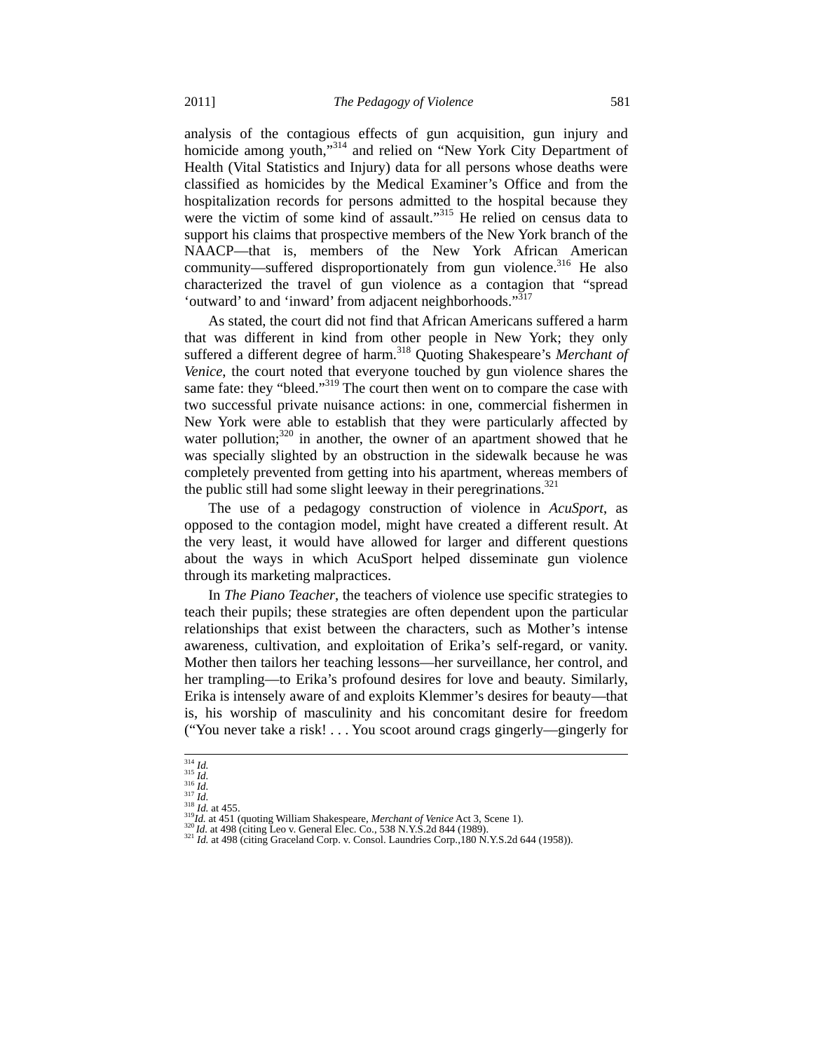analysis of the contagious effects of gun acquisition, gun injury and homicide among youth,"<sup>314</sup> and relied on "New York City Department of Health (Vital Statistics and Injury) data for all persons whose deaths were classified as homicides by the Medical Examiner's Office and from the hospitalization records for persons admitted to the hospital because they were the victim of some kind of assault."<sup>315</sup> He relied on census data to support his claims that prospective members of the New York branch of the NAACP—that is, members of the New York African American community—suffered disproportionately from gun violence.<sup>316</sup> He also characterized the travel of gun violence as a contagion that "spread 'outward' to and 'inward' from adjacent neighborhoods."<sup>317</sup>

As stated, the court did not find that African Americans suffered a harm that was different in kind from other people in New York; they only suffered a different degree of harm.<sup>318</sup> Quoting Shakespeare's *Merchant of Venice*, the court noted that everyone touched by gun violence shares the same fate: they "bleed."<sup>319</sup> The court then went on to compare the case with two successful private nuisance actions: in one, commercial fishermen in New York were able to establish that they were particularly affected by water pollution; $320$  in another, the owner of an apartment showed that he was specially slighted by an obstruction in the sidewalk because he was completely prevented from getting into his apartment, whereas members of the public still had some slight leeway in their peregrinations.<sup>321</sup>

The use of a pedagogy construction of violence in *AcuSport*, as opposed to the contagion model, might have created a different result. At the very least, it would have allowed for larger and different questions about the ways in which AcuSport helped disseminate gun violence through its marketing malpractices.

In *The Piano Teacher*, the teachers of violence use specific strategies to teach their pupils; these strategies are often dependent upon the particular relationships that exist between the characters, such as Mother's intense awareness, cultivation, and exploitation of Erika's self-regard, or vanity. Mother then tailors her teaching lessons—her surveillance, her control, and her trampling—to Erika's profound desires for love and beauty. Similarly, Erika is intensely aware of and exploits Klemmer's desires for beauty—that is, his worship of masculinity and his concomitant desire for freedom ("You never take a risk! . . . You scoot around crags gingerly—gingerly for

 $\begin{array}{l} \n 314 \, Id. \\ \n 315 \, Id. \\ \n 316 \, Id. \\ \n 317 \, Id. \\ \n 318 \, Id. \\ \n 318 \, Id. \\ \n 319 \, Id. \\ \n 320 \, Id. \\ \n 330 \, Id. \\ \n 344 \, 455. \\ \n 350 \, Id. \\ \n 36 \, (citing Leo v. General Elec. Co., 538 \, N.Y.S.2d 844 (1989). \\ \n 371 \, Id. \\ \n 38 \, (citing Graceland Corp. v. Consol. Laundries Corp., 180 \, N.Y.S.2$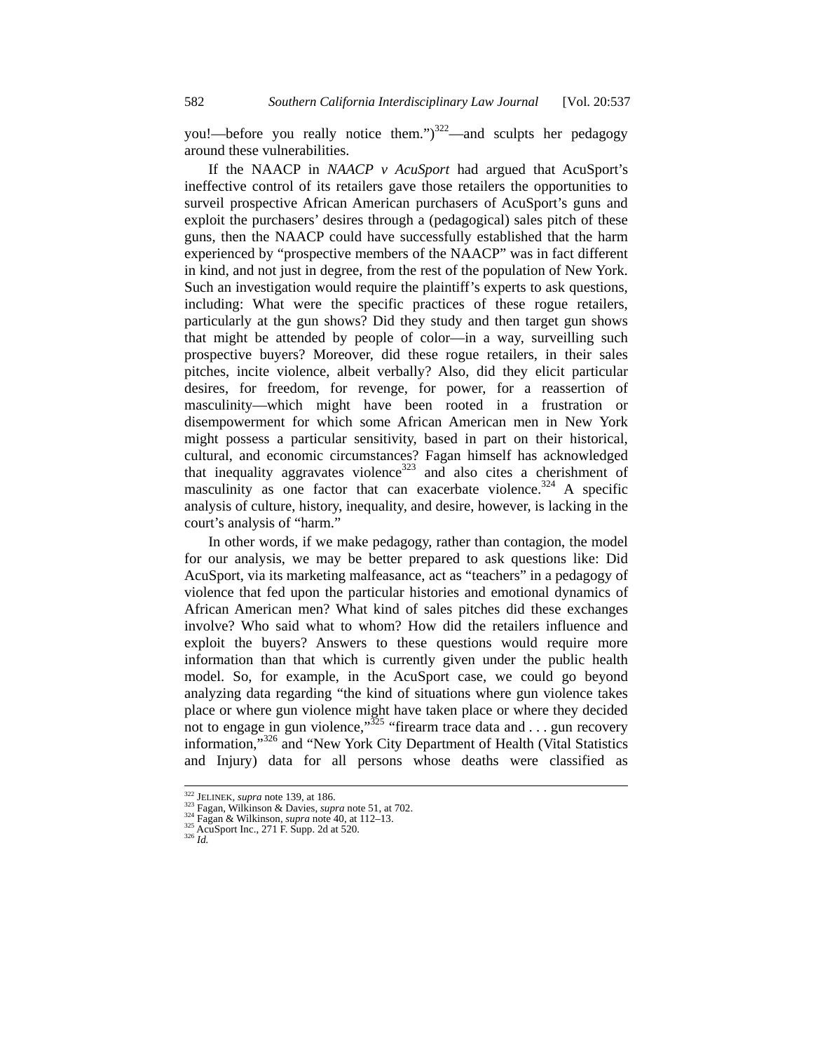you!—before you really notice them.")<sup>322</sup>—and sculpts her pedagogy around these vulnerabilities.

If the NAACP in *NAACP v AcuSport* had argued that AcuSport's ineffective control of its retailers gave those retailers the opportunities to surveil prospective African American purchasers of AcuSport's guns and exploit the purchasers' desires through a (pedagogical) sales pitch of these guns, then the NAACP could have successfully established that the harm experienced by "prospective members of the NAACP" was in fact different in kind, and not just in degree, from the rest of the population of New York. Such an investigation would require the plaintiff's experts to ask questions, including: What were the specific practices of these rogue retailers, particularly at the gun shows? Did they study and then target gun shows that might be attended by people of color—in a way, surveilling such prospective buyers? Moreover, did these rogue retailers, in their sales pitches, incite violence, albeit verbally? Also, did they elicit particular desires, for freedom, for revenge, for power, for a reassertion of masculinity—which might have been rooted in a frustration or disempowerment for which some African American men in New York might possess a particular sensitivity, based in part on their historical, cultural, and economic circumstances? Fagan himself has acknowledged that inequality aggravates violence<sup>323</sup> and also cites a cherishment of masculinity as one factor that can exacerbate violence.<sup>324</sup> A specific analysis of culture, history, inequality, and desire, however, is lacking in the court's analysis of "harm."

In other words, if we make pedagogy, rather than contagion, the model for our analysis, we may be better prepared to ask questions like: Did AcuSport, via its marketing malfeasance, act as "teachers" in a pedagogy of violence that fed upon the particular histories and emotional dynamics of African American men? What kind of sales pitches did these exchanges involve? Who said what to whom? How did the retailers influence and exploit the buyers? Answers to these questions would require more information than that which is currently given under the public health model. So, for example, in the AcuSport case, we could go beyond analyzing data regarding "the kind of situations where gun violence takes place or where gun violence might have taken place or where they decided not to engage in gun violence,  $^{325}$  "firearm trace data and ... gun recovery information,"326 and "New York City Department of Health (Vital Statistics and Injury) data for all persons whose deaths were classified as

<sup>&</sup>lt;sup>322</sup> JELINEK, *supra* note 139, at 186.<br><sup>323</sup> Fagan, Wilkinson & Davies, *supra* note 51, at 702.<br><sup>324</sup> Fagan & Wilkinson, *supra* note 40, at 112–13.<br><sup>325</sup> AcuSport Inc., 271 F. Supp. 2d at 520.<br><sup>326 *Id*.</sup>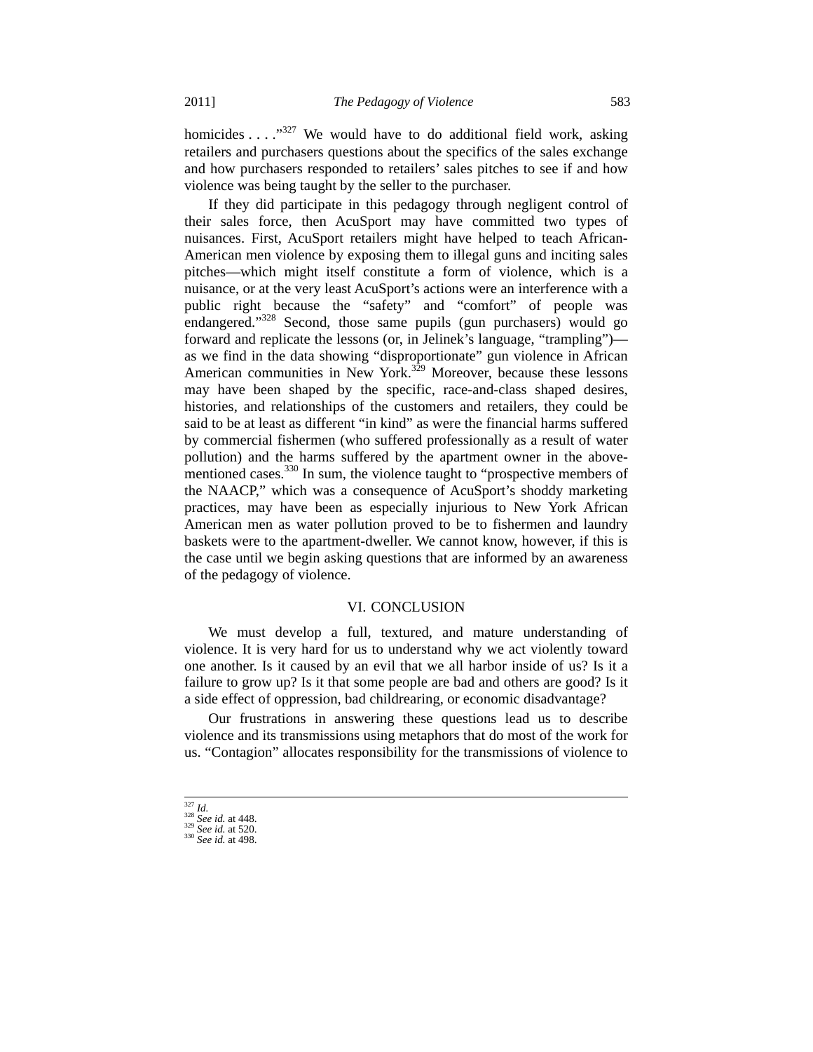homicides . . . ."327 We would have to do additional field work, asking retailers and purchasers questions about the specifics of the sales exchange and how purchasers responded to retailers' sales pitches to see if and how violence was being taught by the seller to the purchaser.

If they did participate in this pedagogy through negligent control of their sales force, then AcuSport may have committed two types of nuisances. First, AcuSport retailers might have helped to teach African-American men violence by exposing them to illegal guns and inciting sales pitches—which might itself constitute a form of violence, which is a nuisance, or at the very least AcuSport's actions were an interference with a public right because the "safety" and "comfort" of people was endangered."<sup>328</sup> Second, those same pupils (gun purchasers) would go forward and replicate the lessons (or, in Jelinek's language, "trampling") as we find in the data showing "disproportionate" gun violence in African American communities in New York.<sup>329</sup> Moreover, because these lessons may have been shaped by the specific, race-and-class shaped desires, histories, and relationships of the customers and retailers, they could be said to be at least as different "in kind" as were the financial harms suffered by commercial fishermen (who suffered professionally as a result of water pollution) and the harms suffered by the apartment owner in the abovementioned cases.<sup>330</sup> In sum, the violence taught to "prospective members of the NAACP," which was a consequence of AcuSport's shoddy marketing practices, may have been as especially injurious to New York African American men as water pollution proved to be to fishermen and laundry baskets were to the apartment-dweller. We cannot know, however, if this is the case until we begin asking questions that are informed by an awareness of the pedagogy of violence.

#### VI. CONCLUSION

We must develop a full, textured, and mature understanding of violence. It is very hard for us to understand why we act violently toward one another. Is it caused by an evil that we all harbor inside of us? Is it a failure to grow up? Is it that some people are bad and others are good? Is it a side effect of oppression, bad childrearing, or economic disadvantage?

Our frustrations in answering these questions lead us to describe violence and its transmissions using metaphors that do most of the work for us. "Contagion" allocates responsibility for the transmissions of violence to

<sup>327</sup> *Id.* <sup>328</sup> *See id.* at 448. 329 *See id.* at 520. 330 *See id.* at 498.